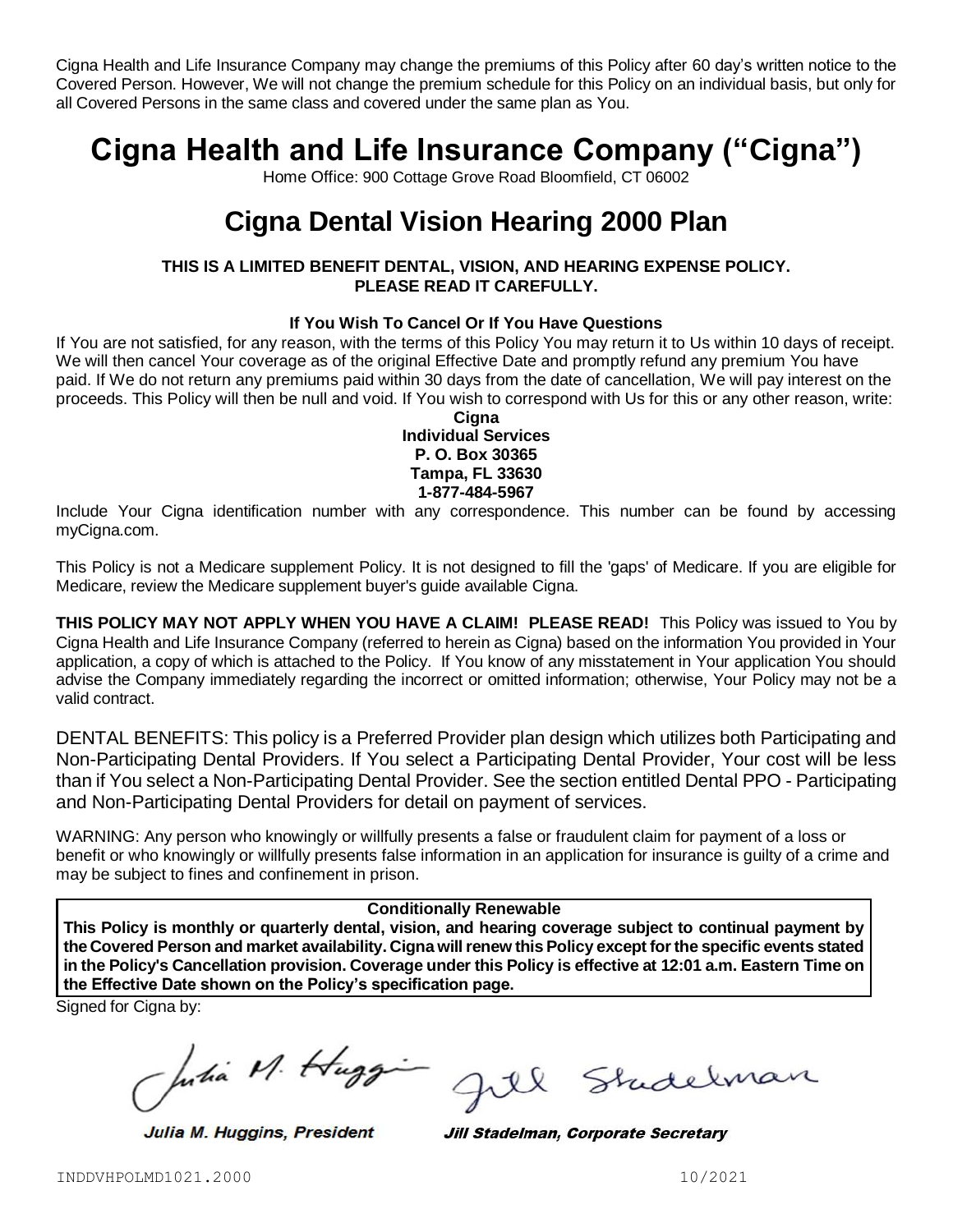Cigna Health and Life Insurance Company may change the premiums of this Policy after 60 day's written notice to the Covered Person. However, We will not change the premium schedule for this Policy on an individual basis, but only for all Covered Persons in the same class and covered under the same plan as You.

# **Cigna Health and Life Insurance Company ("Cigna")**

Home Office: 900 Cottage Grove Road Bloomfield, CT 06002

# **Cigna Dental Vision Hearing 2000 Plan**

# **THIS IS A LIMITED BENEFIT DENTAL, VISION, AND HEARING EXPENSE POLICY. PLEASE READ IT CAREFULLY.**

# **If You Wish To Cancel Or If You Have Questions**

If You are not satisfied, for any reason, with the terms of this Policy You may return it to Us within 10 days of receipt. We will then cancel Your coverage as of the original Effective Date and promptly refund any premium You have paid. If We do not return any premiums paid within 30 days from the date of cancellation, We will pay interest on the proceeds. This Policy will then be null and void. If You wish to correspond with Us for this or any other reason, write:

## **Cigna Individual Services P. O. Box 30365 Tampa, FL 33630 1-877-484-5967**

Include Your Cigna identification number with any correspondence. This number can be found by accessing myCigna.com.

This Policy is not a Medicare supplement Policy. It is not designed to fill the 'gaps' of Medicare. If you are eligible for Medicare, review the Medicare supplement buyer's guide available Cigna.

**THIS POLICY MAY NOT APPLY WHEN YOU HAVE A CLAIM! PLEASE READ!** This Policy was issued to You by Cigna Health and Life Insurance Company (referred to herein as Cigna) based on the information You provided in Your application, a copy of which is attached to the Policy. If You know of any misstatement in Your application You should advise the Company immediately regarding the incorrect or omitted information; otherwise, Your Policy may not be a valid contract.

DENTAL BENEFITS: This policy is a Preferred Provider plan design which utilizes both Participating and Non-Participating Dental Providers. If You select a Participating Dental Provider, Your cost will be less than if You select a Non-Participating Dental Provider. See the section entitled Dental PPO - Participating and Non-Participating Dental Providers for detail on payment of services.

WARNING: Any person who knowingly or willfully presents a false or fraudulent claim for payment of a loss or benefit or who knowingly or willfully presents false information in an application for insurance is guilty of a crime and may be subject to fines and confinement in prison.

#### **Conditionally Renewable**

**This Policy is monthly or quarterly dental, vision, and hearing coverage subject to continual payment by the Covered Person and market availability. Cigna will renew this Policy except for the specific events stated in the Policy's Cancellation provision. Coverage under this Policy is effective at 12:01 a.m. Eastern Time on the Effective Date shown on the Policy's specification page.**

Signed for Cigna by:

putia M. Huggi

Julia M. Huggins, President

Shidelman

Jill Stadelman, Corporate Secretary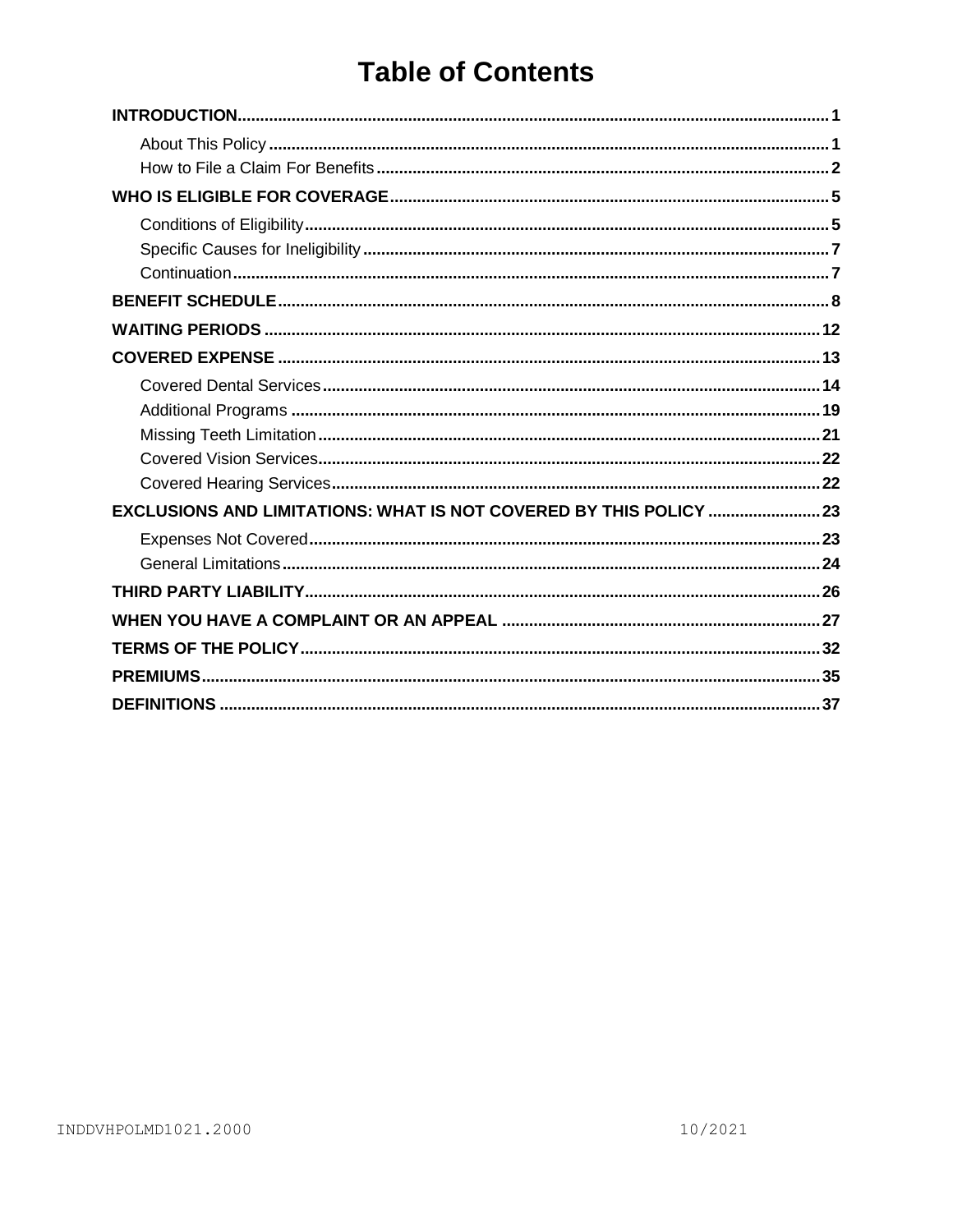# **Table of Contents**

| EXCLUSIONS AND LIMITATIONS: WHAT IS NOT COVERED BY THIS POLICY  23 |
|--------------------------------------------------------------------|
|                                                                    |
|                                                                    |
|                                                                    |
|                                                                    |
|                                                                    |
|                                                                    |
|                                                                    |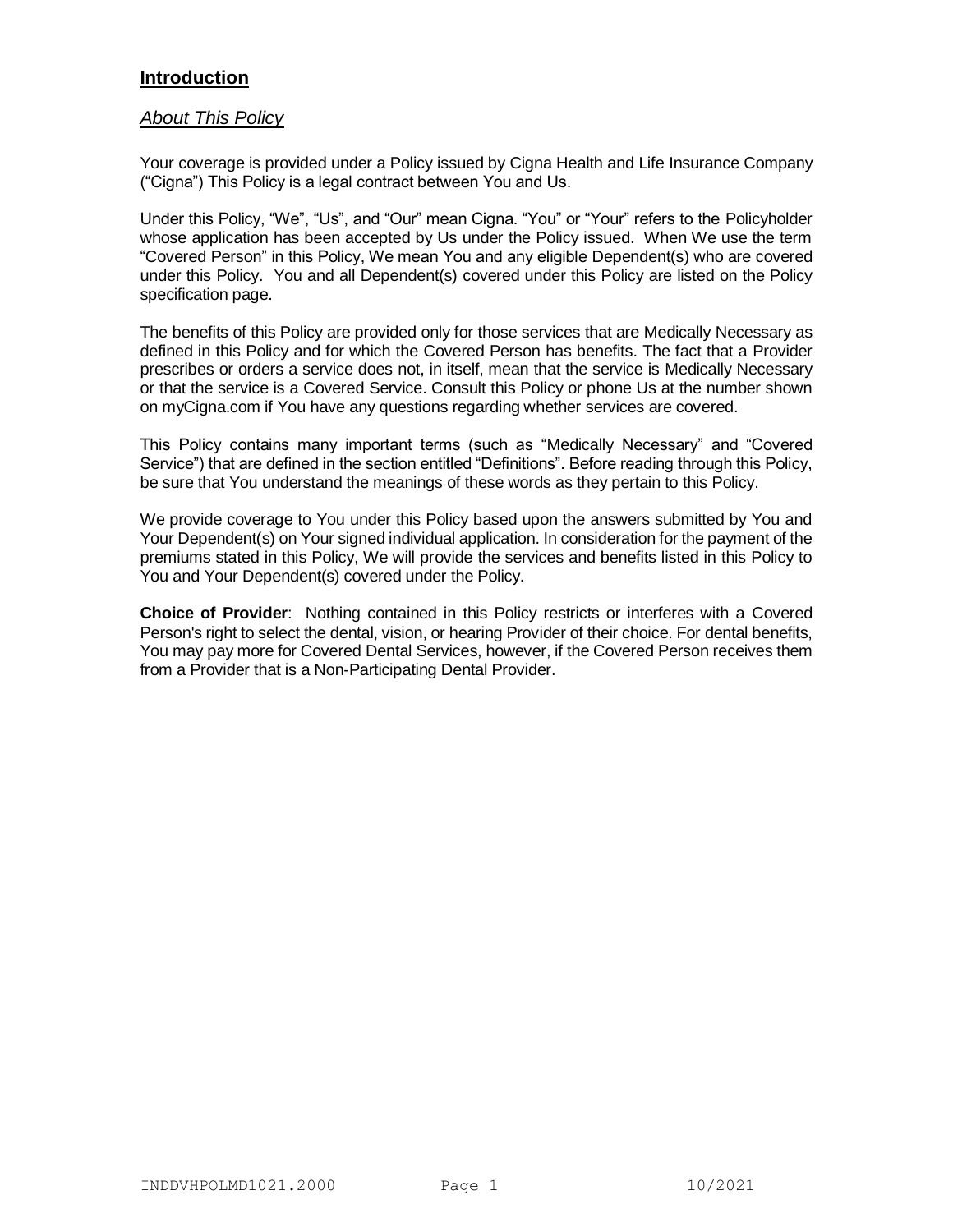# **Introduction**

# *About This Policy*

Your coverage is provided under a Policy issued by Cigna Health and Life Insurance Company ("Cigna") This Policy is a legal contract between You and Us.

Under this Policy, "We", "Us", and "Our" mean Cigna. "You" or "Your" refers to the Policyholder whose application has been accepted by Us under the Policy issued. When We use the term "Covered Person" in this Policy, We mean You and any eligible Dependent(s) who are covered under this Policy. You and all Dependent(s) covered under this Policy are listed on the Policy specification page.

The benefits of this Policy are provided only for those services that are Medically Necessary as defined in this Policy and for which the Covered Person has benefits. The fact that a Provider prescribes or orders a service does not, in itself, mean that the service is Medically Necessary or that the service is a Covered Service. Consult this Policy or phone Us at the number shown on myCigna.com if You have any questions regarding whether services are covered.

This Policy contains many important terms (such as "Medically Necessary" and "Covered Service") that are defined in the section entitled "Definitions". Before reading through this Policy, be sure that You understand the meanings of these words as they pertain to this Policy.

We provide coverage to You under this Policy based upon the answers submitted by You and Your Dependent(s) on Your signed individual application. In consideration for the payment of the premiums stated in this Policy, We will provide the services and benefits listed in this Policy to You and Your Dependent(s) covered under the Policy.

**Choice of Provider**: Nothing contained in this Policy restricts or interferes with a Covered Person's right to select the dental, vision, or hearing Provider of their choice. For dental benefits, You may pay more for Covered Dental Services, however, if the Covered Person receives them from a Provider that is a Non-Participating Dental Provider.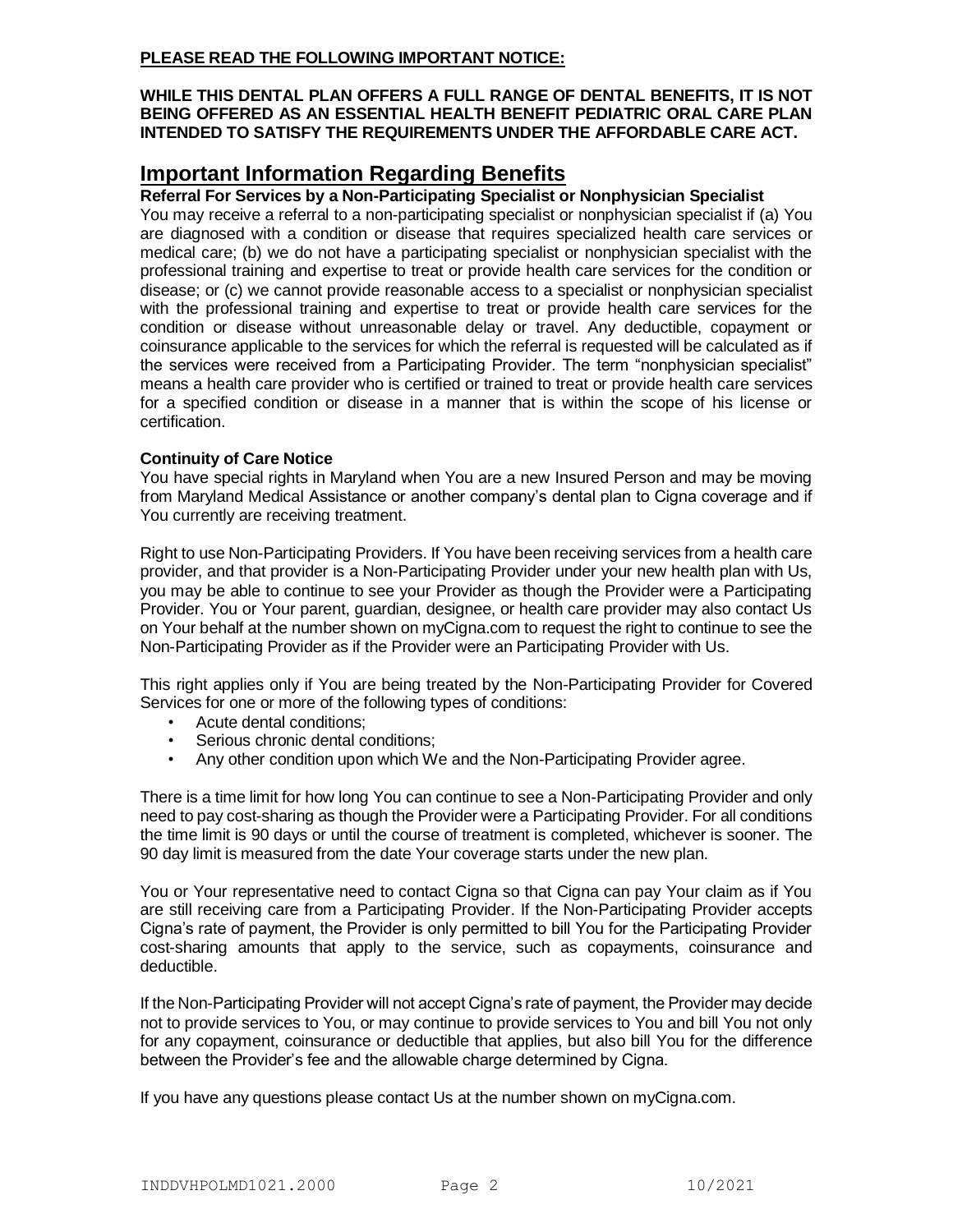# **PLEASE READ THE FOLLOWING IMPORTANT NOTICE:**

#### **WHILE THIS DENTAL PLAN OFFERS A FULL RANGE OF DENTAL BENEFITS, IT IS NOT BEING OFFERED AS AN ESSENTIAL HEALTH BENEFIT PEDIATRIC ORAL CARE PLAN INTENDED TO SATISFY THE REQUIREMENTS UNDER THE AFFORDABLE CARE ACT.**

# **Important Information Regarding Benefits**

### **Referral For Services by a Non-Participating Specialist or Nonphysician Specialist**

You may receive a referral to a non-participating specialist or nonphysician specialist if (a) You are diagnosed with a condition or disease that requires specialized health care services or medical care; (b) we do not have a participating specialist or nonphysician specialist with the professional training and expertise to treat or provide health care services for the condition or disease; or (c) we cannot provide reasonable access to a specialist or nonphysician specialist with the professional training and expertise to treat or provide health care services for the condition or disease without unreasonable delay or travel. Any deductible, copayment or coinsurance applicable to the services for which the referral is requested will be calculated as if the services were received from a Participating Provider. The term "nonphysician specialist" means a health care provider who is certified or trained to treat or provide health care services for a specified condition or disease in a manner that is within the scope of his license or certification.

### **Continuity of Care Notice**

You have special rights in Maryland when You are a new Insured Person and may be moving from Maryland Medical Assistance or another company's dental plan to Cigna coverage and if You currently are receiving treatment.

Right to use Non-Participating Providers. If You have been receiving services from a health care provider, and that provider is a Non-Participating Provider under your new health plan with Us, you may be able to continue to see your Provider as though the Provider were a Participating Provider. You or Your parent, guardian, designee, or health care provider may also contact Us on Your behalf at the number shown on myCigna.com to request the right to continue to see the Non-Participating Provider as if the Provider were an Participating Provider with Us.

This right applies only if You are being treated by the Non-Participating Provider for Covered Services for one or more of the following types of conditions:

- Acute dental conditions;
- Serious chronic dental conditions;
- Any other condition upon which We and the Non-Participating Provider agree.

There is a time limit for how long You can continue to see a Non-Participating Provider and only need to pay cost-sharing as though the Provider were a Participating Provider. For all conditions the time limit is 90 days or until the course of treatment is completed, whichever is sooner. The 90 day limit is measured from the date Your coverage starts under the new plan.

You or Your representative need to contact Cigna so that Cigna can pay Your claim as if You are still receiving care from a Participating Provider. If the Non-Participating Provider accepts Cigna's rate of payment, the Provider is only permitted to bill You for the Participating Provider cost-sharing amounts that apply to the service, such as copayments, coinsurance and deductible.

If the Non-Participating Provider will not accept Cigna's rate of payment, the Provider may decide not to provide services to You, or may continue to provide services to You and bill You not only for any copayment, coinsurance or deductible that applies, but also bill You for the difference between the Provider's fee and the allowable charge determined by Cigna.

If you have any questions please contact Us at the number shown on myCigna.com.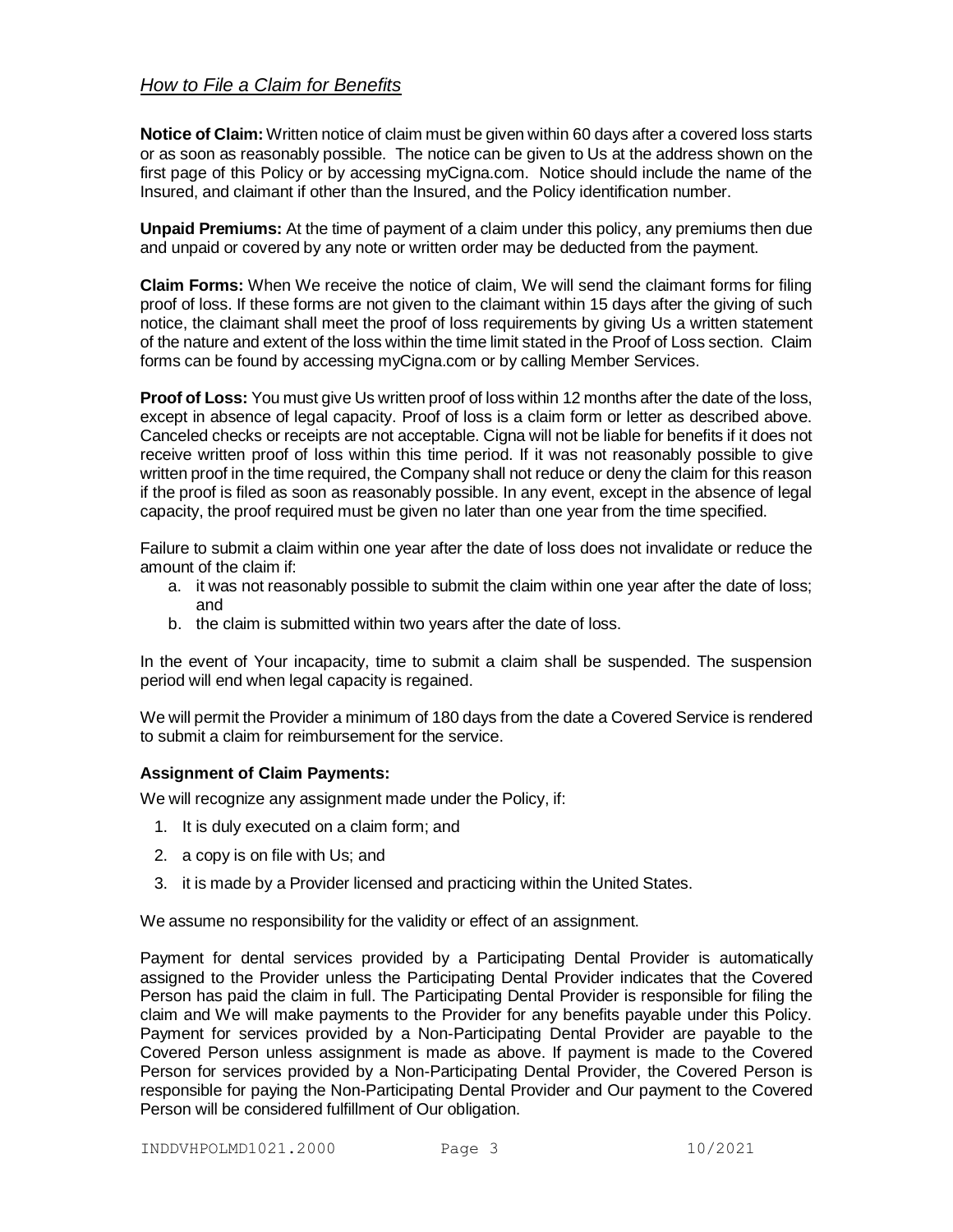# *How to File a Claim for Benefits*

**Notice of Claim:** Written notice of claim must be given within 60 days after a covered loss starts or as soon as reasonably possible. The notice can be given to Us at the address shown on the first page of this Policy or by accessing myCigna.com. Notice should include the name of the Insured, and claimant if other than the Insured, and the Policy identification number.

**Unpaid Premiums:** At the time of payment of a claim under this policy, any premiums then due and unpaid or covered by any note or written order may be deducted from the payment.

**Claim Forms:** When We receive the notice of claim, We will send the claimant forms for filing proof of loss. If these forms are not given to the claimant within 15 days after the giving of such notice, the claimant shall meet the proof of loss requirements by giving Us a written statement of the nature and extent of the loss within the time limit stated in the Proof of Loss section. Claim forms can be found by accessing myCigna.com or by calling Member Services.

**Proof of Loss:** You must give Us written proof of loss within 12 months after the date of the loss, except in absence of legal capacity. Proof of loss is a claim form or letter as described above. Canceled checks or receipts are not acceptable. Cigna will not be liable for benefits if it does not receive written proof of loss within this time period. If it was not reasonably possible to give written proof in the time required, the Company shall not reduce or deny the claim for this reason if the proof is filed as soon as reasonably possible. In any event, except in the absence of legal capacity, the proof required must be given no later than one year from the time specified.

Failure to submit a claim within one year after the date of loss does not invalidate or reduce the amount of the claim if:

- a. it was not reasonably possible to submit the claim within one year after the date of loss; and
- b. the claim is submitted within two years after the date of loss.

In the event of Your incapacity, time to submit a claim shall be suspended. The suspension period will end when legal capacity is regained.

We will permit the Provider a minimum of 180 days from the date a Covered Service is rendered to submit a claim for reimbursement for the service.

# **Assignment of Claim Payments:**

We will recognize any assignment made under the Policy, if:

- 1. It is duly executed on a claim form; and
- 2. a copy is on file with Us; and
- 3. it is made by a Provider licensed and practicing within the United States.

We assume no responsibility for the validity or effect of an assignment.

Payment for dental services provided by a Participating Dental Provider is automatically assigned to the Provider unless the Participating Dental Provider indicates that the Covered Person has paid the claim in full. The Participating Dental Provider is responsible for filing the claim and We will make payments to the Provider for any benefits payable under this Policy. Payment for services provided by a Non-Participating Dental Provider are payable to the Covered Person unless assignment is made as above. If payment is made to the Covered Person for services provided by a Non-Participating Dental Provider, the Covered Person is responsible for paying the Non-Participating Dental Provider and Our payment to the Covered Person will be considered fulfillment of Our obligation.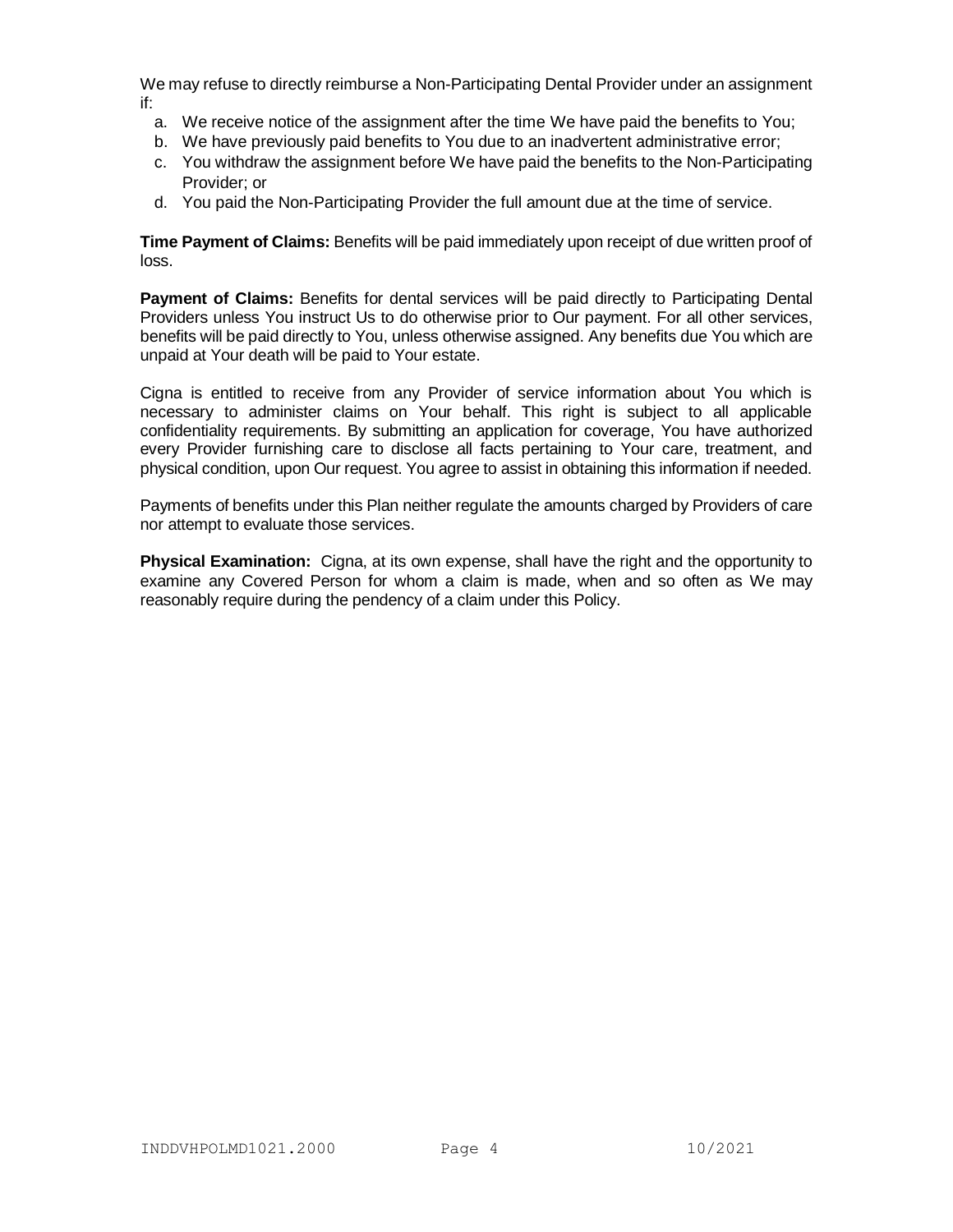We may refuse to directly reimburse a Non-Participating Dental Provider under an assignment if:

- a. We receive notice of the assignment after the time We have paid the benefits to You;
- b. We have previously paid benefits to You due to an inadvertent administrative error;
- c. You withdraw the assignment before We have paid the benefits to the Non-Participating Provider; or
- d. You paid the Non-Participating Provider the full amount due at the time of service.

**Time Payment of Claims:** Benefits will be paid immediately upon receipt of due written proof of loss.

**Payment of Claims:** Benefits for dental services will be paid directly to Participating Dental Providers unless You instruct Us to do otherwise prior to Our payment. For all other services, benefits will be paid directly to You, unless otherwise assigned. Any benefits due You which are unpaid at Your death will be paid to Your estate.

Cigna is entitled to receive from any Provider of service information about You which is necessary to administer claims on Your behalf. This right is subject to all applicable confidentiality requirements. By submitting an application for coverage, You have authorized every Provider furnishing care to disclose all facts pertaining to Your care, treatment, and physical condition, upon Our request. You agree to assist in obtaining this information if needed.

Payments of benefits under this Plan neither regulate the amounts charged by Providers of care nor attempt to evaluate those services.

**Physical Examination:** Cigna, at its own expense, shall have the right and the opportunity to examine any Covered Person for whom a claim is made, when and so often as We may reasonably require during the pendency of a claim under this Policy.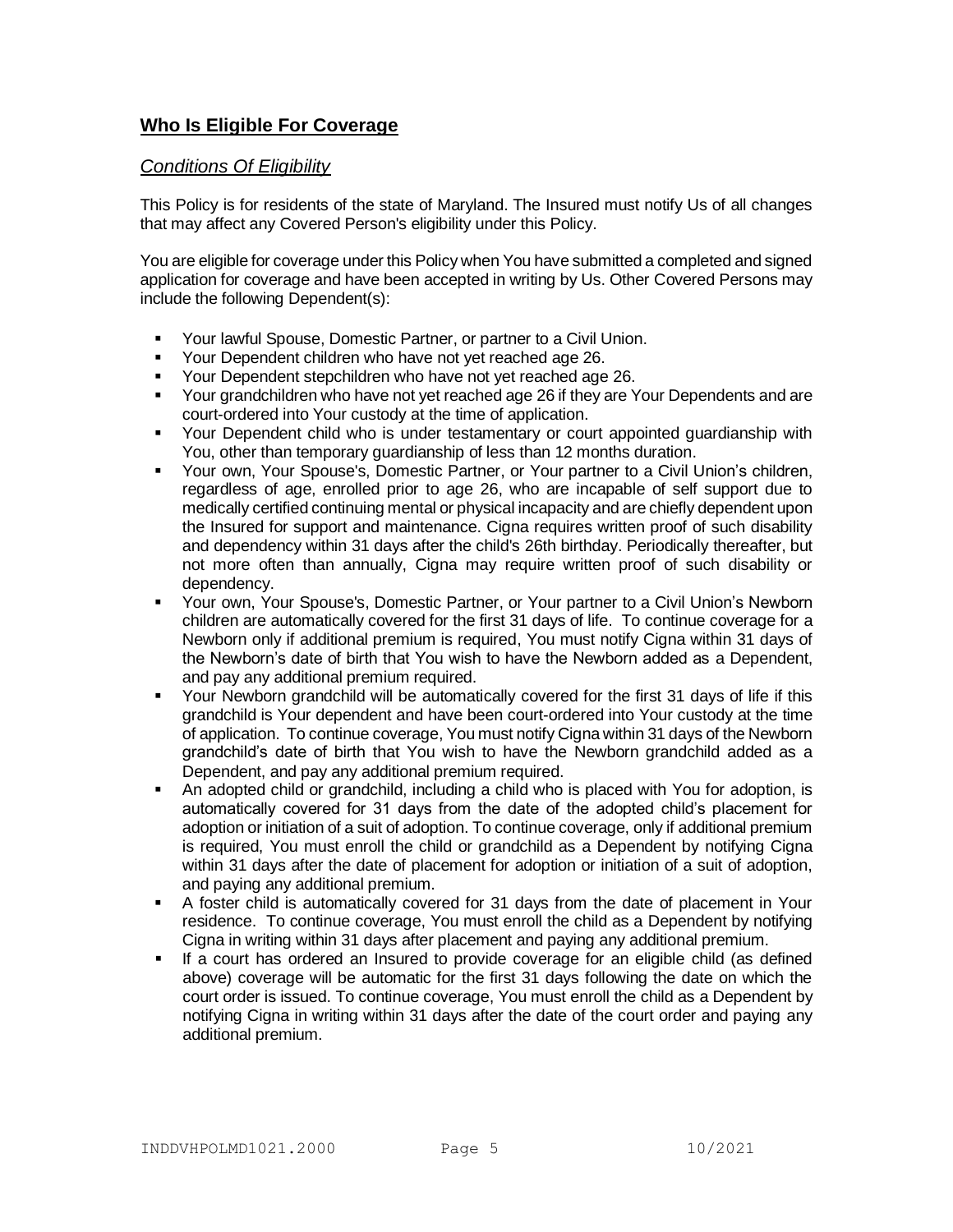# **Who Is Eligible For Coverage**

# *Conditions Of Eligibility*

This Policy is for residents of the state of Maryland. The Insured must notify Us of all changes that may affect any Covered Person's eligibility under this Policy.

You are eligible for coverage under this Policy when You have submitted a completed and signed application for coverage and have been accepted in writing by Us. Other Covered Persons may include the following Dependent(s):

- Your lawful Spouse, Domestic Partner, or partner to a Civil Union.
- Your Dependent children who have not yet reached age 26.
- Your Dependent stepchildren who have not yet reached age 26.
- Your grandchildren who have not yet reached age 26 if they are Your Dependents and are court-ordered into Your custody at the time of application.
- Your Dependent child who is under testamentary or court appointed guardianship with You, other than temporary guardianship of less than 12 months duration.
- Your own, Your Spouse's, Domestic Partner, or Your partner to a Civil Union's children, regardless of age, enrolled prior to age 26, who are incapable of self support due to medically certified continuing mental or physical incapacity and are chiefly dependent upon the Insured for support and maintenance. Cigna requires written proof of such disability and dependency within 31 days after the child's 26th birthday. Periodically thereafter, but not more often than annually, Cigna may require written proof of such disability or dependency.
- Your own, Your Spouse's, Domestic Partner, or Your partner to a Civil Union's Newborn children are automatically covered for the first 31 days of life. To continue coverage for a Newborn only if additional premium is required, You must notify Cigna within 31 days of the Newborn's date of birth that You wish to have the Newborn added as a Dependent, and pay any additional premium required.
- Your Newborn grandchild will be automatically covered for the first 31 days of life if this grandchild is Your dependent and have been court-ordered into Your custody at the time of application. To continue coverage, You must notify Cigna within 31 days of the Newborn grandchild's date of birth that You wish to have the Newborn grandchild added as a Dependent, and pay any additional premium required.
- An adopted child or grandchild, including a child who is placed with You for adoption, is automatically covered for 31 days from the date of the adopted child's placement for adoption or initiation of a suit of adoption. To continue coverage, only if additional premium is required, You must enroll the child or grandchild as a Dependent by notifying Cigna within 31 days after the date of placement for adoption or initiation of a suit of adoption, and paying any additional premium.
- A foster child is automatically covered for 31 days from the date of placement in Your residence. To continue coverage, You must enroll the child as a Dependent by notifying Cigna in writing within 31 days after placement and paying any additional premium.
- If a court has ordered an Insured to provide coverage for an eligible child (as defined above) coverage will be automatic for the first 31 days following the date on which the court order is issued. To continue coverage, You must enroll the child as a Dependent by notifying Cigna in writing within 31 days after the date of the court order and paying any additional premium.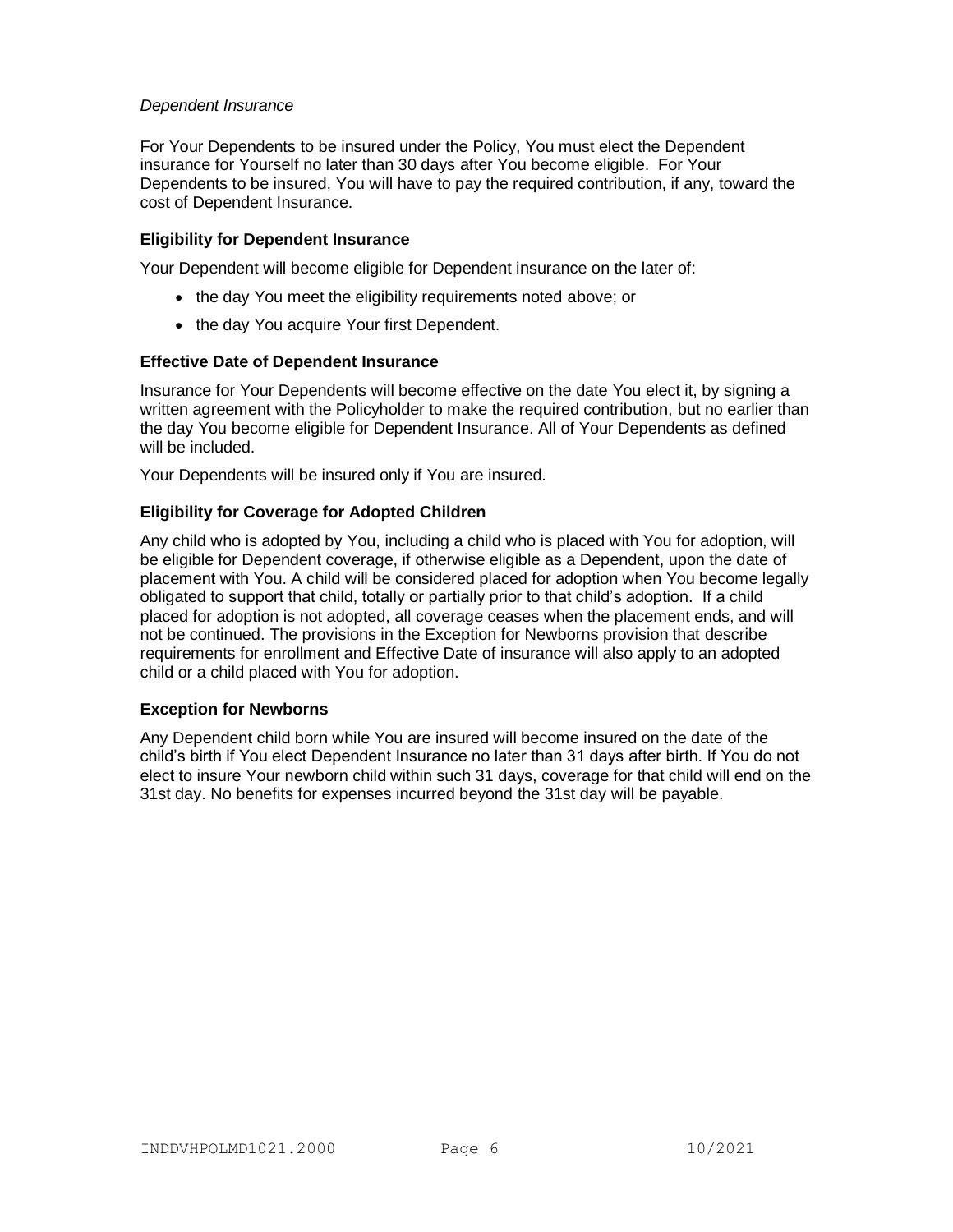## *Dependent Insurance*

For Your Dependents to be insured under the Policy, You must elect the Dependent insurance for Yourself no later than 30 days after You become eligible. For Your Dependents to be insured, You will have to pay the required contribution, if any, toward the cost of Dependent Insurance.

## **Eligibility for Dependent Insurance**

Your Dependent will become eligible for Dependent insurance on the later of:

- the day You meet the eligibility requirements noted above; or
- the day You acquire Your first Dependent.

#### **Effective Date of Dependent Insurance**

Insurance for Your Dependents will become effective on the date You elect it, by signing a written agreement with the Policyholder to make the required contribution, but no earlier than the day You become eligible for Dependent Insurance. All of Your Dependents as defined will be included.

Your Dependents will be insured only if You are insured.

# **Eligibility for Coverage for Adopted Children**

Any child who is adopted by You, including a child who is placed with You for adoption, will be eligible for Dependent coverage, if otherwise eligible as a Dependent, upon the date of placement with You. A child will be considered placed for adoption when You become legally obligated to support that child, totally or partially prior to that child's adoption. If a child placed for adoption is not adopted, all coverage ceases when the placement ends, and will not be continued. The provisions in the Exception for Newborns provision that describe requirements for enrollment and Effective Date of insurance will also apply to an adopted child or a child placed with You for adoption.

# **Exception for Newborns**

Any Dependent child born while You are insured will become insured on the date of the child's birth if You elect Dependent Insurance no later than 31 days after birth. If You do not elect to insure Your newborn child within such 31 days, coverage for that child will end on the 31st day. No benefits for expenses incurred beyond the 31st day will be payable.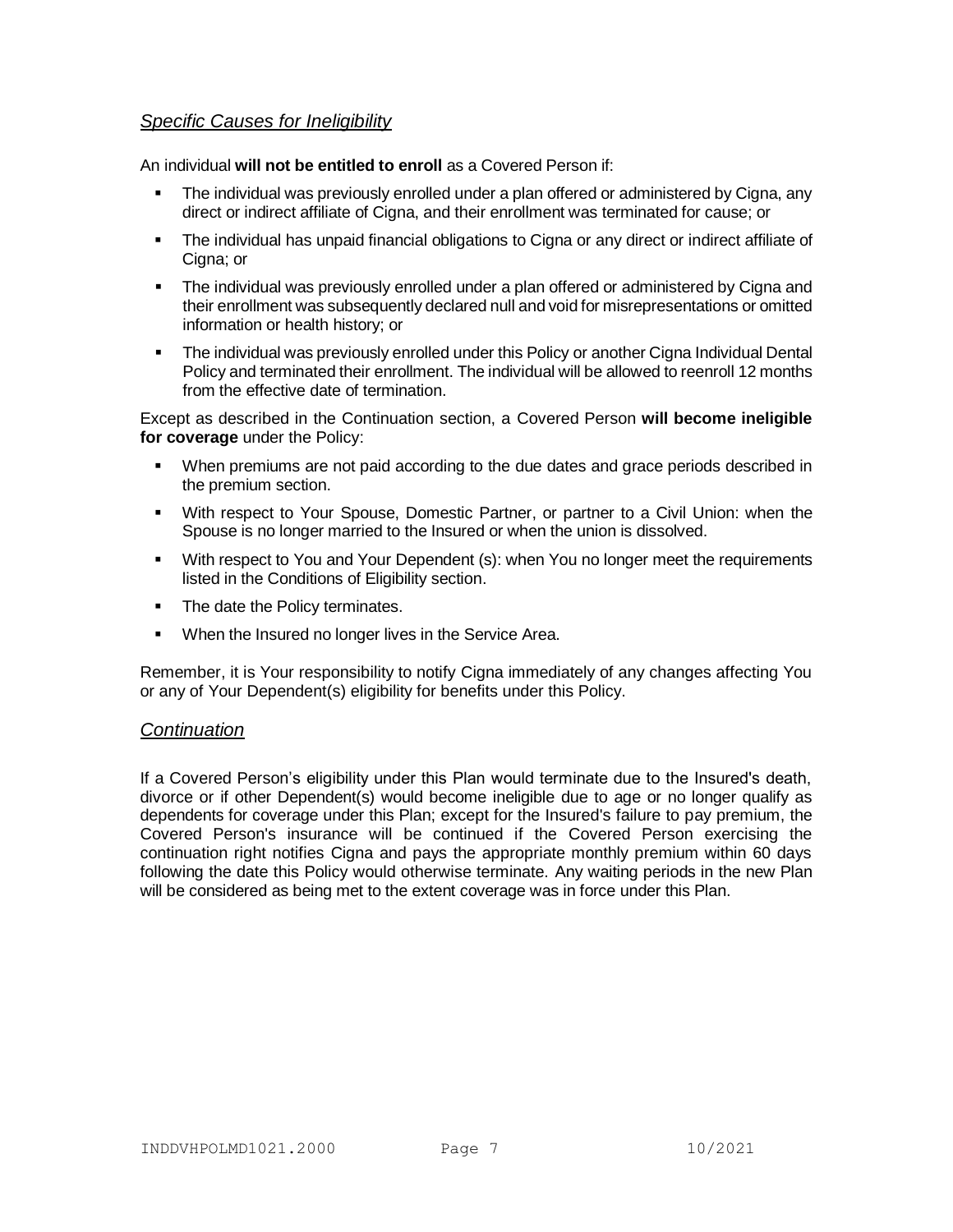# *Specific Causes for Ineligibility*

An individual **will not be entitled to enroll** as a Covered Person if:

- The individual was previously enrolled under a plan offered or administered by Cigna, any direct or indirect affiliate of Cigna, and their enrollment was terminated for cause; or
- The individual has unpaid financial obligations to Cigna or any direct or indirect affiliate of Cigna; or
- The individual was previously enrolled under a plan offered or administered by Cigna and their enrollment was subsequently declared null and void for misrepresentations or omitted information or health history; or
- The individual was previously enrolled under this Policy or another Cigna Individual Dental Policy and terminated their enrollment. The individual will be allowed to reenroll 12 months from the effective date of termination.

Except as described in the Continuation section, a Covered Person **will become ineligible for coverage** under the Policy:

- When premiums are not paid according to the due dates and grace periods described in the premium section.
- With respect to Your Spouse, Domestic Partner, or partner to a Civil Union: when the Spouse is no longer married to the Insured or when the union is dissolved.
- With respect to You and Your Dependent (s): when You no longer meet the requirements listed in the Conditions of Eligibility section.
- The date the Policy terminates.
- **When the Insured no longer lives in the Service Area.**

Remember, it is Your responsibility to notify Cigna immediately of any changes affecting You or any of Your Dependent(s) eligibility for benefits under this Policy.

# *Continuation*

If a Covered Person's eligibility under this Plan would terminate due to the Insured's death, divorce or if other Dependent(s) would become ineligible due to age or no longer qualify as dependents for coverage under this Plan; except for the Insured's failure to pay premium, the Covered Person's insurance will be continued if the Covered Person exercising the continuation right notifies Cigna and pays the appropriate monthly premium within 60 days following the date this Policy would otherwise terminate. Any waiting periods in the new Plan will be considered as being met to the extent coverage was in force under this Plan.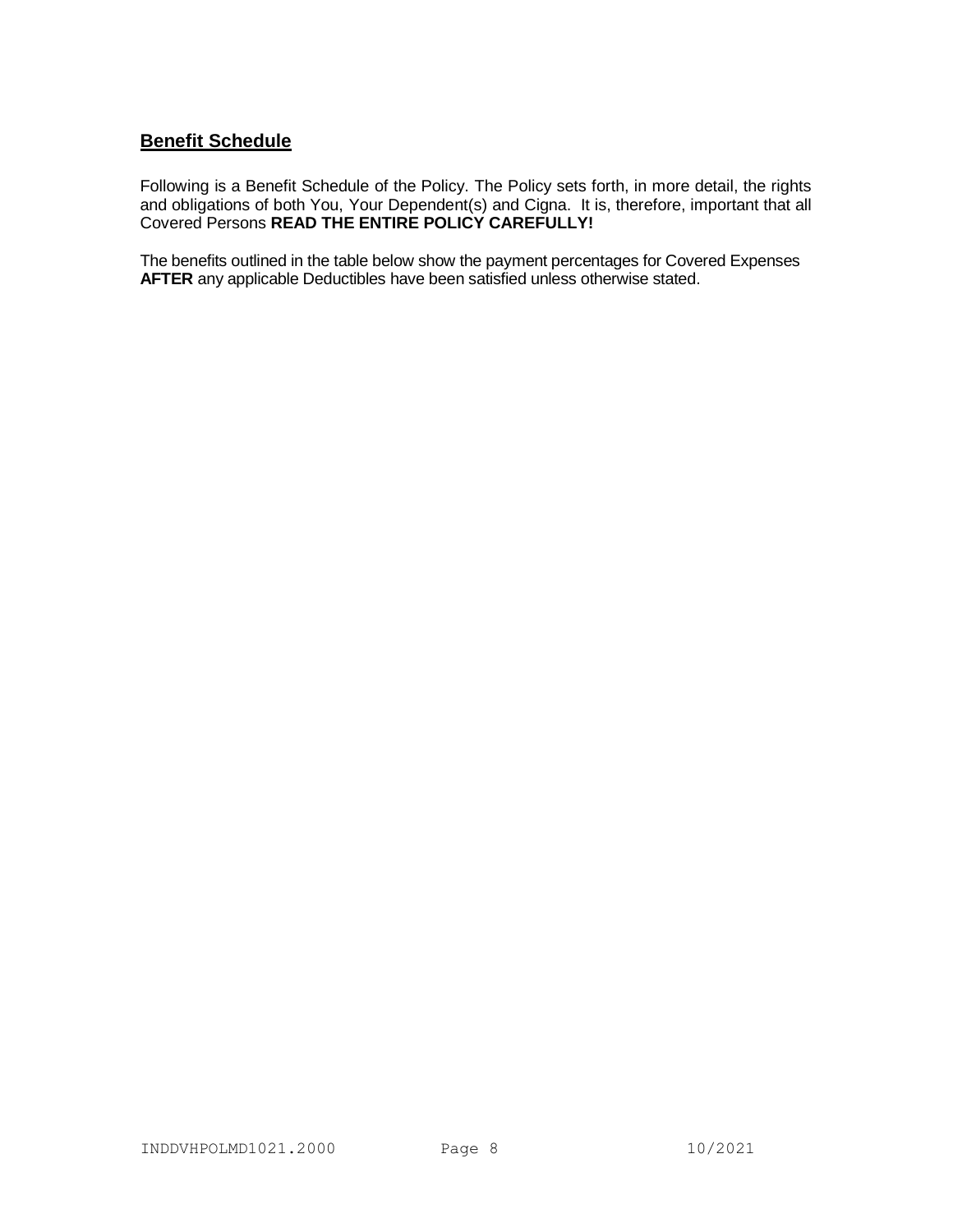# **Benefit Schedule**

Following is a Benefit Schedule of the Policy. The Policy sets forth, in more detail, the rights and obligations of both You, Your Dependent(s) and Cigna. It is, therefore, important that all Covered Persons **READ THE ENTIRE POLICY CAREFULLY!**

The benefits outlined in the table below show the payment percentages for Covered Expenses **AFTER** any applicable Deductibles have been satisfied unless otherwise stated.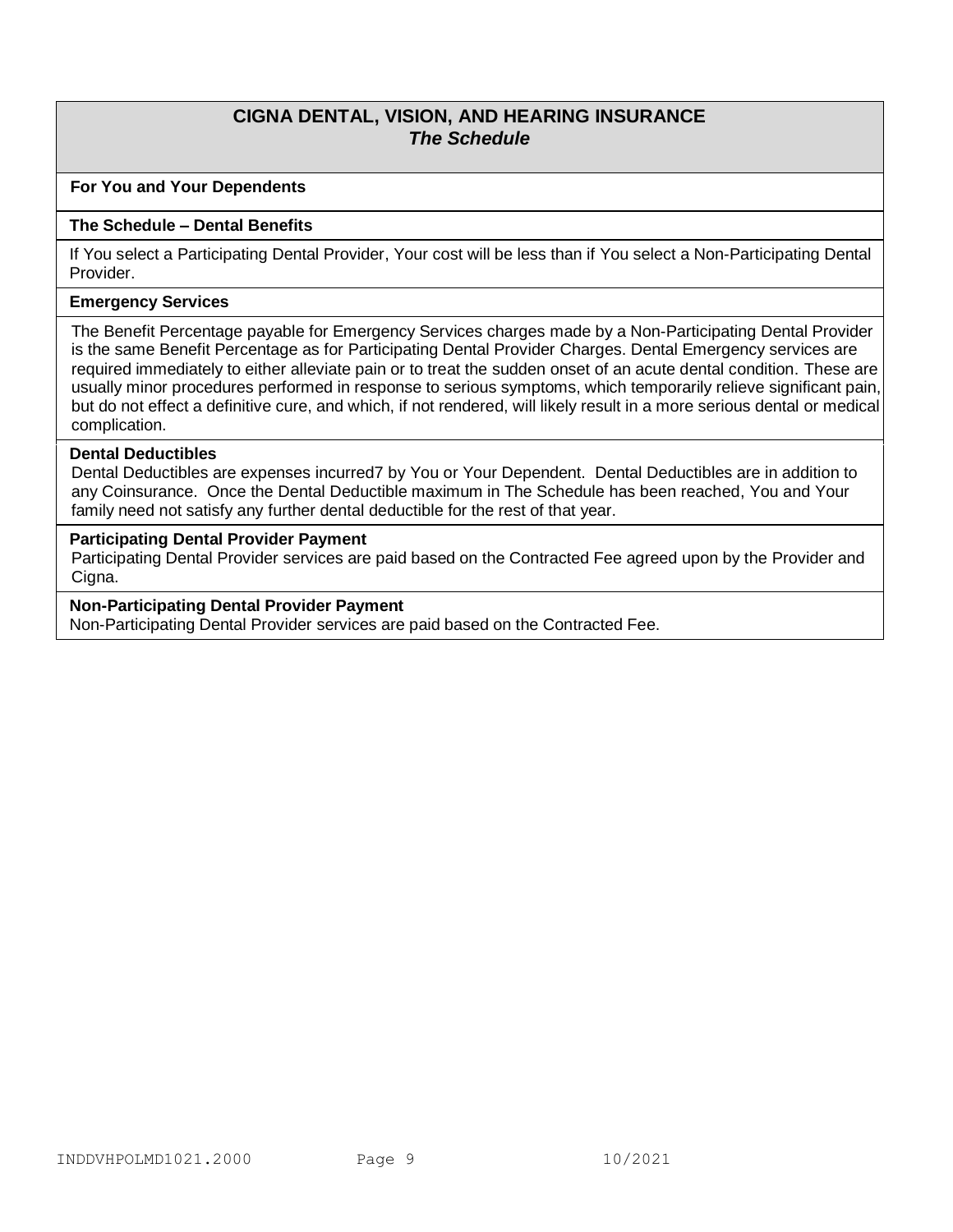# **CIGNA DENTAL, VISION, AND HEARING INSURANCE** *The Schedule*

### **For You and Your Dependents**

#### **The Schedule – Dental Benefits**

If You select a Participating Dental Provider, Your cost will be less than if You select a Non-Participating Dental Provider.

#### **Emergency Services**

The Benefit Percentage payable for Emergency Services charges made by a Non-Participating Dental Provider is the same Benefit Percentage as for Participating Dental Provider Charges. Dental Emergency services are required immediately to either alleviate pain or to treat the sudden onset of an acute dental condition. These are usually minor procedures performed in response to serious symptoms, which temporarily relieve significant pain, but do not effect a definitive cure, and which, if not rendered, will likely result in a more serious dental or medical complication.

#### **Dental Deductibles**

Dental Deductibles are expenses incurred7 by You or Your Dependent. Dental Deductibles are in addition to any Coinsurance. Once the Dental Deductible maximum in The Schedule has been reached, You and Your family need not satisfy any further dental deductible for the rest of that year.

# **Participating Dental Provider Payment**

Participating Dental Provider services are paid based on the Contracted Fee agreed upon by the Provider and Cigna.

#### **Non-Participating Dental Provider Payment**

Non-Participating Dental Provider services are paid based on the Contracted Fee.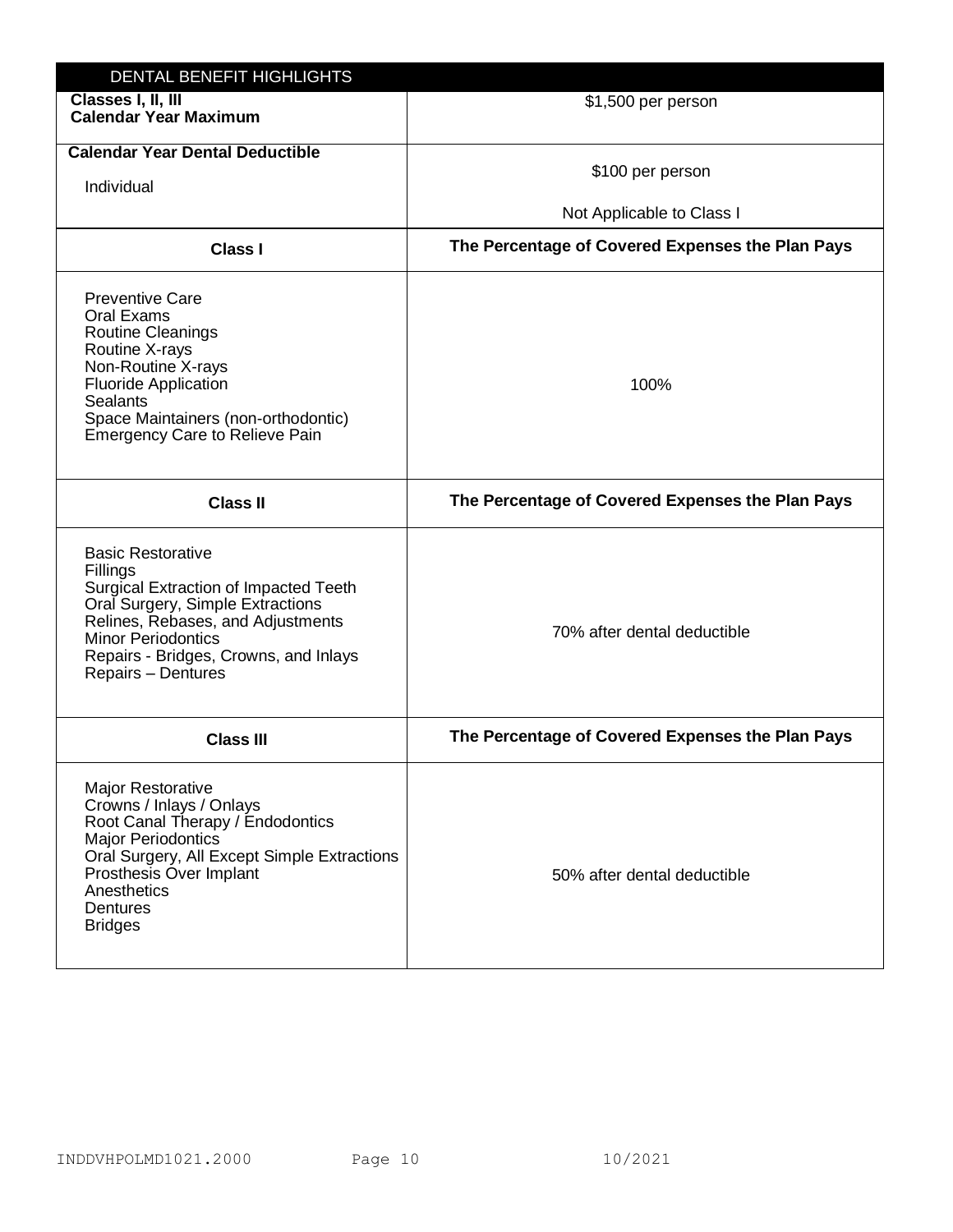| DENTAL BENEFIT HIGHLIGHTS                                                                                                                                                                                                                          |                                                  |
|----------------------------------------------------------------------------------------------------------------------------------------------------------------------------------------------------------------------------------------------------|--------------------------------------------------|
| Classes I, II, III<br><b>Calendar Year Maximum</b>                                                                                                                                                                                                 | \$1,500 per person                               |
| <b>Calendar Year Dental Deductible</b><br>Individual                                                                                                                                                                                               | \$100 per person<br>Not Applicable to Class I    |
| <b>Class I</b>                                                                                                                                                                                                                                     | The Percentage of Covered Expenses the Plan Pays |
| <b>Preventive Care</b><br>Oral Exams<br><b>Routine Cleanings</b><br>Routine X-rays<br>Non-Routine X-rays<br><b>Fluoride Application</b><br><b>Sealants</b><br>Space Maintainers (non-orthodontic)<br><b>Emergency Care to Relieve Pain</b>         | 100%                                             |
| <b>Class II</b>                                                                                                                                                                                                                                    | The Percentage of Covered Expenses the Plan Pays |
| <b>Basic Restorative</b><br>Fillings<br>Surgical Extraction of Impacted Teeth<br>Oral Surgery, Simple Extractions<br>Relines, Rebases, and Adjustments<br><b>Minor Periodontics</b><br>Repairs - Bridges, Crowns, and Inlays<br>Repairs - Dentures | 70% after dental deductible                      |
| <b>Class III</b>                                                                                                                                                                                                                                   | The Percentage of Covered Expenses the Plan Pays |
| <b>Major Restorative</b><br>Crowns / Inlays / Onlays<br>Root Canal Therapy / Endodontics<br><b>Major Periodontics</b><br>Oral Surgery, All Except Simple Extractions<br>Prosthesis Over Implant<br>Anesthetics<br>Dentures<br><b>Bridges</b>       | 50% after dental deductible                      |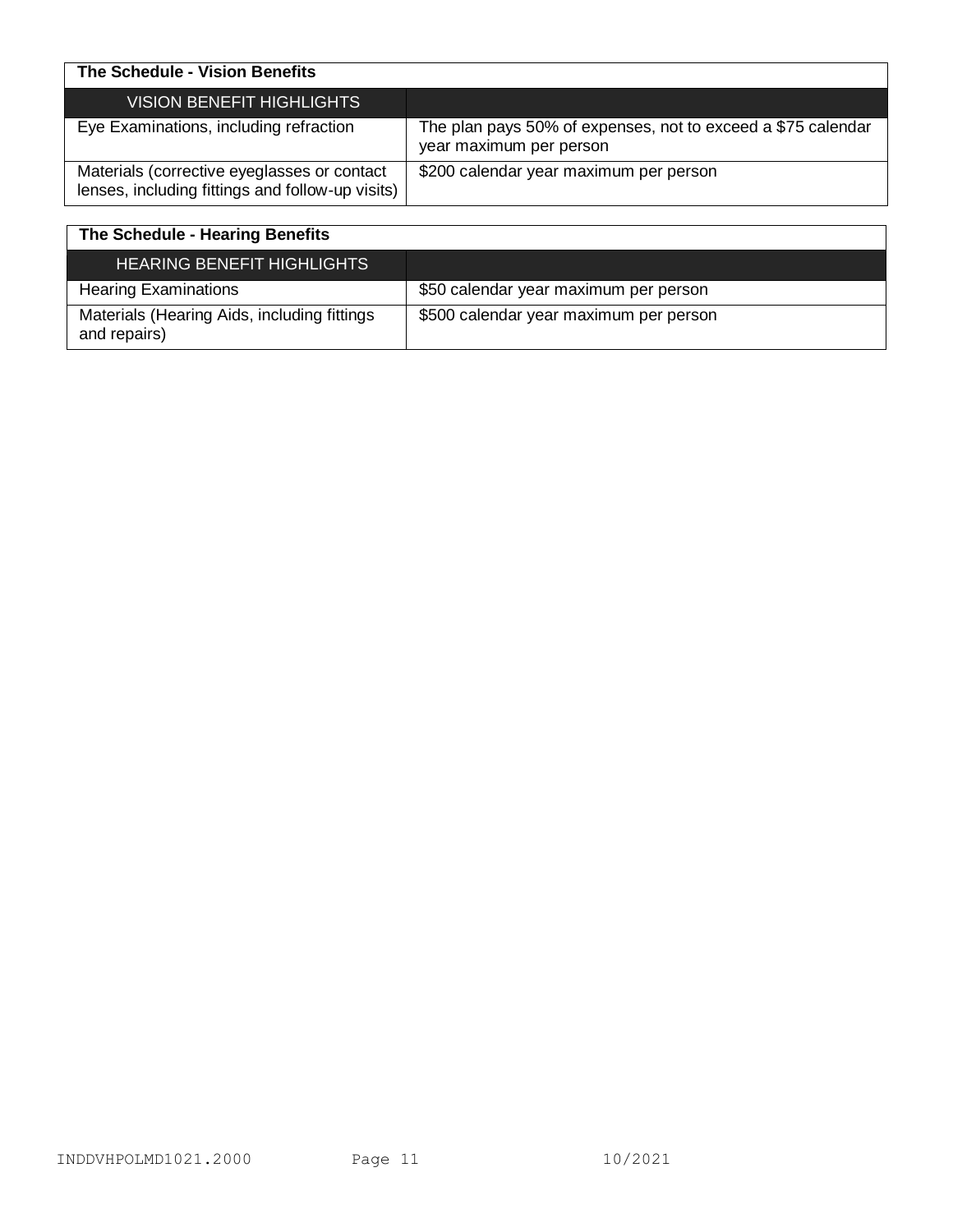| The Schedule - Vision Benefits                                                                  |                                                                                         |
|-------------------------------------------------------------------------------------------------|-----------------------------------------------------------------------------------------|
| <b>VISION BENEFIT HIGHLIGHTS</b>                                                                |                                                                                         |
| Eye Examinations, including refraction                                                          | The plan pays 50% of expenses, not to exceed a \$75 calendar<br>year maximum per person |
| Materials (corrective eyeglasses or contact<br>lenses, including fittings and follow-up visits) | \$200 calendar year maximum per person                                                  |

| The Schedule - Hearing Benefits                             |                                        |
|-------------------------------------------------------------|----------------------------------------|
| <b>HEARING BENEFIT HIGHLIGHTS</b>                           |                                        |
| <b>Hearing Examinations</b>                                 | \$50 calendar year maximum per person  |
| Materials (Hearing Aids, including fittings<br>and repairs) | \$500 calendar year maximum per person |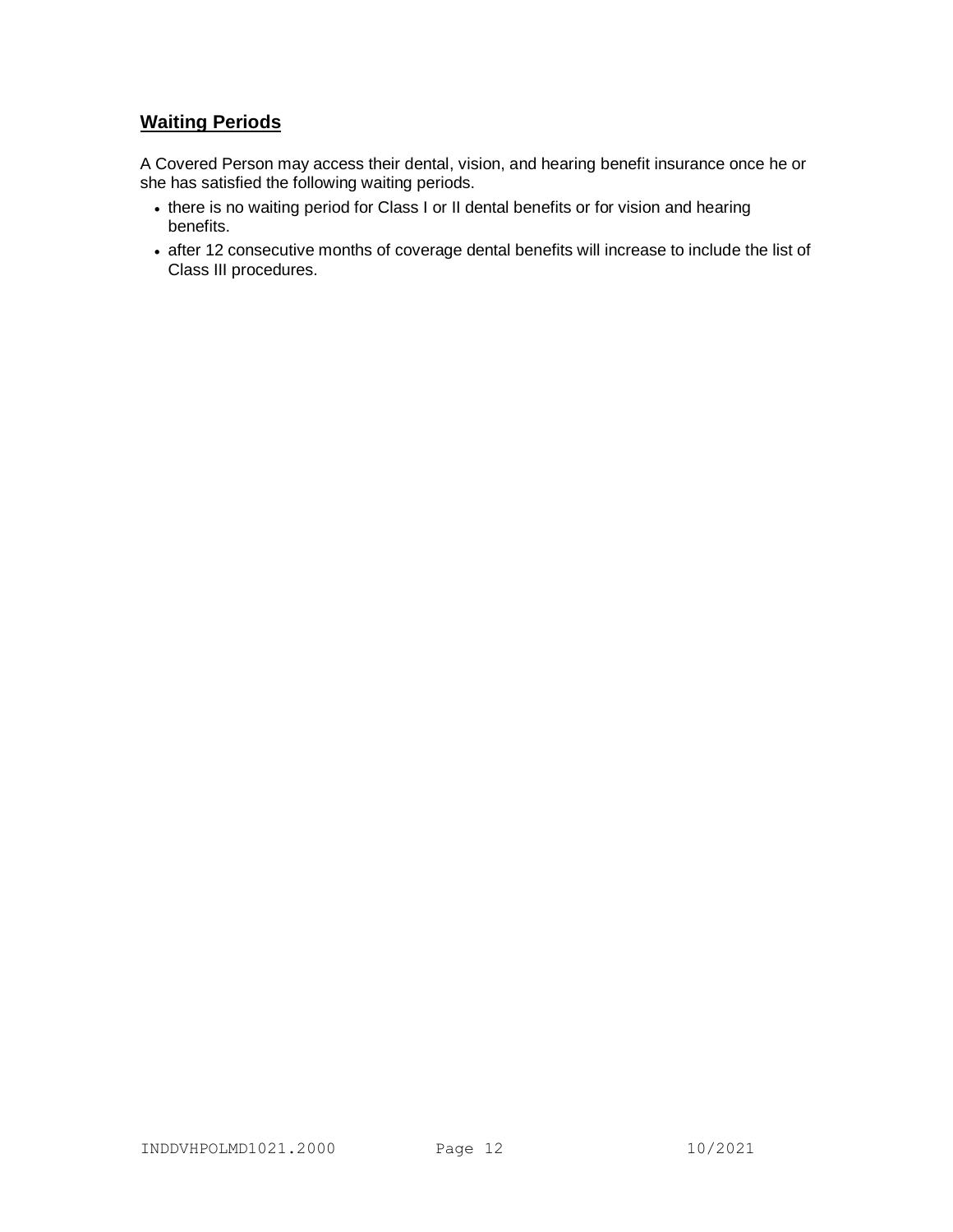# **Waiting Periods**

A Covered Person may access their dental, vision, and hearing benefit insurance once he or she has satisfied the following waiting periods.

- there is no waiting period for Class I or II dental benefits or for vision and hearing benefits.
- after 12 consecutive months of coverage dental benefits will increase to include the list of Class III procedures.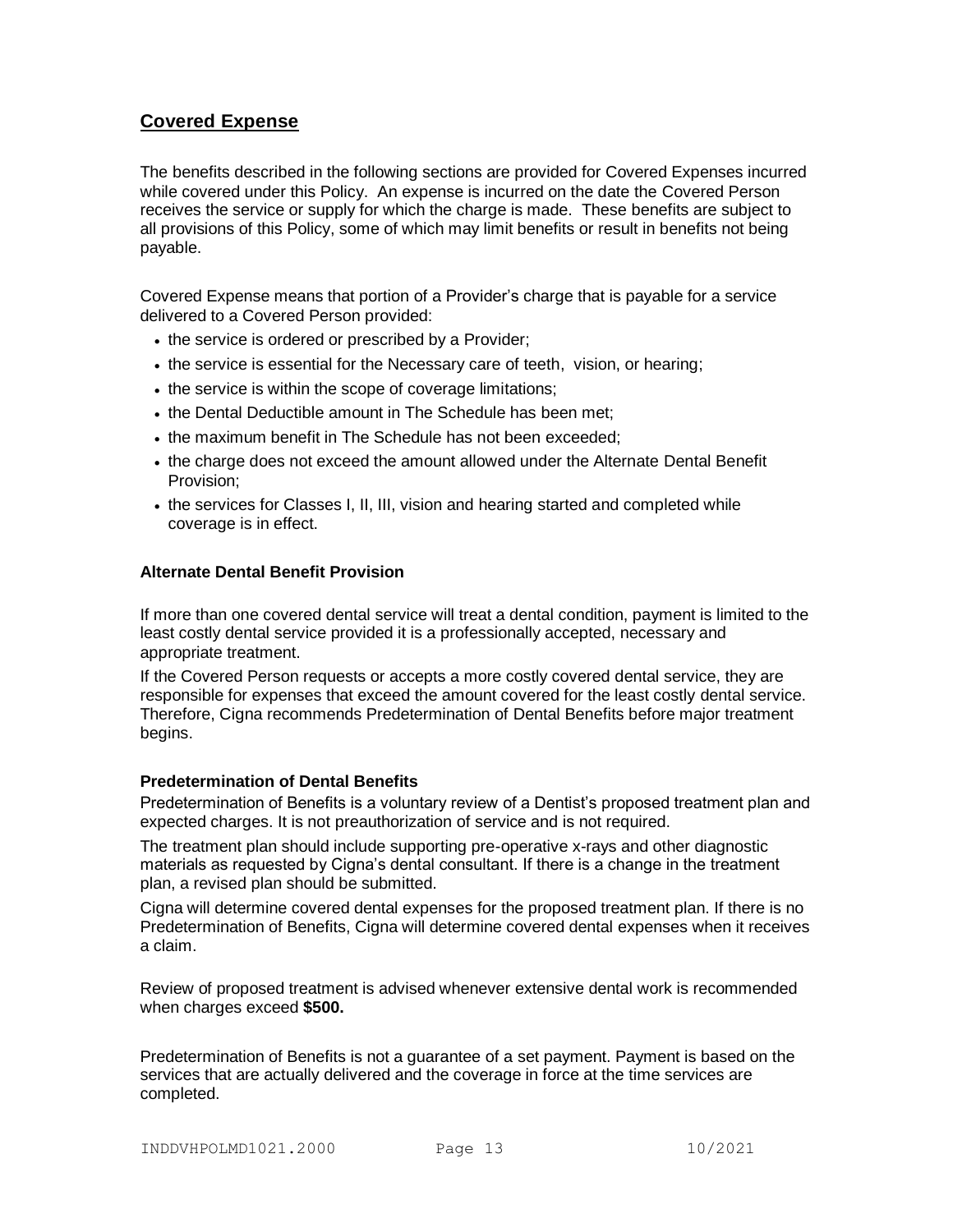# **Covered Expense**

The benefits described in the following sections are provided for Covered Expenses incurred while covered under this Policy. An expense is incurred on the date the Covered Person receives the service or supply for which the charge is made. These benefits are subject to all provisions of this Policy, some of which may limit benefits or result in benefits not being payable.

Covered Expense means that portion of a Provider's charge that is payable for a service delivered to a Covered Person provided:

- the service is ordered or prescribed by a Provider;
- the service is essential for the Necessary care of teeth, vision, or hearing;
- the service is within the scope of coverage limitations;
- the Dental Deductible amount in The Schedule has been met:
- the maximum benefit in The Schedule has not been exceeded;
- the charge does not exceed the amount allowed under the Alternate Dental Benefit Provision;
- the services for Classes I, II, III, vision and hearing started and completed while coverage is in effect.

### **Alternate Dental Benefit Provision**

If more than one covered dental service will treat a dental condition, payment is limited to the least costly dental service provided it is a professionally accepted, necessary and appropriate treatment.

If the Covered Person requests or accepts a more costly covered dental service, they are responsible for expenses that exceed the amount covered for the least costly dental service. Therefore, Cigna recommends Predetermination of Dental Benefits before major treatment begins.

#### **Predetermination of Dental Benefits**

Predetermination of Benefits is a voluntary review of a Dentist's proposed treatment plan and expected charges. It is not preauthorization of service and is not required.

The treatment plan should include supporting pre-operative x-rays and other diagnostic materials as requested by Cigna's dental consultant. If there is a change in the treatment plan, a revised plan should be submitted.

Cigna will determine covered dental expenses for the proposed treatment plan. If there is no Predetermination of Benefits, Cigna will determine covered dental expenses when it receives a claim.

Review of proposed treatment is advised whenever extensive dental work is recommended when charges exceed **\$500.**

Predetermination of Benefits is not a guarantee of a set payment. Payment is based on the services that are actually delivered and the coverage in force at the time services are completed.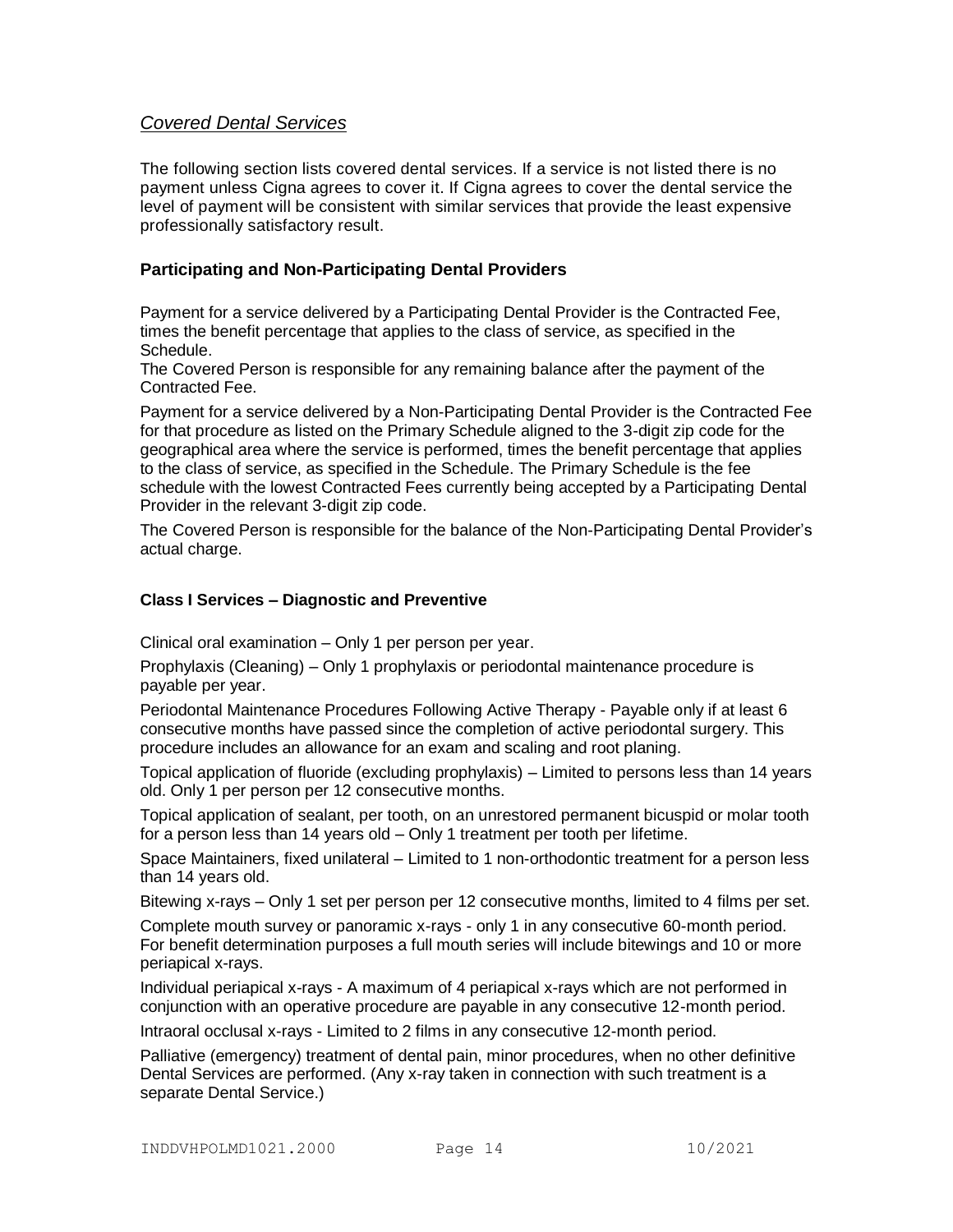# *Covered Dental Services*

The following section lists covered dental services. If a service is not listed there is no payment unless Cigna agrees to cover it. If Cigna agrees to cover the dental service the level of payment will be consistent with similar services that provide the least expensive professionally satisfactory result.

# **Participating and Non-Participating Dental Providers**

Payment for a service delivered by a Participating Dental Provider is the Contracted Fee, times the benefit percentage that applies to the class of service, as specified in the Schedule.

The Covered Person is responsible for any remaining balance after the payment of the Contracted Fee.

Payment for a service delivered by a Non-Participating Dental Provider is the Contracted Fee for that procedure as listed on the Primary Schedule aligned to the 3-digit zip code for the geographical area where the service is performed, times the benefit percentage that applies to the class of service, as specified in the Schedule. The Primary Schedule is the fee schedule with the lowest Contracted Fees currently being accepted by a Participating Dental Provider in the relevant 3-digit zip code.

The Covered Person is responsible for the balance of the Non-Participating Dental Provider's actual charge.

# **Class I Services – Diagnostic and Preventive**

Clinical oral examination – Only 1 per person per year.

Prophylaxis (Cleaning) – Only 1 prophylaxis or periodontal maintenance procedure is payable per year.

Periodontal Maintenance Procedures Following Active Therapy - Payable only if at least 6 consecutive months have passed since the completion of active periodontal surgery. This procedure includes an allowance for an exam and scaling and root planing.

Topical application of fluoride (excluding prophylaxis) – Limited to persons less than 14 years old. Only 1 per person per 12 consecutive months.

Topical application of sealant, per tooth, on an unrestored permanent bicuspid or molar tooth for a person less than 14 years old – Only 1 treatment per tooth per lifetime.

Space Maintainers, fixed unilateral – Limited to 1 non-orthodontic treatment for a person less than 14 years old.

Bitewing x-rays – Only 1 set per person per 12 consecutive months, limited to 4 films per set.

Complete mouth survey or panoramic x-rays - only 1 in any consecutive 60-month period. For benefit determination purposes a full mouth series will include bitewings and 10 or more periapical x-rays.

Individual periapical x-rays - A maximum of 4 periapical x-rays which are not performed in conjunction with an operative procedure are payable in any consecutive 12-month period.

Intraoral occlusal x-rays - Limited to 2 films in any consecutive 12-month period.

Palliative (emergency) treatment of dental pain, minor procedures, when no other definitive Dental Services are performed. (Any x-ray taken in connection with such treatment is a separate Dental Service.)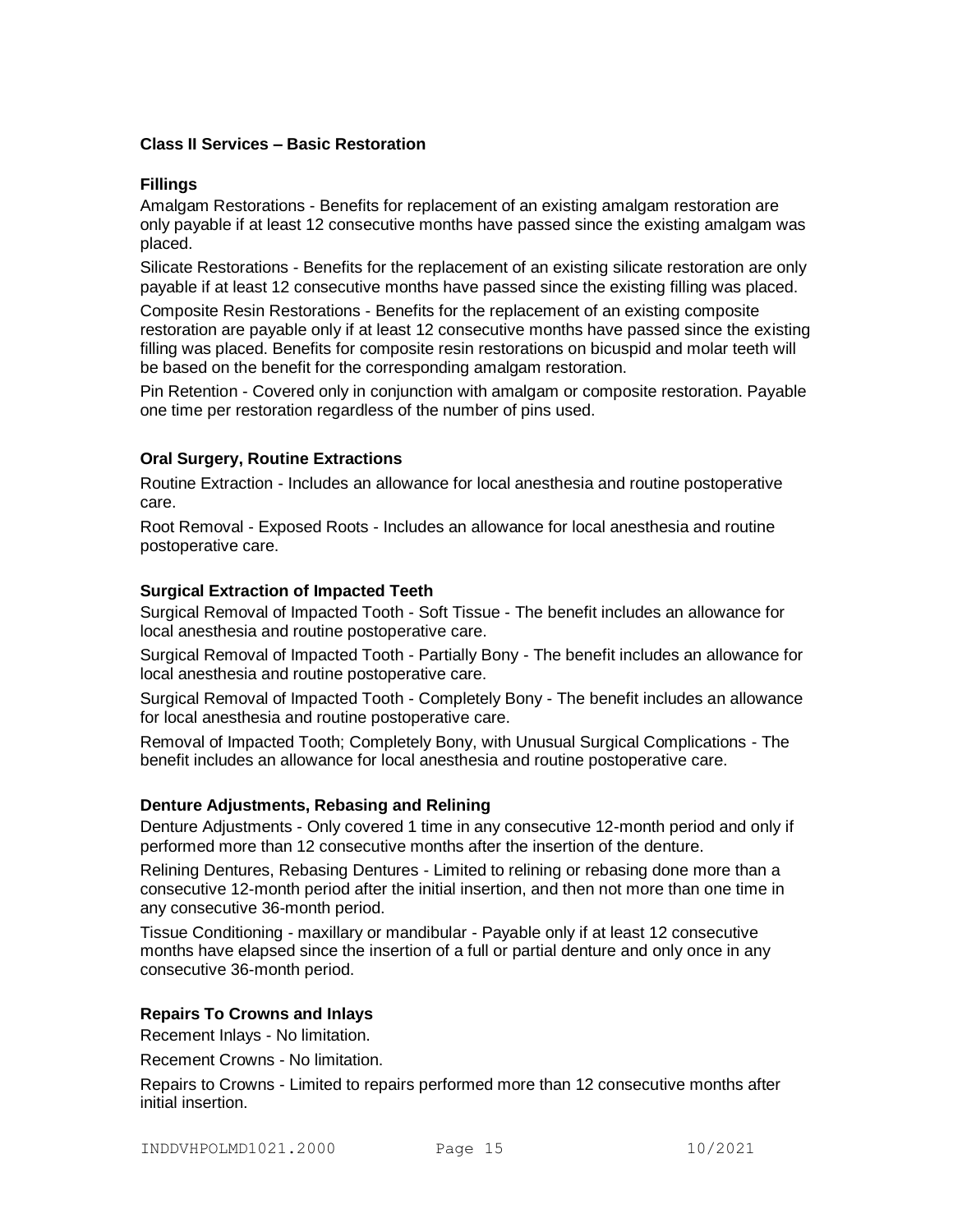# **Class II Services – Basic Restoration**

### **Fillings**

Amalgam Restorations - Benefits for replacement of an existing amalgam restoration are only payable if at least 12 consecutive months have passed since the existing amalgam was placed.

Silicate Restorations - Benefits for the replacement of an existing silicate restoration are only payable if at least 12 consecutive months have passed since the existing filling was placed.

Composite Resin Restorations - Benefits for the replacement of an existing composite restoration are payable only if at least 12 consecutive months have passed since the existing filling was placed. Benefits for composite resin restorations on bicuspid and molar teeth will be based on the benefit for the corresponding amalgam restoration.

Pin Retention - Covered only in conjunction with amalgam or composite restoration. Payable one time per restoration regardless of the number of pins used.

# **Oral Surgery, Routine Extractions**

Routine Extraction - Includes an allowance for local anesthesia and routine postoperative care.

Root Removal - Exposed Roots - Includes an allowance for local anesthesia and routine postoperative care.

### **Surgical Extraction of Impacted Teeth**

Surgical Removal of Impacted Tooth - Soft Tissue - The benefit includes an allowance for local anesthesia and routine postoperative care.

Surgical Removal of Impacted Tooth - Partially Bony - The benefit includes an allowance for local anesthesia and routine postoperative care.

Surgical Removal of Impacted Tooth - Completely Bony - The benefit includes an allowance for local anesthesia and routine postoperative care.

Removal of Impacted Tooth; Completely Bony, with Unusual Surgical Complications - The benefit includes an allowance for local anesthesia and routine postoperative care.

#### **Denture Adjustments, Rebasing and Relining**

Denture Adjustments - Only covered 1 time in any consecutive 12-month period and only if performed more than 12 consecutive months after the insertion of the denture.

Relining Dentures, Rebasing Dentures - Limited to relining or rebasing done more than a consecutive 12-month period after the initial insertion, and then not more than one time in any consecutive 36-month period.

Tissue Conditioning - maxillary or mandibular - Payable only if at least 12 consecutive months have elapsed since the insertion of a full or partial denture and only once in any consecutive 36-month period.

# **Repairs To Crowns and Inlays**

Recement Inlays - No limitation.

Recement Crowns - No limitation.

Repairs to Crowns - Limited to repairs performed more than 12 consecutive months after initial insertion.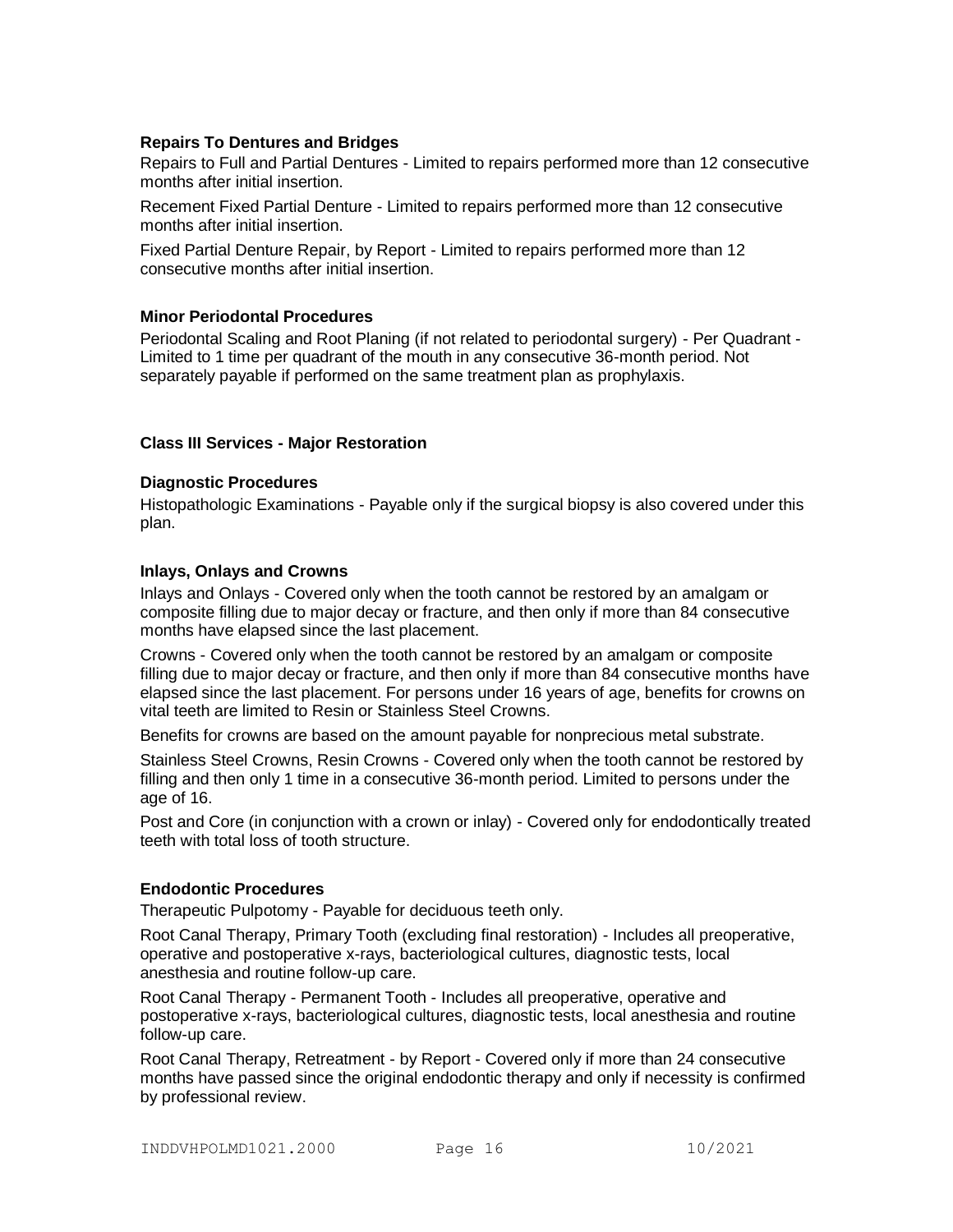# **Repairs To Dentures and Bridges**

Repairs to Full and Partial Dentures - Limited to repairs performed more than 12 consecutive months after initial insertion.

Recement Fixed Partial Denture - Limited to repairs performed more than 12 consecutive months after initial insertion.

Fixed Partial Denture Repair, by Report - Limited to repairs performed more than 12 consecutive months after initial insertion.

### **Minor Periodontal Procedures**

Periodontal Scaling and Root Planing (if not related to periodontal surgery) - Per Quadrant - Limited to 1 time per quadrant of the mouth in any consecutive 36-month period. Not separately payable if performed on the same treatment plan as prophylaxis.

### **Class III Services - Major Restoration**

### **Diagnostic Procedures**

Histopathologic Examinations - Payable only if the surgical biopsy is also covered under this plan.

#### **Inlays, Onlays and Crowns**

Inlays and Onlays - Covered only when the tooth cannot be restored by an amalgam or composite filling due to major decay or fracture, and then only if more than 84 consecutive months have elapsed since the last placement.

Crowns - Covered only when the tooth cannot be restored by an amalgam or composite filling due to major decay or fracture, and then only if more than 84 consecutive months have elapsed since the last placement. For persons under 16 years of age, benefits for crowns on vital teeth are limited to Resin or Stainless Steel Crowns.

Benefits for crowns are based on the amount payable for nonprecious metal substrate.

Stainless Steel Crowns, Resin Crowns - Covered only when the tooth cannot be restored by filling and then only 1 time in a consecutive 36-month period. Limited to persons under the age of 16.

Post and Core (in conjunction with a crown or inlay) - Covered only for endodontically treated teeth with total loss of tooth structure.

#### **Endodontic Procedures**

Therapeutic Pulpotomy - Payable for deciduous teeth only.

Root Canal Therapy, Primary Tooth (excluding final restoration) - Includes all preoperative, operative and postoperative x-rays, bacteriological cultures, diagnostic tests, local anesthesia and routine follow-up care.

Root Canal Therapy - Permanent Tooth - Includes all preoperative, operative and postoperative x-rays, bacteriological cultures, diagnostic tests, local anesthesia and routine follow-up care.

Root Canal Therapy, Retreatment - by Report - Covered only if more than 24 consecutive months have passed since the original endodontic therapy and only if necessity is confirmed by professional review.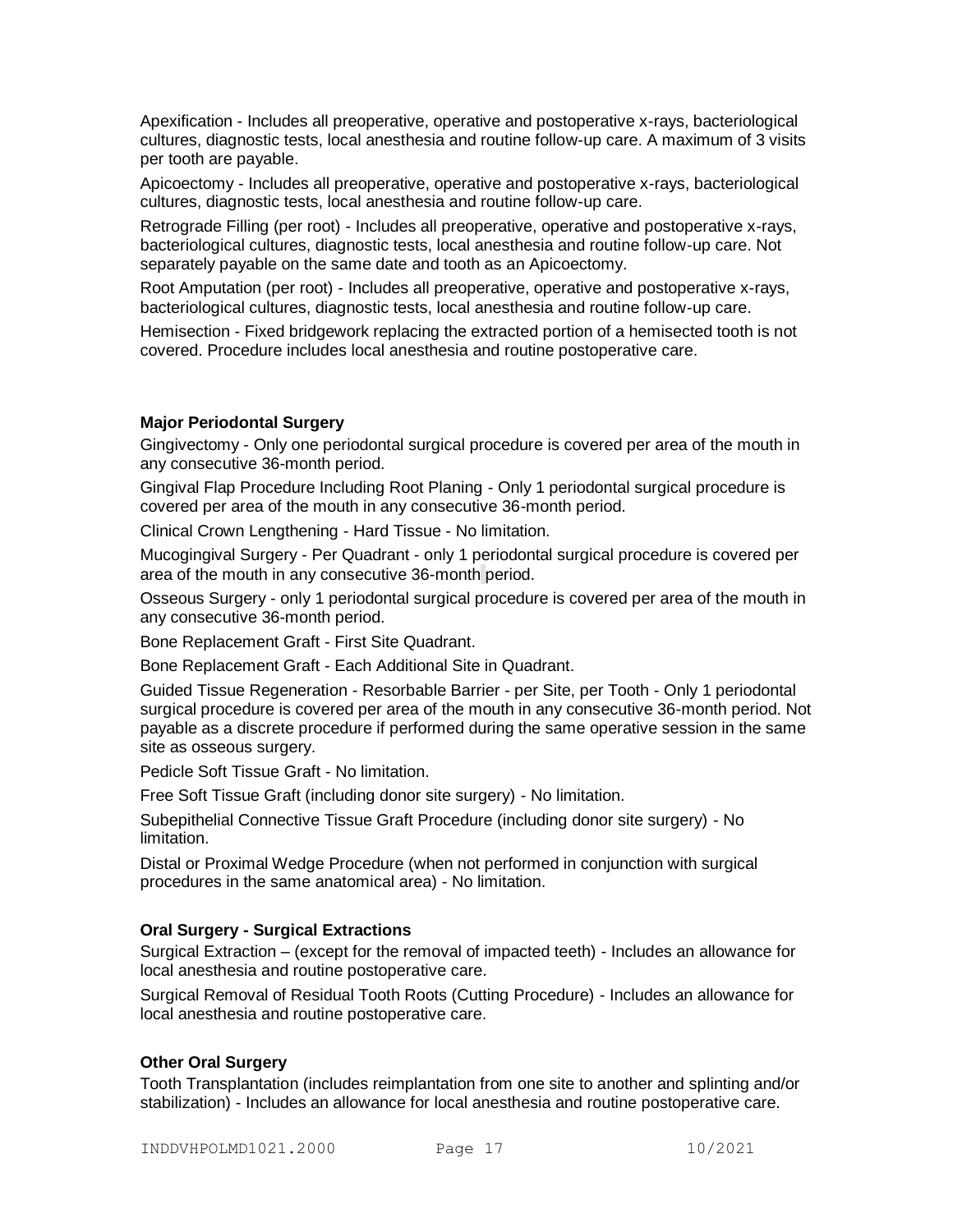Apexification - Includes all preoperative, operative and postoperative x-rays, bacteriological cultures, diagnostic tests, local anesthesia and routine follow-up care. A maximum of 3 visits per tooth are payable.

Apicoectomy - Includes all preoperative, operative and postoperative x-rays, bacteriological cultures, diagnostic tests, local anesthesia and routine follow-up care.

Retrograde Filling (per root) - Includes all preoperative, operative and postoperative x-rays, bacteriological cultures, diagnostic tests, local anesthesia and routine follow-up care. Not separately payable on the same date and tooth as an Apicoectomy.

Root Amputation (per root) - Includes all preoperative, operative and postoperative x-rays, bacteriological cultures, diagnostic tests, local anesthesia and routine follow-up care.

Hemisection - Fixed bridgework replacing the extracted portion of a hemisected tooth is not covered. Procedure includes local anesthesia and routine postoperative care.

# **Major Periodontal Surgery**

Gingivectomy - Only one periodontal surgical procedure is covered per area of the mouth in any consecutive 36-month period.

Gingival Flap Procedure Including Root Planing - Only 1 periodontal surgical procedure is covered per area of the mouth in any consecutive 36-month period.

Clinical Crown Lengthening - Hard Tissue - No limitation.

Mucogingival Surgery - Per Quadrant - only 1 periodontal surgical procedure is covered per area of the mouth in any consecutive 36-month period.

Osseous Surgery - only 1 periodontal surgical procedure is covered per area of the mouth in any consecutive 36-month period.

Bone Replacement Graft - First Site Quadrant.

Bone Replacement Graft - Each Additional Site in Quadrant.

Guided Tissue Regeneration - Resorbable Barrier - per Site, per Tooth - Only 1 periodontal surgical procedure is covered per area of the mouth in any consecutive 36-month period. Not payable as a discrete procedure if performed during the same operative session in the same site as osseous surgery.

Pedicle Soft Tissue Graft - No limitation.

Free Soft Tissue Graft (including donor site surgery) - No limitation.

Subepithelial Connective Tissue Graft Procedure (including donor site surgery) - No limitation.

Distal or Proximal Wedge Procedure (when not performed in conjunction with surgical procedures in the same anatomical area) - No limitation.

# **Oral Surgery - Surgical Extractions**

Surgical Extraction – (except for the removal of impacted teeth) - Includes an allowance for local anesthesia and routine postoperative care.

Surgical Removal of Residual Tooth Roots (Cutting Procedure) - Includes an allowance for local anesthesia and routine postoperative care.

# **Other Oral Surgery**

Tooth Transplantation (includes reimplantation from one site to another and splinting and/or stabilization) - Includes an allowance for local anesthesia and routine postoperative care.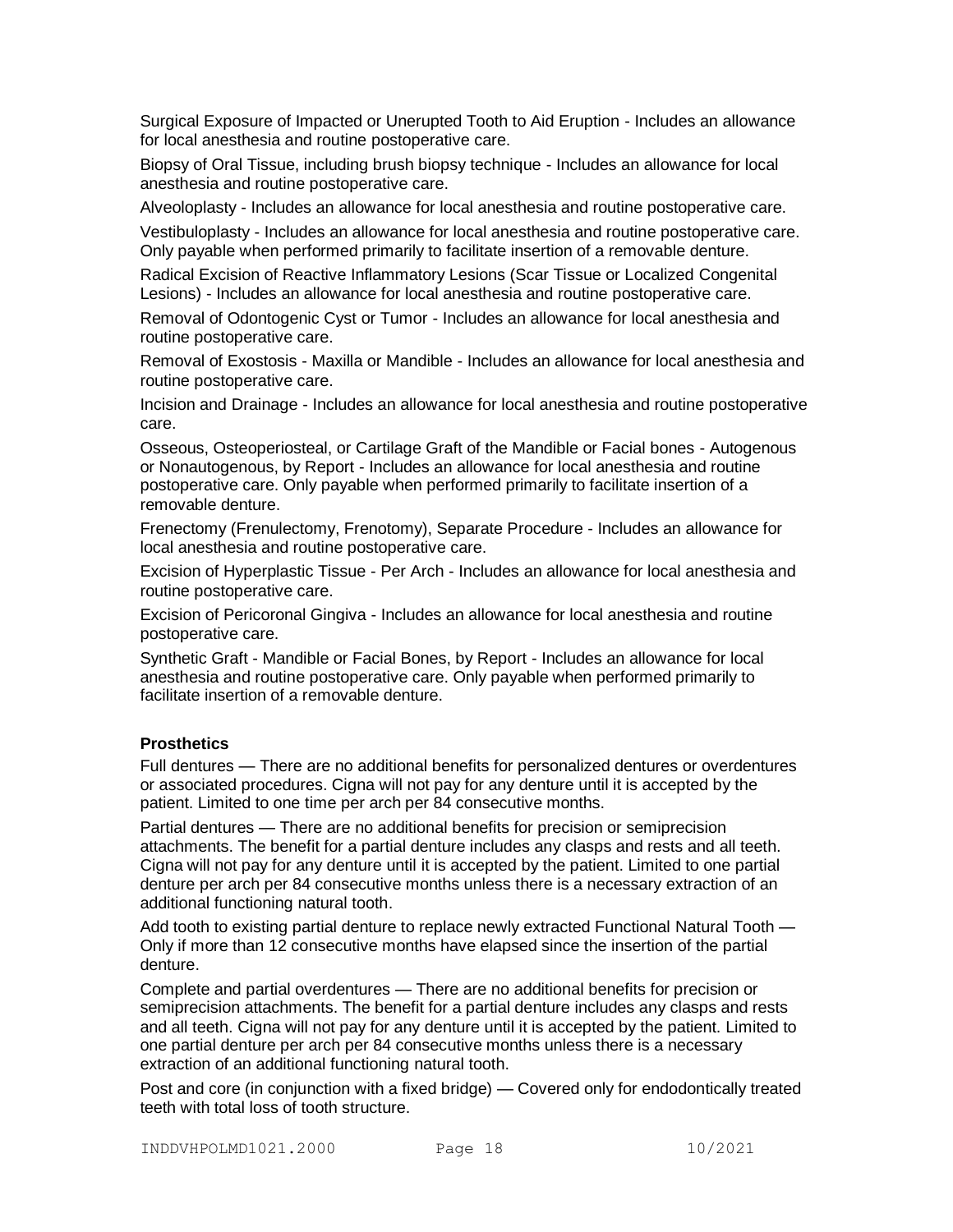Surgical Exposure of Impacted or Unerupted Tooth to Aid Eruption - Includes an allowance for local anesthesia and routine postoperative care.

Biopsy of Oral Tissue, including brush biopsy technique - Includes an allowance for local anesthesia and routine postoperative care.

Alveoloplasty - Includes an allowance for local anesthesia and routine postoperative care.

Vestibuloplasty - Includes an allowance for local anesthesia and routine postoperative care. Only payable when performed primarily to facilitate insertion of a removable denture.

Radical Excision of Reactive Inflammatory Lesions (Scar Tissue or Localized Congenital Lesions) - Includes an allowance for local anesthesia and routine postoperative care.

Removal of Odontogenic Cyst or Tumor - Includes an allowance for local anesthesia and routine postoperative care.

Removal of Exostosis - Maxilla or Mandible - Includes an allowance for local anesthesia and routine postoperative care.

Incision and Drainage - Includes an allowance for local anesthesia and routine postoperative care.

Osseous, Osteoperiosteal, or Cartilage Graft of the Mandible or Facial bones - Autogenous or Nonautogenous, by Report - Includes an allowance for local anesthesia and routine postoperative care. Only payable when performed primarily to facilitate insertion of a removable denture.

Frenectomy (Frenulectomy, Frenotomy), Separate Procedure - Includes an allowance for local anesthesia and routine postoperative care.

Excision of Hyperplastic Tissue - Per Arch - Includes an allowance for local anesthesia and routine postoperative care.

Excision of Pericoronal Gingiva - Includes an allowance for local anesthesia and routine postoperative care.

Synthetic Graft - Mandible or Facial Bones, by Report - Includes an allowance for local anesthesia and routine postoperative care. Only payable when performed primarily to facilitate insertion of a removable denture.

# **Prosthetics**

Full dentures — There are no additional benefits for personalized dentures or overdentures or associated procedures. Cigna will not pay for any denture until it is accepted by the patient. Limited to one time per arch per 84 consecutive months.

Partial dentures — There are no additional benefits for precision or semiprecision attachments. The benefit for a partial denture includes any clasps and rests and all teeth. Cigna will not pay for any denture until it is accepted by the patient. Limited to one partial denture per arch per 84 consecutive months unless there is a necessary extraction of an additional functioning natural tooth.

Add tooth to existing partial denture to replace newly extracted Functional Natural Tooth — Only if more than 12 consecutive months have elapsed since the insertion of the partial denture.

Complete and partial overdentures — There are no additional benefits for precision or semiprecision attachments. The benefit for a partial denture includes any clasps and rests and all teeth. Cigna will not pay for any denture until it is accepted by the patient. Limited to one partial denture per arch per 84 consecutive months unless there is a necessary extraction of an additional functioning natural tooth.

Post and core (in conjunction with a fixed bridge) — Covered only for endodontically treated teeth with total loss of tooth structure.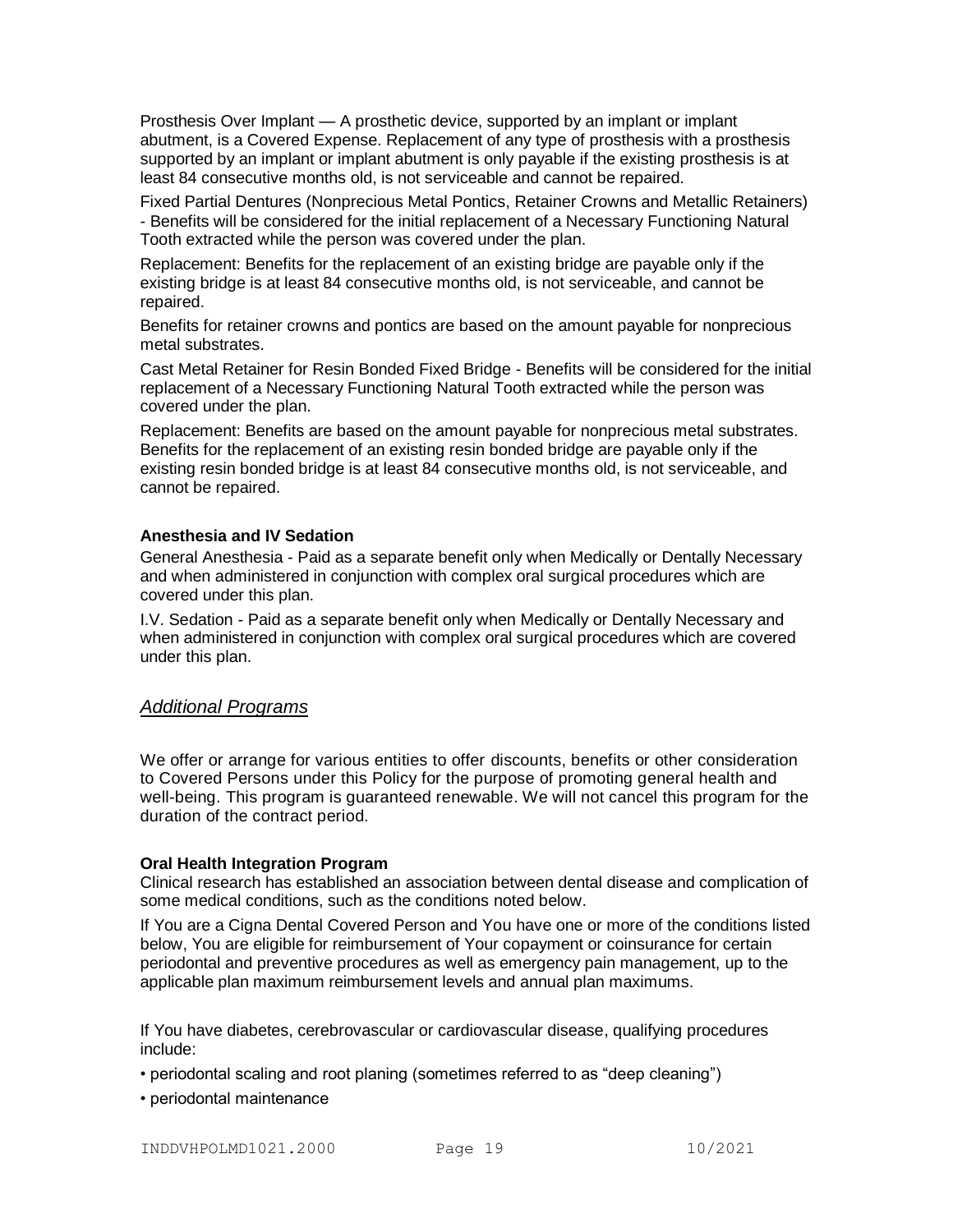Prosthesis Over Implant — A prosthetic device, supported by an implant or implant abutment, is a Covered Expense. Replacement of any type of prosthesis with a prosthesis supported by an implant or implant abutment is only payable if the existing prosthesis is at least 84 consecutive months old, is not serviceable and cannot be repaired.

Fixed Partial Dentures (Nonprecious Metal Pontics, Retainer Crowns and Metallic Retainers) - Benefits will be considered for the initial replacement of a Necessary Functioning Natural Tooth extracted while the person was covered under the plan.

Replacement: Benefits for the replacement of an existing bridge are payable only if the existing bridge is at least 84 consecutive months old, is not serviceable, and cannot be repaired.

Benefits for retainer crowns and pontics are based on the amount payable for nonprecious metal substrates.

Cast Metal Retainer for Resin Bonded Fixed Bridge - Benefits will be considered for the initial replacement of a Necessary Functioning Natural Tooth extracted while the person was covered under the plan.

Replacement: Benefits are based on the amount payable for nonprecious metal substrates. Benefits for the replacement of an existing resin bonded bridge are payable only if the existing resin bonded bridge is at least 84 consecutive months old, is not serviceable, and cannot be repaired.

# **Anesthesia and IV Sedation**

General Anesthesia - Paid as a separate benefit only when Medically or Dentally Necessary and when administered in conjunction with complex oral surgical procedures which are covered under this plan.

I.V. Sedation - Paid as a separate benefit only when Medically or Dentally Necessary and when administered in conjunction with complex oral surgical procedures which are covered under this plan.

# *Additional Programs*

We offer or arrange for various entities to offer discounts, benefits or other consideration to Covered Persons under this Policy for the purpose of promoting general health and well-being. This program is guaranteed renewable. We will not cancel this program for the duration of the contract period.

# **Oral Health Integration Program**

Clinical research has established an association between dental disease and complication of some medical conditions, such as the conditions noted below.

If You are a Cigna Dental Covered Person and You have one or more of the conditions listed below, You are eligible for reimbursement of Your copayment or coinsurance for certain periodontal and preventive procedures as well as emergency pain management, up to the applicable plan maximum reimbursement levels and annual plan maximums.

If You have diabetes, cerebrovascular or cardiovascular disease, qualifying procedures include:

- periodontal scaling and root planing (sometimes referred to as "deep cleaning")
- periodontal maintenance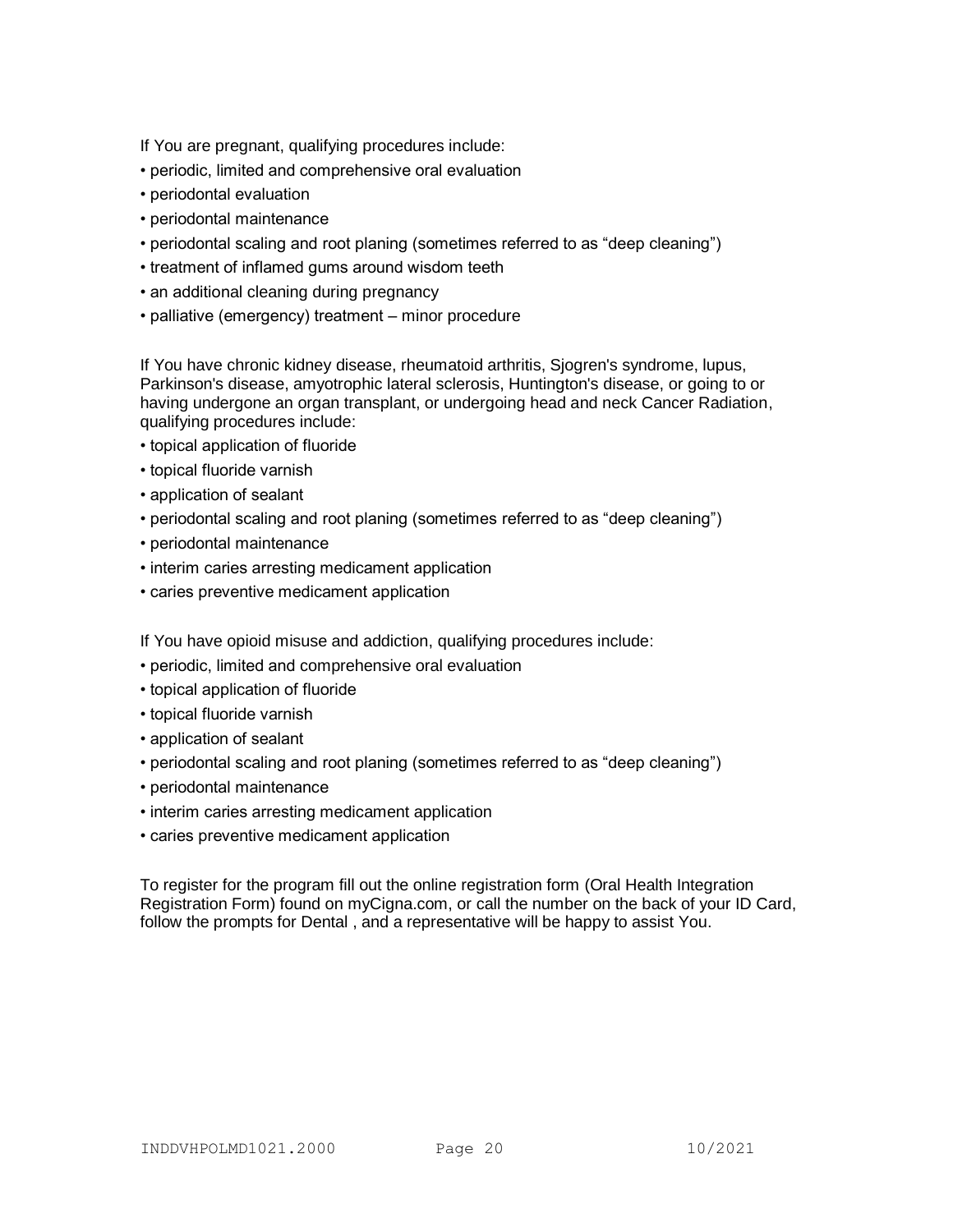If You are pregnant, qualifying procedures include:

- periodic, limited and comprehensive oral evaluation
- periodontal evaluation
- periodontal maintenance
- periodontal scaling and root planing (sometimes referred to as "deep cleaning")
- treatment of inflamed gums around wisdom teeth
- an additional cleaning during pregnancy
- palliative (emergency) treatment minor procedure

If You have chronic kidney disease, rheumatoid arthritis, Sjogren's syndrome, lupus, Parkinson's disease, amyotrophic lateral sclerosis, Huntington's disease, or going to or having undergone an organ transplant, or undergoing head and neck Cancer Radiation, qualifying procedures include:

- topical application of fluoride
- topical fluoride varnish
- application of sealant
- periodontal scaling and root planing (sometimes referred to as "deep cleaning")
- periodontal maintenance
- interim caries arresting medicament application
- caries preventive medicament application

If You have opioid misuse and addiction, qualifying procedures include:

- periodic, limited and comprehensive oral evaluation
- topical application of fluoride
- topical fluoride varnish
- application of sealant
- periodontal scaling and root planing (sometimes referred to as "deep cleaning")
- periodontal maintenance
- interim caries arresting medicament application
- caries preventive medicament application

To register for the program fill out the online registration form (Oral Health Integration Registration Form) found on myCigna.com, or call the number on the back of your ID Card, follow the prompts for Dental , and a representative will be happy to assist You.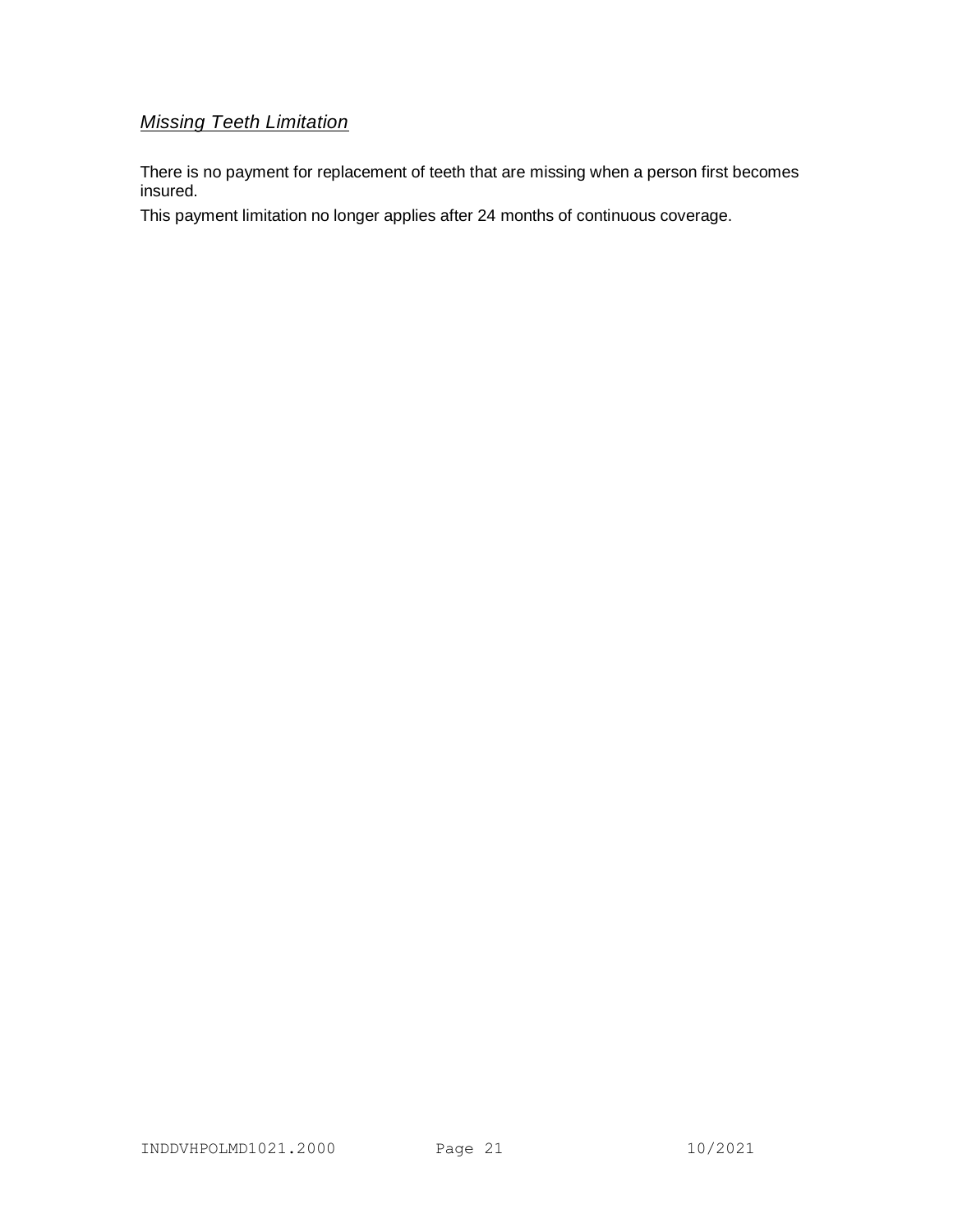# *Missing Teeth Limitation*

There is no payment for replacement of teeth that are missing when a person first becomes insured.

This payment limitation no longer applies after 24 months of continuous coverage.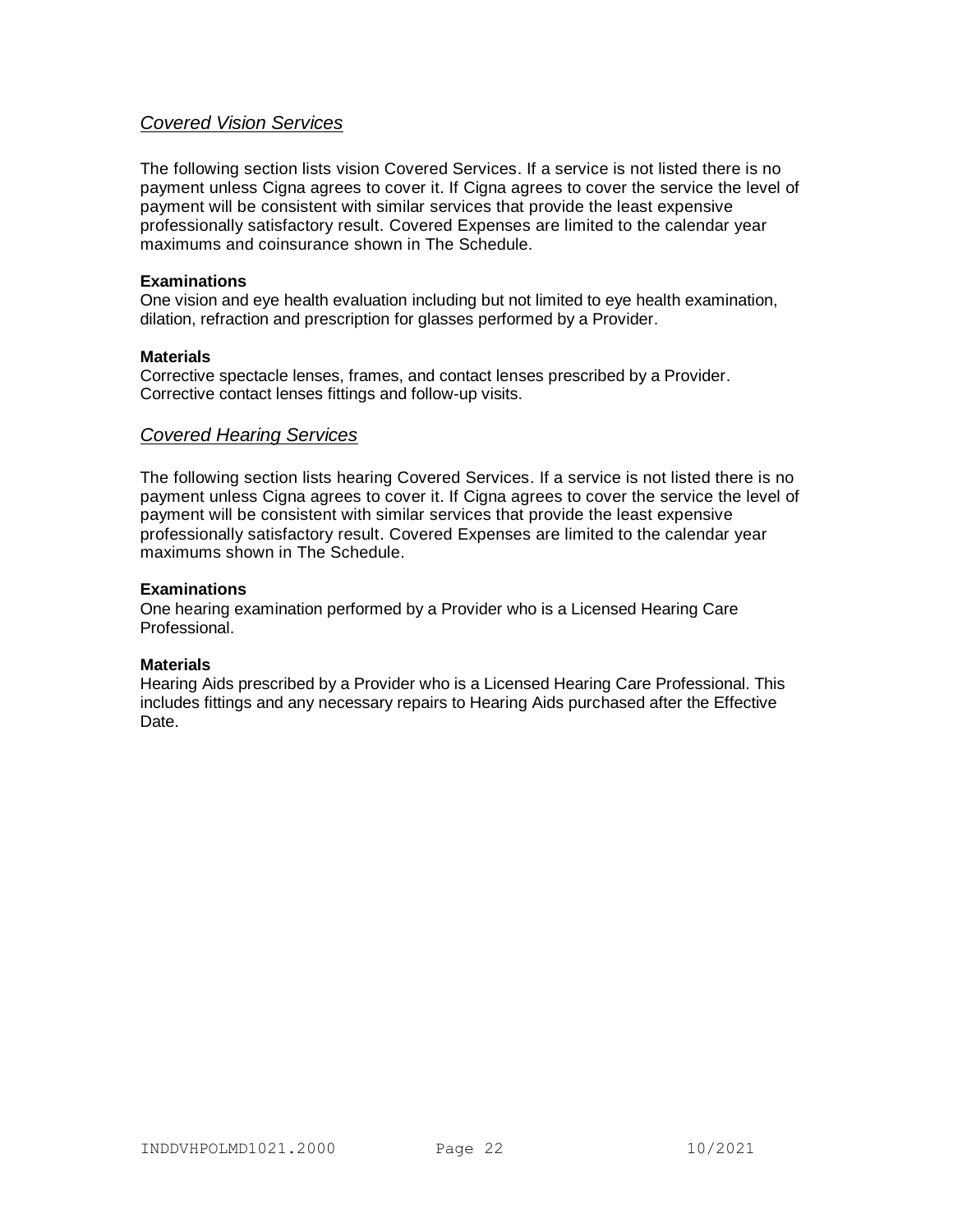# *Covered Vision Services*

The following section lists vision Covered Services. If a service is not listed there is no payment unless Cigna agrees to cover it. If Cigna agrees to cover the service the level of payment will be consistent with similar services that provide the least expensive professionally satisfactory result. Covered Expenses are limited to the calendar year maximums and coinsurance shown in The Schedule.

# **Examinations**

One vision and eye health evaluation including but not limited to eye health examination, dilation, refraction and prescription for glasses performed by a Provider.

# **Materials**

Corrective spectacle lenses, frames, and contact lenses prescribed by a Provider. Corrective contact lenses fittings and follow-up visits.

# *Covered Hearing Services*

The following section lists hearing Covered Services. If a service is not listed there is no payment unless Cigna agrees to cover it. If Cigna agrees to cover the service the level of payment will be consistent with similar services that provide the least expensive professionally satisfactory result. Covered Expenses are limited to the calendar year maximums shown in The Schedule.

### **Examinations**

One hearing examination performed by a Provider who is a Licensed Hearing Care Professional.

# **Materials**

Hearing Aids prescribed by a Provider who is a Licensed Hearing Care Professional. This includes fittings and any necessary repairs to Hearing Aids purchased after the Effective Date.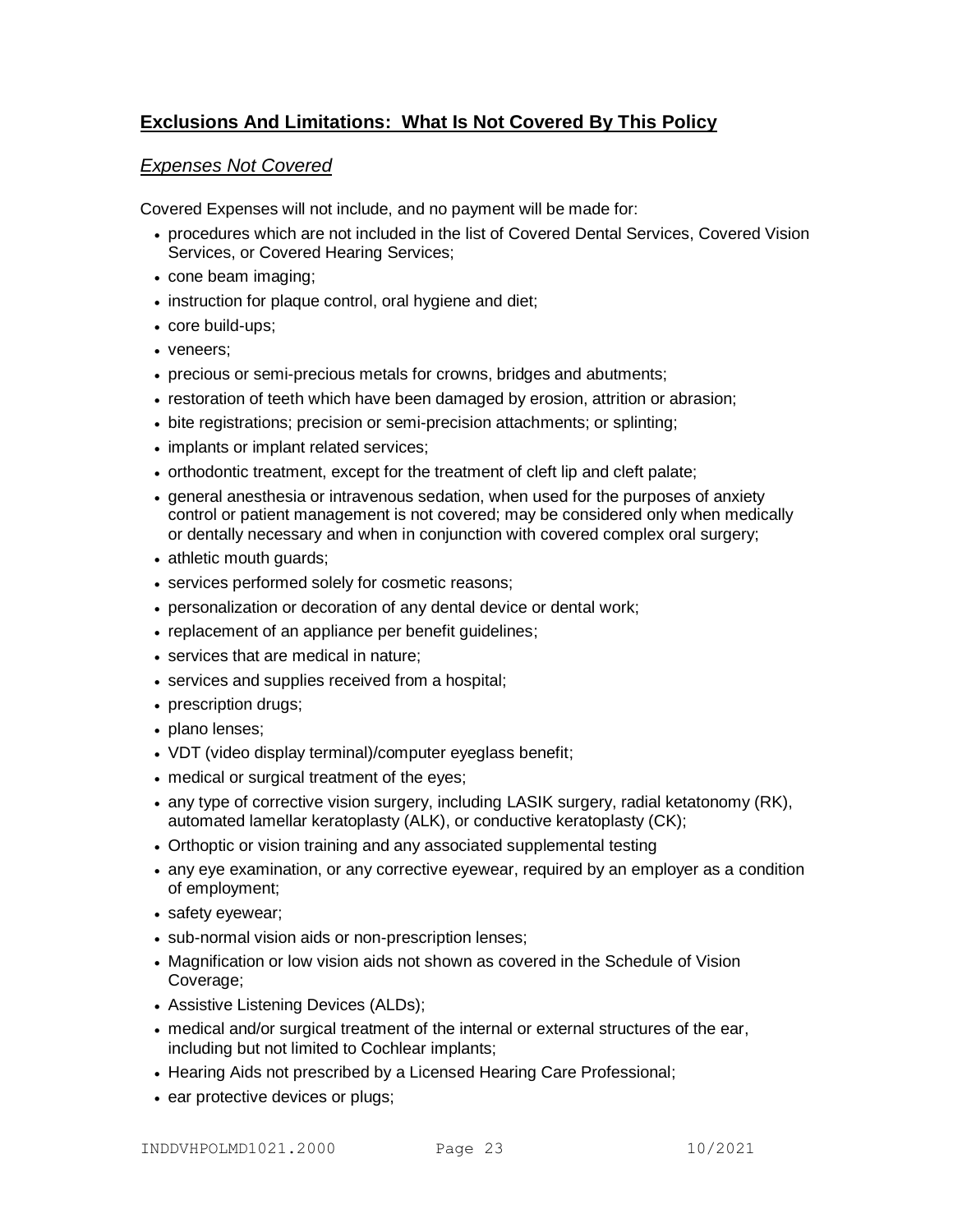# **Exclusions And Limitations: What Is Not Covered By This Policy**

# *Expenses Not Covered*

Covered Expenses will not include, and no payment will be made for:

- procedures which are not included in the list of Covered Dental Services, Covered Vision Services, or Covered Hearing Services;
- cone beam imaging;
- instruction for plaque control, oral hygiene and diet;
- core build-ups;
- veneers;
- precious or semi-precious metals for crowns, bridges and abutments;
- restoration of teeth which have been damaged by erosion, attrition or abrasion;
- bite registrations; precision or semi-precision attachments; or splinting;
- implants or implant related services;
- orthodontic treatment, except for the treatment of cleft lip and cleft palate;
- general anesthesia or intravenous sedation, when used for the purposes of anxiety control or patient management is not covered; may be considered only when medically or dentally necessary and when in conjunction with covered complex oral surgery;
- athletic mouth guards;
- services performed solely for cosmetic reasons;
- personalization or decoration of any dental device or dental work;
- replacement of an appliance per benefit guidelines;
- services that are medical in nature:
- services and supplies received from a hospital;
- prescription drugs;
- plano lenses;
- VDT (video display terminal)/computer eyeglass benefit;
- medical or surgical treatment of the eyes;
- any type of corrective vision surgery, including LASIK surgery, radial ketatonomy (RK), automated lamellar keratoplasty (ALK), or conductive keratoplasty (CK);
- Orthoptic or vision training and any associated supplemental testing
- any eye examination, or any corrective eyewear, required by an employer as a condition of employment;
- safety eyewear;
- sub-normal vision aids or non-prescription lenses;
- Magnification or low vision aids not shown as covered in the Schedule of Vision Coverage;
- Assistive Listening Devices (ALDs);
- medical and/or surgical treatment of the internal or external structures of the ear, including but not limited to Cochlear implants;
- Hearing Aids not prescribed by a Licensed Hearing Care Professional;
- ear protective devices or plugs;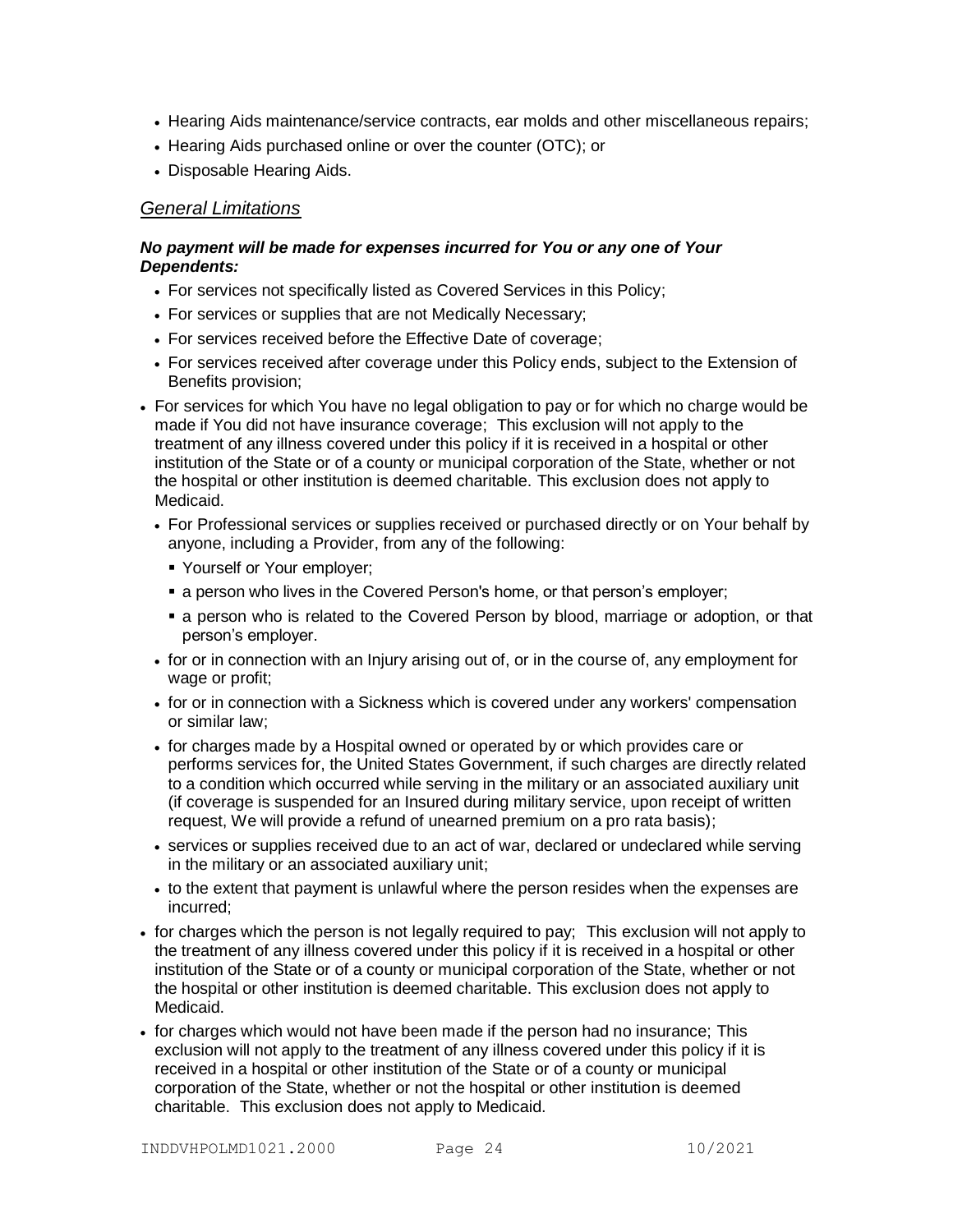- Hearing Aids maintenance/service contracts, ear molds and other miscellaneous repairs;
- Hearing Aids purchased online or over the counter (OTC); or
- Disposable Hearing Aids.

# *General Limitations*

# *No payment will be made for expenses incurred for You or any one of Your Dependents:*

- For services not specifically listed as Covered Services in this Policy;
- For services or supplies that are not Medically Necessary;
- For services received before the Effective Date of coverage;
- For services received after coverage under this Policy ends, subject to the Extension of Benefits provision;
- For services for which You have no legal obligation to pay or for which no charge would be made if You did not have insurance coverage; This exclusion will not apply to the treatment of any illness covered under this policy if it is received in a hospital or other institution of the State or of a county or municipal corporation of the State, whether or not the hospital or other institution is deemed charitable. This exclusion does not apply to Medicaid.
	- For Professional services or supplies received or purchased directly or on Your behalf by anyone, including a Provider, from any of the following:
		- Yourself or Your employer;
		- a person who lives in the Covered Person's home, or that person's employer;
		- a person who is related to the Covered Person by blood, marriage or adoption, or that person's employer.
	- for or in connection with an Injury arising out of, or in the course of, any employment for wage or profit:
	- for or in connection with a Sickness which is covered under any workers' compensation or similar law;
	- for charges made by a Hospital owned or operated by or which provides care or performs services for, the United States Government, if such charges are directly related to a condition which occurred while serving in the military or an associated auxiliary unit (if coverage is suspended for an Insured during military service, upon receipt of written request, We will provide a refund of unearned premium on a pro rata basis);
	- services or supplies received due to an act of war, declared or undeclared while serving in the military or an associated auxiliary unit;
	- to the extent that payment is unlawful where the person resides when the expenses are incurred;
- for charges which the person is not legally required to pay; This exclusion will not apply to the treatment of any illness covered under this policy if it is received in a hospital or other institution of the State or of a county or municipal corporation of the State, whether or not the hospital or other institution is deemed charitable. This exclusion does not apply to Medicaid.
- for charges which would not have been made if the person had no insurance; This exclusion will not apply to the treatment of any illness covered under this policy if it is received in a hospital or other institution of the State or of a county or municipal corporation of the State, whether or not the hospital or other institution is deemed charitable. This exclusion does not apply to Medicaid.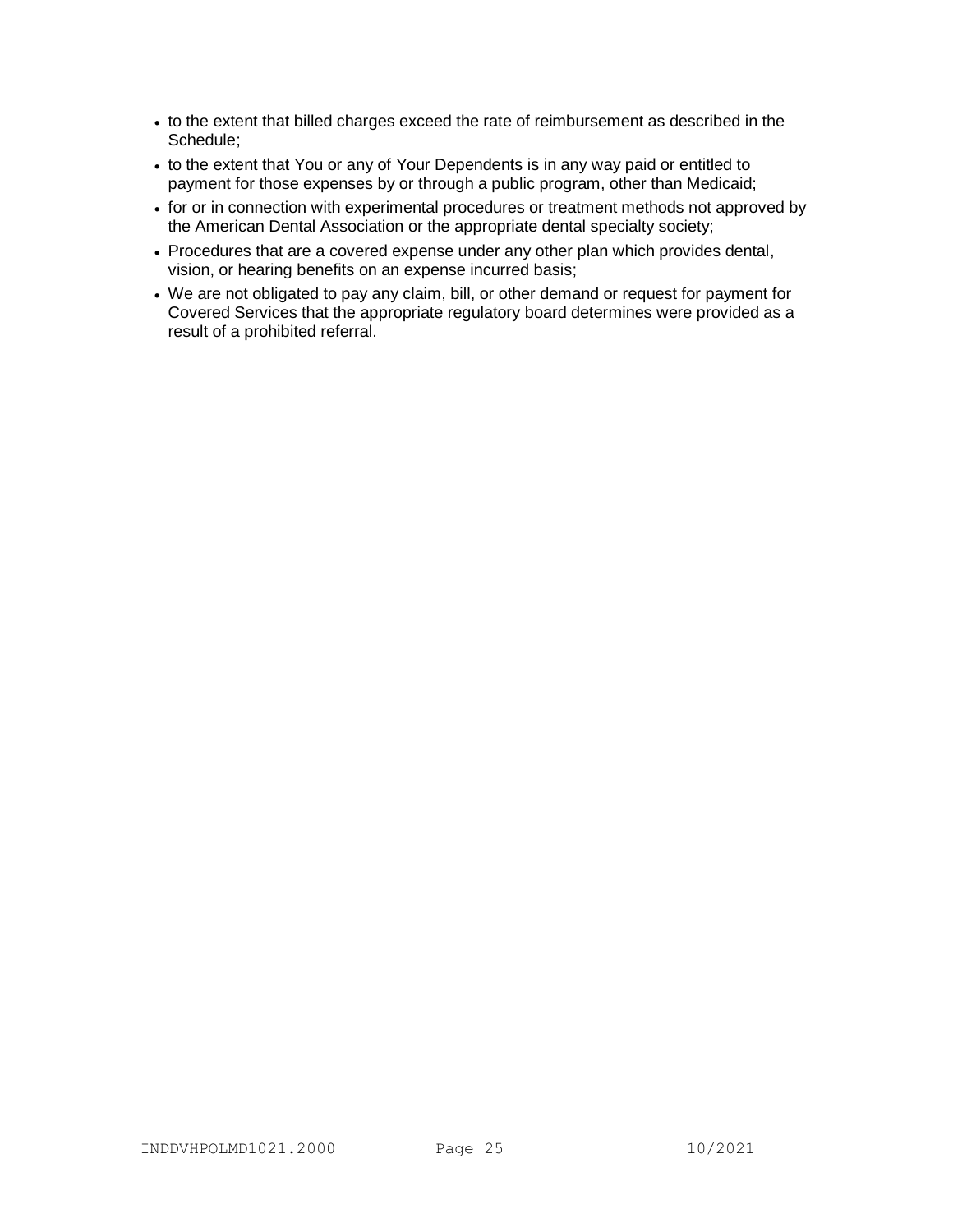- to the extent that billed charges exceed the rate of reimbursement as described in the Schedule;
- to the extent that You or any of Your Dependents is in any way paid or entitled to payment for those expenses by or through a public program, other than Medicaid;
- for or in connection with experimental procedures or treatment methods not approved by the American Dental Association or the appropriate dental specialty society;
- Procedures that are a covered expense under any other plan which provides dental, vision, or hearing benefits on an expense incurred basis;
- We are not obligated to pay any claim, bill, or other demand or request for payment for Covered Services that the appropriate regulatory board determines were provided as a result of a prohibited referral.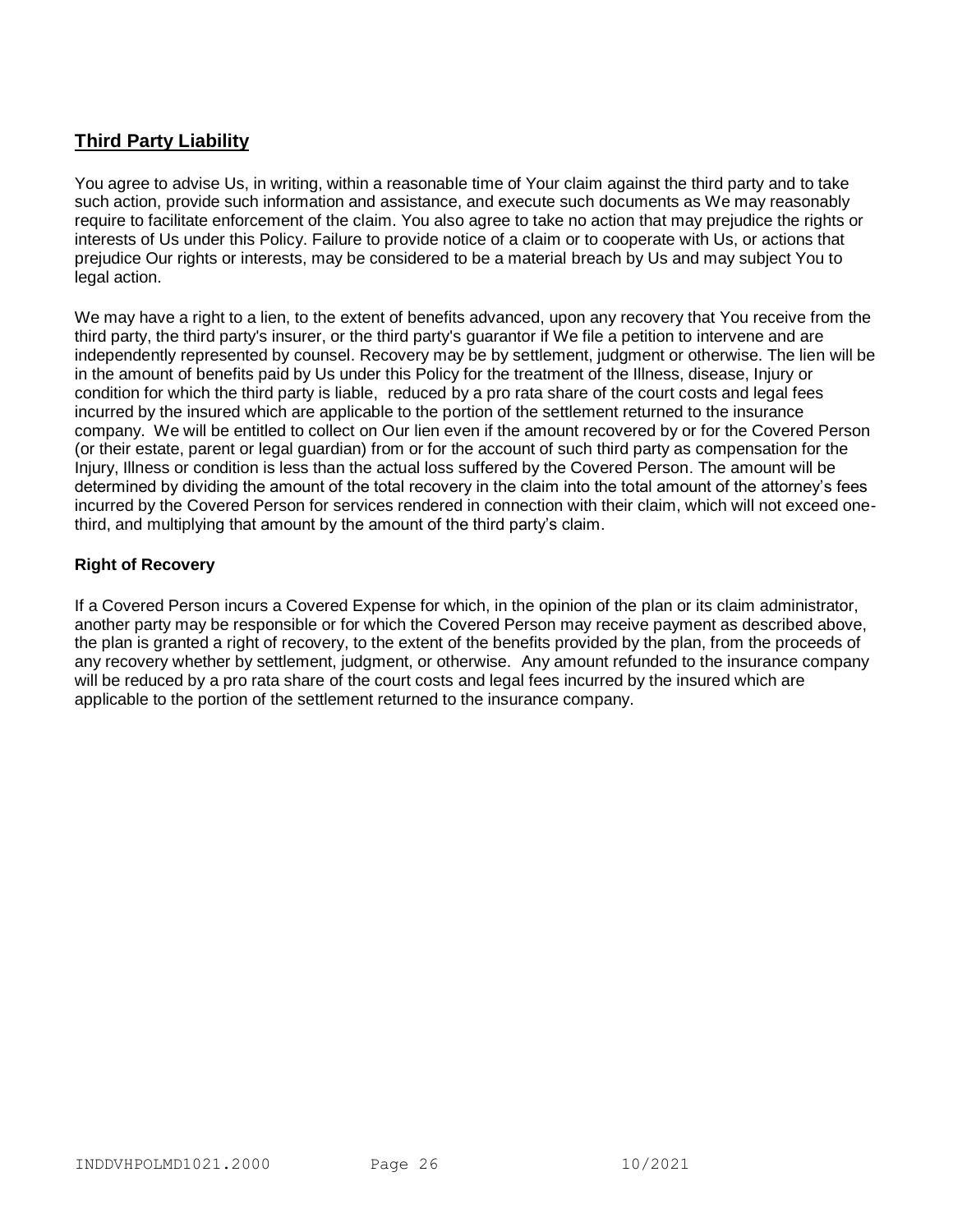# **Third Party Liability**

You agree to advise Us, in writing, within a reasonable time of Your claim against the third party and to take such action, provide such information and assistance, and execute such documents as We may reasonably require to facilitate enforcement of the claim. You also agree to take no action that may prejudice the rights or interests of Us under this Policy. Failure to provide notice of a claim or to cooperate with Us, or actions that prejudice Our rights or interests, may be considered to be a material breach by Us and may subject You to legal action.

We may have a right to a lien, to the extent of benefits advanced, upon any recovery that You receive from the third party, the third party's insurer, or the third party's guarantor if We file a petition to intervene and are independently represented by counsel. Recovery may be by settlement, judgment or otherwise. The lien will be in the amount of benefits paid by Us under this Policy for the treatment of the Illness, disease, Injury or condition for which the third party is liable, reduced by a pro rata share of the court costs and legal fees incurred by the insured which are applicable to the portion of the settlement returned to the insurance company. We will be entitled to collect on Our lien even if the amount recovered by or for the Covered Person (or their estate, parent or legal guardian) from or for the account of such third party as compensation for the Injury, Illness or condition is less than the actual loss suffered by the Covered Person. The amount will be determined by dividing the amount of the total recovery in the claim into the total amount of the attorney's fees incurred by the Covered Person for services rendered in connection with their claim, which will not exceed onethird, and multiplying that amount by the amount of the third party's claim.

# **Right of Recovery**

If a Covered Person incurs a Covered Expense for which, in the opinion of the plan or its claim administrator, another party may be responsible or for which the Covered Person may receive payment as described above, the plan is granted a right of recovery, to the extent of the benefits provided by the plan, from the proceeds of any recovery whether by settlement, judgment, or otherwise. Any amount refunded to the insurance company will be reduced by a pro rata share of the court costs and legal fees incurred by the insured which are applicable to the portion of the settlement returned to the insurance company.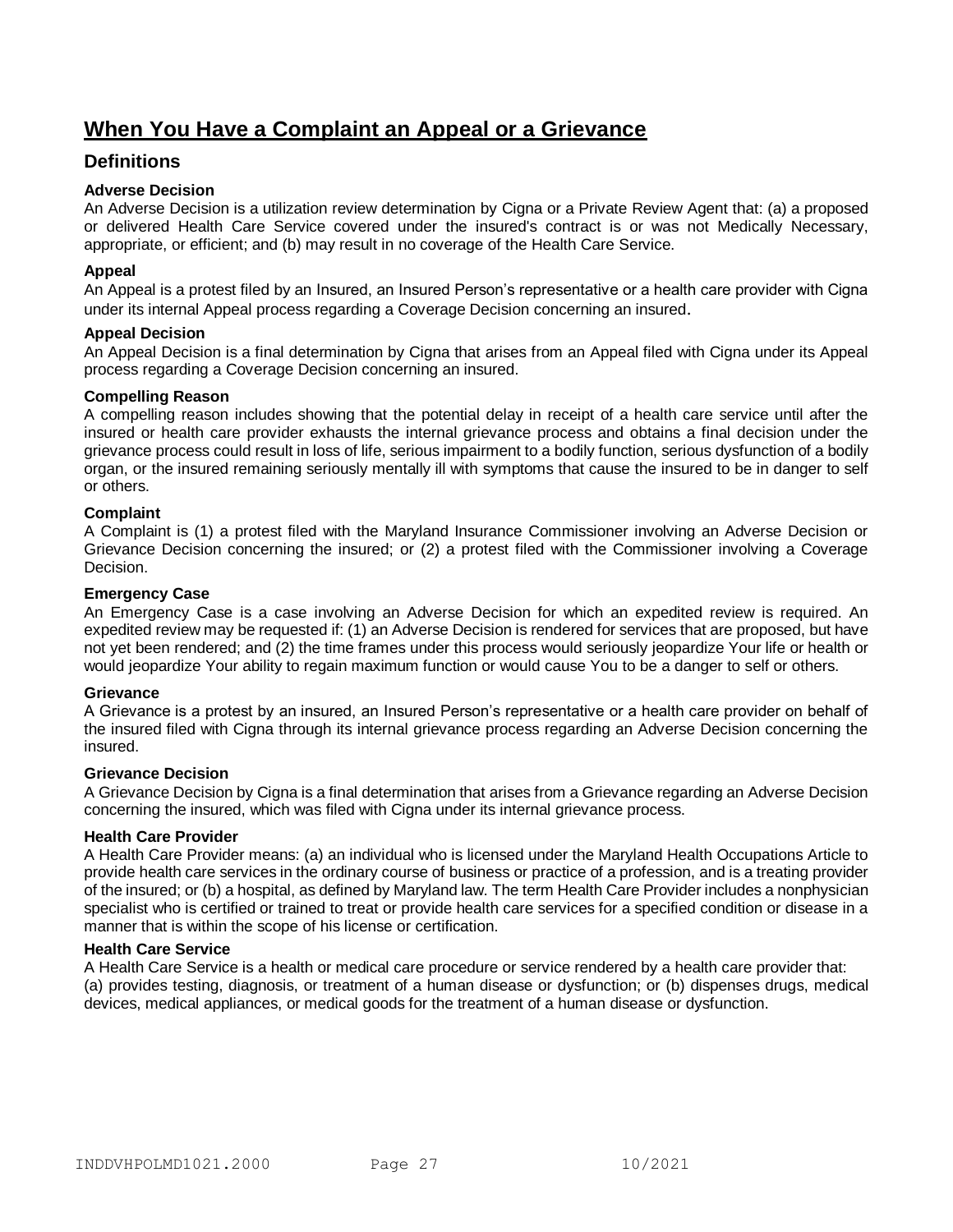# **When You Have a Complaint an Appeal or a Grievance**

# **Definitions**

## **Adverse Decision**

An Adverse Decision is a utilization review determination by Cigna or a Private Review Agent that: (a) a proposed or delivered Health Care Service covered under the insured's contract is or was not Medically Necessary, appropriate, or efficient; and (b) may result in no coverage of the Health Care Service.

#### **Appeal**

An Appeal is a protest filed by an Insured, an Insured Person's representative or a health care provider with Cigna under its internal Appeal process regarding a Coverage Decision concerning an insured.

#### **Appeal Decision**

An Appeal Decision is a final determination by Cigna that arises from an Appeal filed with Cigna under its Appeal process regarding a Coverage Decision concerning an insured.

#### **Compelling Reason**

A compelling reason includes showing that the potential delay in receipt of a health care service until after the insured or health care provider exhausts the internal grievance process and obtains a final decision under the grievance process could result in loss of life, serious impairment to a bodily function, serious dysfunction of a bodily organ, or the insured remaining seriously mentally ill with symptoms that cause the insured to be in danger to self or others.

### **Complaint**

A Complaint is (1) a protest filed with the Maryland Insurance Commissioner involving an Adverse Decision or Grievance Decision concerning the insured; or (2) a protest filed with the Commissioner involving a Coverage Decision.

#### **Emergency Case**

An Emergency Case is a case involving an Adverse Decision for which an expedited review is required. An expedited review may be requested if: (1) an Adverse Decision is rendered for services that are proposed, but have not yet been rendered; and (2) the time frames under this process would seriously jeopardize Your life or health or would jeopardize Your ability to regain maximum function or would cause You to be a danger to self or others.

#### **Grievance**

A Grievance is a protest by an insured, an Insured Person's representative or a health care provider on behalf of the insured filed with Cigna through its internal grievance process regarding an Adverse Decision concerning the insured.

#### **Grievance Decision**

A Grievance Decision by Cigna is a final determination that arises from a Grievance regarding an Adverse Decision concerning the insured, which was filed with Cigna under its internal grievance process.

#### **Health Care Provider**

A Health Care Provider means: (a) an individual who is licensed under the Maryland Health Occupations Article to provide health care services in the ordinary course of business or practice of a profession, and is a treating provider of the insured; or (b) a hospital, as defined by Maryland law. The term Health Care Provider includes a nonphysician specialist who is certified or trained to treat or provide health care services for a specified condition or disease in a manner that is within the scope of his license or certification.

# **Health Care Service**

A Health Care Service is a health or medical care procedure or service rendered by a health care provider that: (a) provides testing, diagnosis, or treatment of a human disease or dysfunction; or (b) dispenses drugs, medical devices, medical appliances, or medical goods for the treatment of a human disease or dysfunction.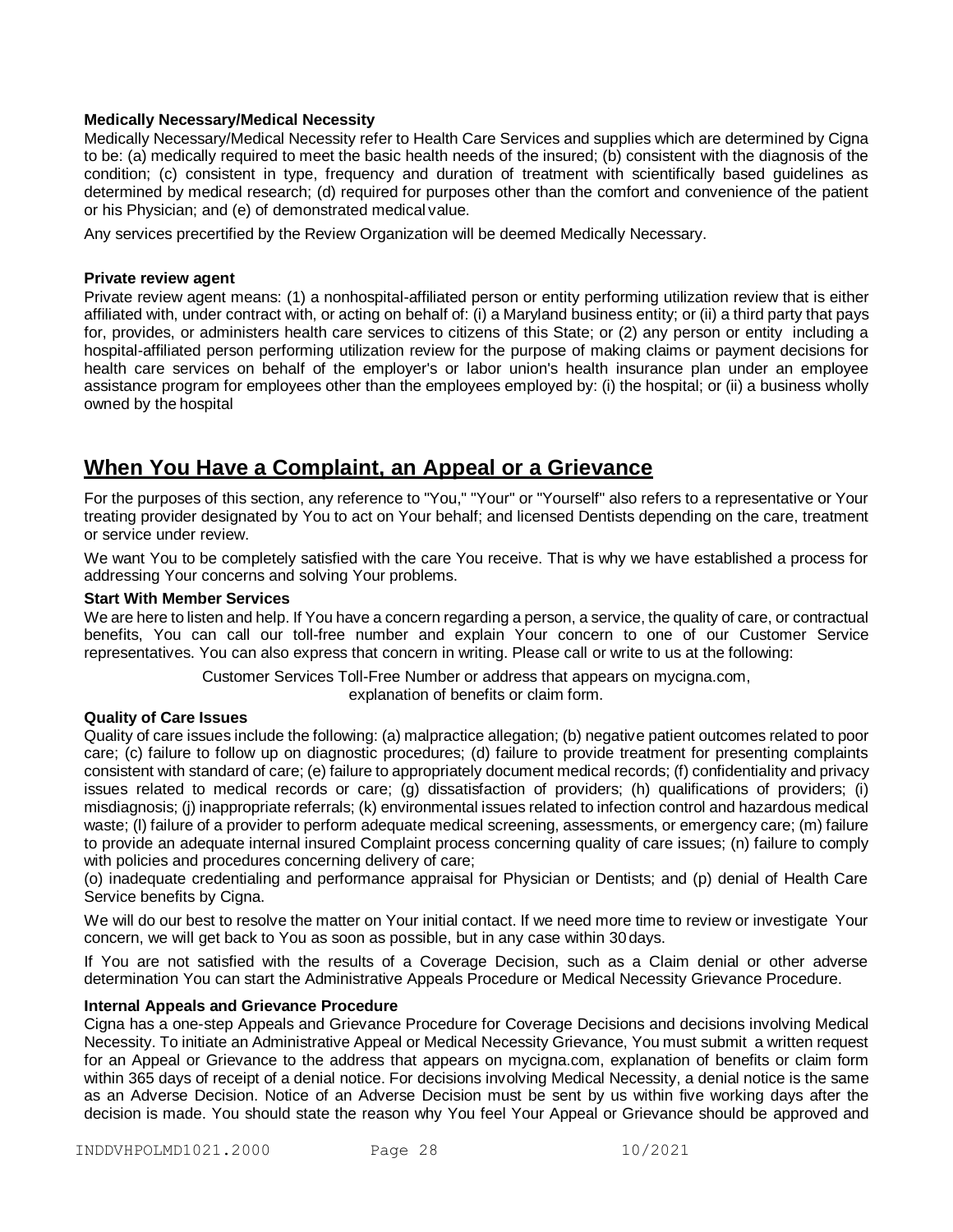#### **Medically Necessary/Medical Necessity**

Medically Necessary/Medical Necessity refer to Health Care Services and supplies which are determined by Cigna to be: (a) medically required to meet the basic health needs of the insured; (b) consistent with the diagnosis of the condition; (c) consistent in type, frequency and duration of treatment with scientifically based guidelines as determined by medical research; (d) required for purposes other than the comfort and convenience of the patient or his Physician; and (e) of demonstrated medical value.

Any services precertified by the Review Organization will be deemed Medically Necessary.

#### **Private review agent**

Private review agent means: (1) a nonhospital-affiliated person or entity performing utilization review that is either affiliated with, under contract with, or acting on behalf of: (i) a Maryland business entity; or (ii) a third party that pays for, provides, or administers health care services to citizens of this State; or (2) any person or entity including a hospital-affiliated person performing utilization review for the purpose of making claims or payment decisions for health care services on behalf of the employer's or labor union's health insurance plan under an employee assistance program for employees other than the employees employed by: (i) the hospital; or (ii) a business wholly owned by the hospital

# **When You Have a Complaint, an Appeal or a Grievance**

For the purposes of this section, any reference to "You," "Your" or "Yourself" also refers to a representative or Your treating provider designated by You to act on Your behalf; and licensed Dentists depending on the care, treatment or service under review.

We want You to be completely satisfied with the care You receive. That is why we have established a process for addressing Your concerns and solving Your problems.

#### **Start With Member Services**

We are here to listen and help. If You have a concern regarding a person, a service, the quality of care, or contractual benefits, You can call our toll-free number and explain Your concern to one of our Customer Service representatives. You can also express that concern in writing. Please call or write to us at the following:

Customer Services Toll-Free Number or address that appears on mycigna.com,

explanation of benefits or claim form.

#### **Quality of Care Issues**

Quality of care issues include the following: (a) malpractice allegation; (b) negative patient outcomes related to poor care; (c) failure to follow up on diagnostic procedures; (d) failure to provide treatment for presenting complaints consistent with standard of care; (e) failure to appropriately document medical records; (f) confidentiality and privacy issues related to medical records or care; (g) dissatisfaction of providers; (h) qualifications of providers; (i) misdiagnosis; (j) inappropriate referrals; (k) environmental issues related to infection control and hazardous medical waste; (I) failure of a provider to perform adequate medical screening, assessments, or emergency care; (m) failure to provide an adequate internal insured Complaint process concerning quality of care issues; (n) failure to comply with policies and procedures concerning delivery of care;

(o) inadequate credentialing and performance appraisal for Physician or Dentists; and (p) denial of Health Care Service benefits by Cigna.

We will do our best to resolve the matter on Your initial contact. If we need more time to review or investigate Your concern, we will get back to You as soon as possible, but in any case within 30days.

If You are not satisfied with the results of a Coverage Decision, such as a Claim denial or other adverse determination You can start the Administrative Appeals Procedure or Medical Necessity Grievance Procedure.

#### **Internal Appeals and Grievance Procedure**

Cigna has a one-step Appeals and Grievance Procedure for Coverage Decisions and decisions involving Medical Necessity. To initiate an Administrative Appeal or Medical Necessity Grievance, You must submit a written request for an Appeal or Grievance to the address that appears on mycigna.com, explanation of benefits or claim form within 365 days of receipt of a denial notice. For decisions involving Medical Necessity, a denial notice is the same as an Adverse Decision. Notice of an Adverse Decision must be sent by us within five working days after the decision is made. You should state the reason why You feel Your Appeal or Grievance should be approved and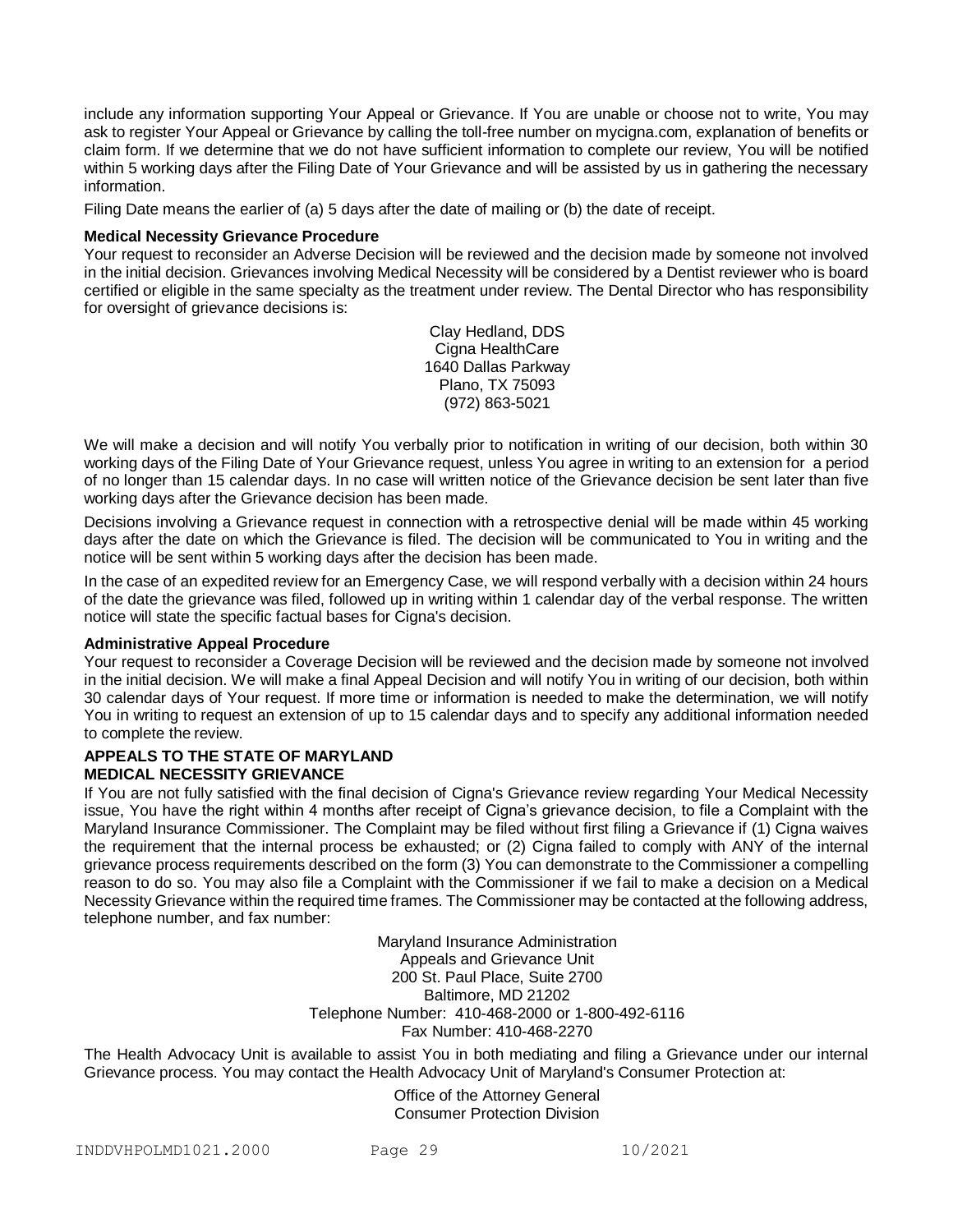include any information supporting Your Appeal or Grievance. If You are unable or choose not to write, You may ask to register Your Appeal or Grievance by calling the toll-free number on mycigna.com, explanation of benefits or claim form. If we determine that we do not have sufficient information to complete our review, You will be notified within 5 working days after the Filing Date of Your Grievance and will be assisted by us in gathering the necessary information.

Filing Date means the earlier of (a) 5 days after the date of mailing or (b) the date of receipt.

#### **Medical Necessity Grievance Procedure**

Your request to reconsider an Adverse Decision will be reviewed and the decision made by someone not involved in the initial decision. Grievances involving Medical Necessity will be considered by a Dentist reviewer who is board certified or eligible in the same specialty as the treatment under review. The Dental Director who has responsibility for oversight of grievance decisions is:

> Clay Hedland, DDS Cigna HealthCare 1640 Dallas Parkway Plano, TX 75093 (972) 863-5021

We will make a decision and will notify You verbally prior to notification in writing of our decision, both within 30 working days of the Filing Date of Your Grievance request, unless You agree in writing to an extension for a period of no longer than 15 calendar days. In no case will written notice of the Grievance decision be sent later than five working days after the Grievance decision has been made.

Decisions involving a Grievance request in connection with a retrospective denial will be made within 45 working days after the date on which the Grievance is filed. The decision will be communicated to You in writing and the notice will be sent within 5 working days after the decision has been made.

In the case of an expedited review for an Emergency Case, we will respond verbally with a decision within 24 hours of the date the grievance was filed, followed up in writing within 1 calendar day of the verbal response. The written notice will state the specific factual bases for Cigna's decision.

#### **Administrative Appeal Procedure**

Your request to reconsider a Coverage Decision will be reviewed and the decision made by someone not involved in the initial decision. We will make a final Appeal Decision and will notify You in writing of our decision, both within 30 calendar days of Your request. If more time or information is needed to make the determination, we will notify You in writing to request an extension of up to 15 calendar days and to specify any additional information needed to complete the review.

#### **APPEALS TO THE STATE OF MARYLAND MEDICAL NECESSITY GRIEVANCE**

If You are not fully satisfied with the final decision of Cigna's Grievance review regarding Your Medical Necessity issue, You have the right within 4 months after receipt of Cigna's grievance decision, to file a Complaint with the Maryland Insurance Commissioner. The Complaint may be filed without first filing a Grievance if (1) Cigna waives the requirement that the internal process be exhausted; or (2) Cigna failed to comply with ANY of the internal grievance process requirements described on the form (3) You can demonstrate to the Commissioner a compelling reason to do so. You may also file a Complaint with the Commissioner if we fail to make a decision on a Medical Necessity Grievance within the required time frames. The Commissioner may be contacted at the following address, telephone number, and fax number:

> Maryland Insurance Administration Appeals and Grievance Unit 200 St. Paul Place, Suite 2700 Baltimore, MD 21202 Telephone Number: 410-468-2000 or 1-800-492-6116 Fax Number: 410-468-2270

The Health Advocacy Unit is available to assist You in both mediating and filing a Grievance under our internal Grievance process. You may contact the Health Advocacy Unit of Maryland's Consumer Protection at:

> Office of the Attorney General Consumer Protection Division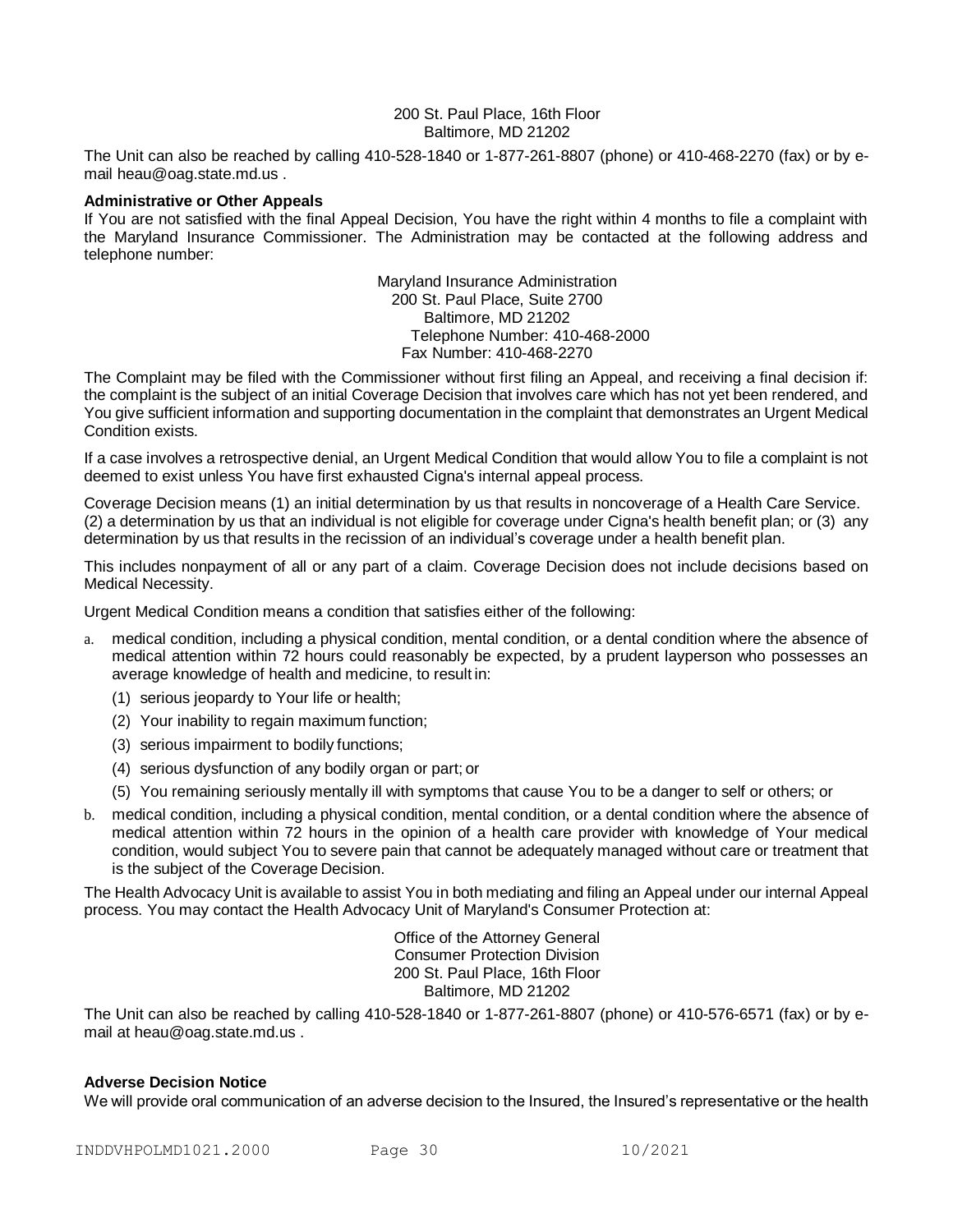#### 200 St. Paul Place, 16th Floor Baltimore, MD 21202

The Unit can also be reached by calling 410-528-1840 or 1-877-261-8807 (phone) or 410-468-2270 (fax) or by email [heau@oag.state.md.us](mailto:heau@oag.state.md.us) .

#### **Administrative or Other Appeals**

If You are not satisfied with the final Appeal Decision, You have the right within 4 months to file a complaint with the Maryland Insurance Commissioner. The Administration may be contacted at the following address and telephone number:

> Maryland Insurance Administration 200 St. Paul Place, Suite 2700 Baltimore, MD 21202 Telephone Number: 410-468-2000 Fax Number: 410-468-2270

The Complaint may be filed with the Commissioner without first filing an Appeal, and receiving a final decision if: the complaint is the subject of an initial Coverage Decision that involves care which has not yet been rendered, and You give sufficient information and supporting documentation in the complaint that demonstrates an Urgent Medical Condition exists.

If a case involves a retrospective denial, an Urgent Medical Condition that would allow You to file a complaint is not deemed to exist unless You have first exhausted Cigna's internal appeal process.

Coverage Decision means (1) an initial determination by us that results in noncoverage of a Health Care Service. (2) a determination by us that an individual is not eligible for coverage under Cigna's health benefit plan; or (3) any determination by us that results in the recission of an individual's coverage under a health benefit plan.

This includes nonpayment of all or any part of a claim. Coverage Decision does not include decisions based on Medical Necessity.

Urgent Medical Condition means a condition that satisfies either of the following:

- a. medical condition, including a physical condition, mental condition, or a dental condition where the absence of medical attention within 72 hours could reasonably be expected, by a prudent layperson who possesses an average knowledge of health and medicine, to result in:
	- (1) serious jeopardy to Your life or health;
	- (2) Your inability to regain maximum function;
	- (3) serious impairment to bodily functions;
	- (4) serious dysfunction of any bodily organ or part; or
	- (5) You remaining seriously mentally ill with symptoms that cause You to be a danger to self or others; or
- b. medical condition, including a physical condition, mental condition, or a dental condition where the absence of medical attention within 72 hours in the opinion of a health care provider with knowledge of Your medical condition, would subject You to severe pain that cannot be adequately managed without care or treatment that is the subject of the Coverage Decision.

The Health Advocacy Unit is available to assist You in both mediating and filing an Appeal under our internal Appeal process. You may contact the Health Advocacy Unit of Maryland's Consumer Protection at:

> Office of the Attorney General Consumer Protection Division 200 St. Paul Place, 16th Floor Baltimore, MD 21202

The Unit can also be reached by calling 410-528-1840 or 1-877-261-8807 (phone) or 410-576-6571 (fax) or by email at [heau@oag.state.md.us](mailto:heau@oag.state.md.us) .

#### **Adverse Decision Notice**

We will provide oral communication of an adverse decision to the Insured, the Insured's representative or the health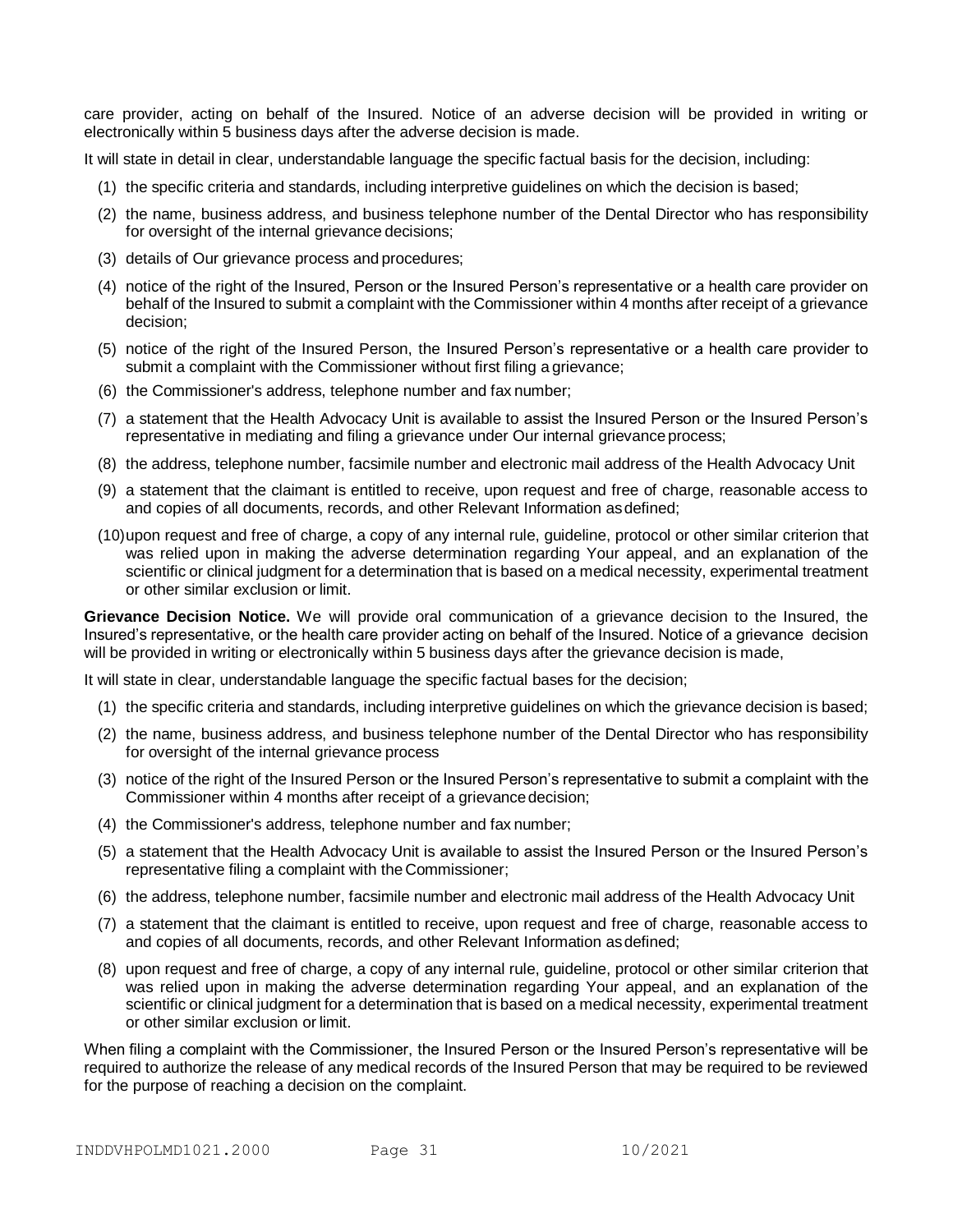care provider, acting on behalf of the Insured. Notice of an adverse decision will be provided in writing or electronically within 5 business days after the adverse decision is made.

It will state in detail in clear, understandable language the specific factual basis for the decision, including:

- (1) the specific criteria and standards, including interpretive guidelines on which the decision is based;
- (2) the name, business address, and business telephone number of the Dental Director who has responsibility for oversight of the internal grievance decisions;
- (3) details of Our grievance process and procedures;
- (4) notice of the right of the Insured, Person or the Insured Person's representative or a health care provider on behalf of the Insured to submit a complaint with the Commissioner within 4 months after receipt of a grievance decision;
- (5) notice of the right of the Insured Person, the Insured Person's representative or a health care provider to submit a complaint with the Commissioner without first filing a grievance;
- (6) the Commissioner's address, telephone number and fax number;
- (7) a statement that the Health Advocacy Unit is available to assist the Insured Person or the Insured Person's representative in mediating and filing a grievance under Our internal grievance process;
- (8) the address, telephone number, facsimile number and electronic mail address of the Health Advocacy Unit
- (9) a statement that the claimant is entitled to receive, upon request and free of charge, reasonable access to and copies of all documents, records, and other Relevant Information asdefined;
- (10)upon request and free of charge, a copy of any internal rule, guideline, protocol or other similar criterion that was relied upon in making the adverse determination regarding Your appeal, and an explanation of the scientific or clinical judgment for a determination that is based on a medical necessity, experimental treatment or other similar exclusion or limit.

**Grievance Decision Notice.** We will provide oral communication of a grievance decision to the Insured, the Insured's representative, or the health care provider acting on behalf of the Insured. Notice of a grievance decision will be provided in writing or electronically within 5 business days after the grievance decision is made,

It will state in clear, understandable language the specific factual bases for the decision;

- (1) the specific criteria and standards, including interpretive guidelines on which the grievance decision is based;
- (2) the name, business address, and business telephone number of the Dental Director who has responsibility for oversight of the internal grievance process
- (3) notice of the right of the Insured Person or the Insured Person's representative to submit a complaint with the Commissioner within 4 months after receipt of a grievance decision;
- (4) the Commissioner's address, telephone number and fax number;
- (5) a statement that the Health Advocacy Unit is available to assist the Insured Person or the Insured Person's representative filing a complaint with the Commissioner;
- (6) the address, telephone number, facsimile number and electronic mail address of the Health Advocacy Unit
- (7) a statement that the claimant is entitled to receive, upon request and free of charge, reasonable access to and copies of all documents, records, and other Relevant Information asdefined;
- (8) upon request and free of charge, a copy of any internal rule, guideline, protocol or other similar criterion that was relied upon in making the adverse determination regarding Your appeal, and an explanation of the scientific or clinical judgment for a determination that is based on a medical necessity, experimental treatment or other similar exclusion or limit.

When filing a complaint with the Commissioner, the Insured Person or the Insured Person's representative will be required to authorize the release of any medical records of the Insured Person that may be required to be reviewed for the purpose of reaching a decision on the complaint.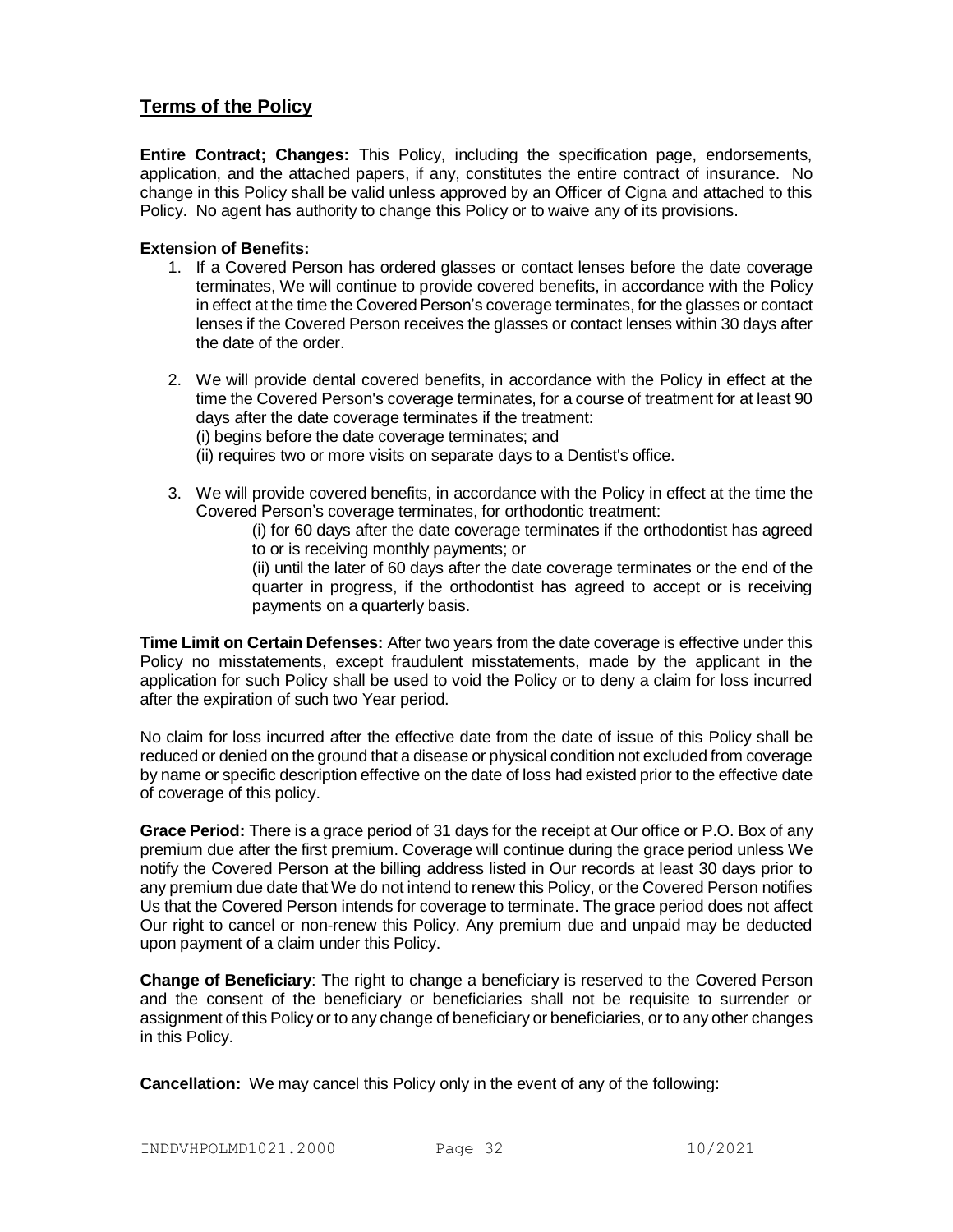# **Terms of the Policy**

**Entire Contract; Changes:** This Policy, including the specification page, endorsements, application, and the attached papers, if any, constitutes the entire contract of insurance. No change in this Policy shall be valid unless approved by an Officer of Cigna and attached to this Policy. No agent has authority to change this Policy or to waive any of its provisions.

# **Extension of Benefits:**

- 1. If a Covered Person has ordered glasses or contact lenses before the date coverage terminates, We will continue to provide covered benefits, in accordance with the Policy in effect at the time the Covered Person's coverage terminates, for the glasses or contact lenses if the Covered Person receives the glasses or contact lenses within 30 days after the date of the order.
- 2. We will provide dental covered benefits, in accordance with the Policy in effect at the time the Covered Person's coverage terminates, for a course of treatment for at least 90 days after the date coverage terminates if the treatment: (i) begins before the date coverage terminates; and
	- (ii) requires two or more visits on separate days to a Dentist's office.
- 3. We will provide covered benefits, in accordance with the Policy in effect at the time the Covered Person's coverage terminates, for orthodontic treatment:
	- (i) for 60 days after the date coverage terminates if the orthodontist has agreed to or is receiving monthly payments; or
	- (ii) until the later of 60 days after the date coverage terminates or the end of the quarter in progress, if the orthodontist has agreed to accept or is receiving payments on a quarterly basis.

**Time Limit on Certain Defenses:** After two years from the date coverage is effective under this Policy no misstatements, except fraudulent misstatements, made by the applicant in the application for such Policy shall be used to void the Policy or to deny a claim for loss incurred after the expiration of such two Year period.

No claim for loss incurred after the effective date from the date of issue of this Policy shall be reduced or denied on the ground that a disease or physical condition not excluded from coverage by name or specific description effective on the date of loss had existed prior to the effective date of coverage of this policy.

**Grace Period:** There is a grace period of 31 days for the receipt at Our office or P.O. Box of any premium due after the first premium. Coverage will continue during the grace period unless We notify the Covered Person at the billing address listed in Our records at least 30 days prior to any premium due date that We do not intend to renew this Policy, or the Covered Person notifies Us that the Covered Person intends for coverage to terminate. The grace period does not affect Our right to cancel or non-renew this Policy. Any premium due and unpaid may be deducted upon payment of a claim under this Policy.

**Change of Beneficiary**: The right to change a beneficiary is reserved to the Covered Person and the consent of the beneficiary or beneficiaries shall not be requisite to surrender or assignment of this Policy or to any change of beneficiary or beneficiaries, or to any other changes in this Policy.

**Cancellation:** We may cancel this Policy only in the event of any of the following: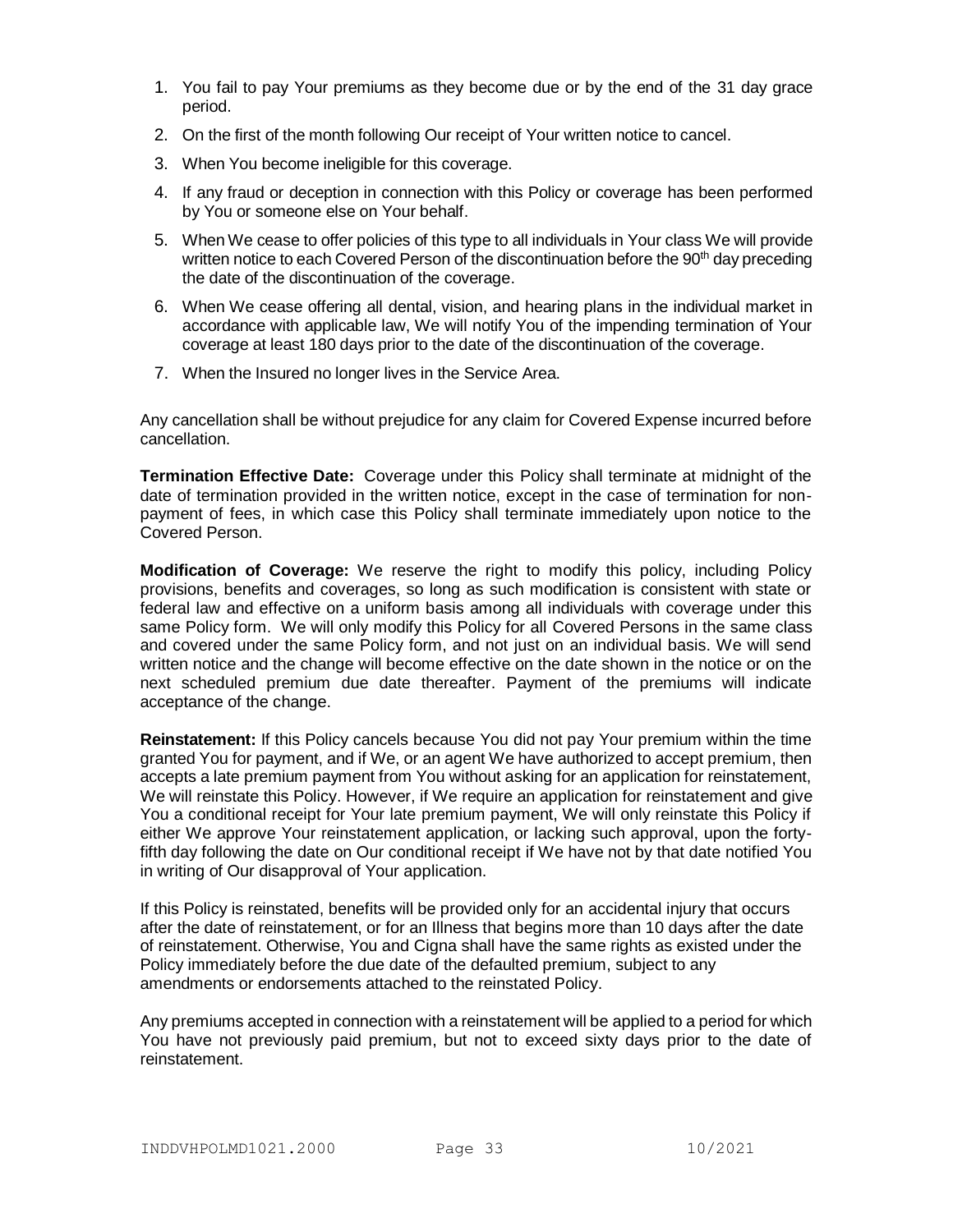- 1. You fail to pay Your premiums as they become due or by the end of the 31 day grace period.
- 2. On the first of the month following Our receipt of Your written notice to cancel.
- 3. When You become ineligible for this coverage.
- 4. If any fraud or deception in connection with this Policy or coverage has been performed by You or someone else on Your behalf.
- 5. When We cease to offer policies of this type to all individuals in Your class We will provide written notice to each Covered Person of the discontinuation before the 90<sup>th</sup> day preceding the date of the discontinuation of the coverage.
- 6. When We cease offering all dental, vision, and hearing plans in the individual market in accordance with applicable law, We will notify You of the impending termination of Your coverage at least 180 days prior to the date of the discontinuation of the coverage.
- 7. When the Insured no longer lives in the Service Area.

Any cancellation shall be without prejudice for any claim for Covered Expense incurred before cancellation.

**Termination Effective Date:** Coverage under this Policy shall terminate at midnight of the date of termination provided in the written notice, except in the case of termination for nonpayment of fees, in which case this Policy shall terminate immediately upon notice to the Covered Person.

**Modification of Coverage:** We reserve the right to modify this policy, including Policy provisions, benefits and coverages, so long as such modification is consistent with state or federal law and effective on a uniform basis among all individuals with coverage under this same Policy form. We will only modify this Policy for all Covered Persons in the same class and covered under the same Policy form, and not just on an individual basis. We will send written notice and the change will become effective on the date shown in the notice or on the next scheduled premium due date thereafter. Payment of the premiums will indicate acceptance of the change.

**Reinstatement:** If this Policy cancels because You did not pay Your premium within the time granted You for payment, and if We, or an agent We have authorized to accept premium, then accepts a late premium payment from You without asking for an application for reinstatement, We will reinstate this Policy. However, if We require an application for reinstatement and give You a conditional receipt for Your late premium payment, We will only reinstate this Policy if either We approve Your reinstatement application, or lacking such approval, upon the fortyfifth day following the date on Our conditional receipt if We have not by that date notified You in writing of Our disapproval of Your application.

If this Policy is reinstated, benefits will be provided only for an accidental injury that occurs after the date of reinstatement, or for an Illness that begins more than 10 days after the date of reinstatement. Otherwise, You and Cigna shall have the same rights as existed under the Policy immediately before the due date of the defaulted premium, subject to any amendments or endorsements attached to the reinstated Policy.

Any premiums accepted in connection with a reinstatement will be applied to a period for which You have not previously paid premium, but not to exceed sixty days prior to the date of reinstatement.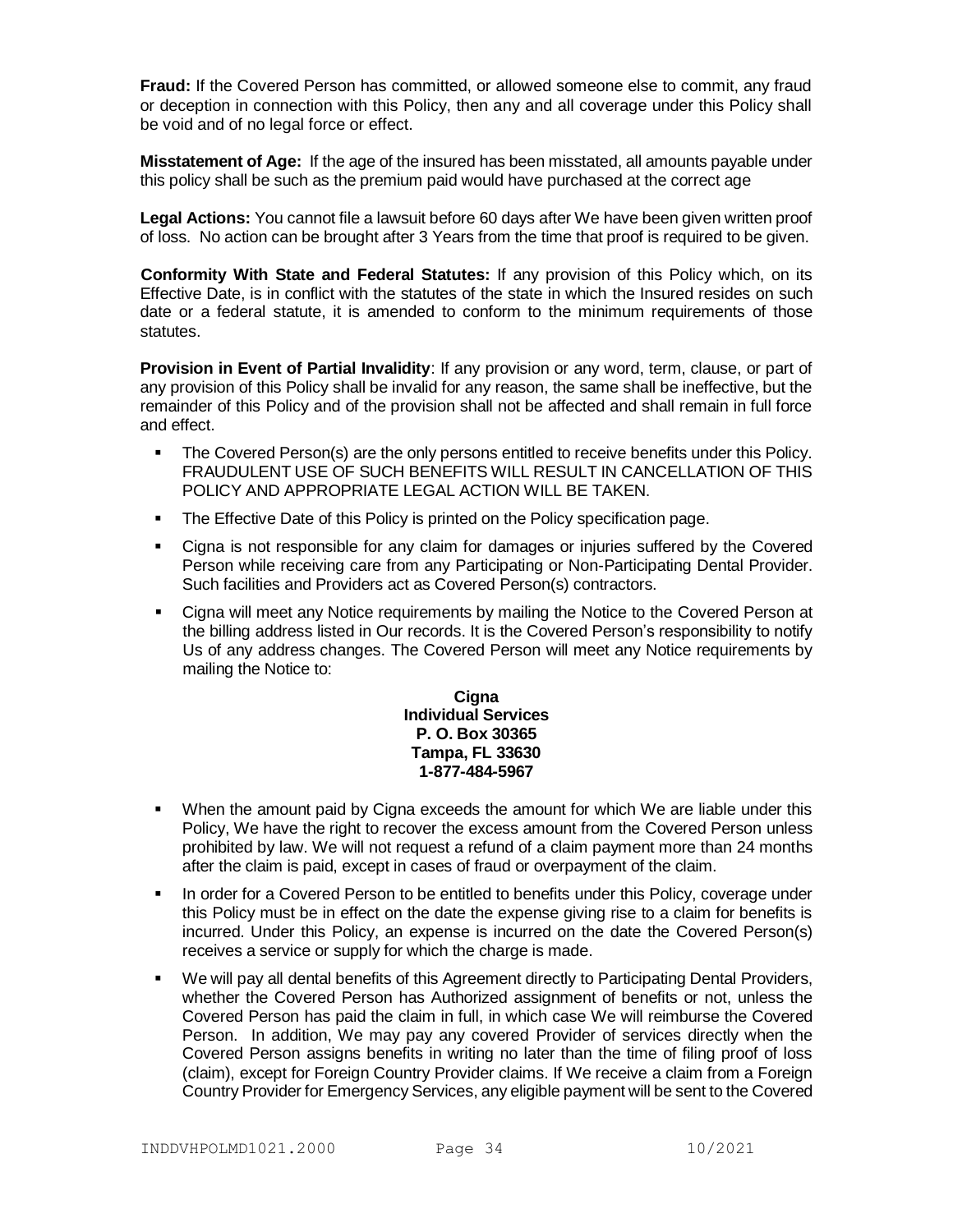**Fraud:** If the Covered Person has committed, or allowed someone else to commit, any fraud or deception in connection with this Policy, then any and all coverage under this Policy shall be void and of no legal force or effect.

**Misstatement of Age:** If the age of the insured has been misstated, all amounts payable under this policy shall be such as the premium paid would have purchased at the correct age

**Legal Actions:** You cannot file a lawsuit before 60 days after We have been given written proof of loss. No action can be brought after 3 Years from the time that proof is required to be given.

**Conformity With State and Federal Statutes:** If any provision of this Policy which, on its Effective Date, is in conflict with the statutes of the state in which the Insured resides on such date or a federal statute, it is amended to conform to the minimum requirements of those statutes.

**Provision in Event of Partial Invalidity**: If any provision or any word, term, clause, or part of any provision of this Policy shall be invalid for any reason, the same shall be ineffective, but the remainder of this Policy and of the provision shall not be affected and shall remain in full force and effect.

- The Covered Person(s) are the only persons entitled to receive benefits under this Policy. FRAUDULENT USE OF SUCH BENEFITS WILL RESULT IN CANCELLATION OF THIS POLICY AND APPROPRIATE LEGAL ACTION WILL BE TAKEN.
- The Effective Date of this Policy is printed on the Policy specification page.
- Cigna is not responsible for any claim for damages or injuries suffered by the Covered Person while receiving care from any Participating or Non-Participating Dental Provider. Such facilities and Providers act as Covered Person(s) contractors.
- Cigna will meet any Notice requirements by mailing the Notice to the Covered Person at the billing address listed in Our records. It is the Covered Person's responsibility to notify Us of any address changes. The Covered Person will meet any Notice requirements by mailing the Notice to:

## **Cigna Individual Services P. O. Box 30365 Tampa, FL 33630 1-877-484-5967**

- When the amount paid by Cigna exceeds the amount for which We are liable under this Policy, We have the right to recover the excess amount from the Covered Person unless prohibited by law. We will not request a refund of a claim payment more than 24 months after the claim is paid, except in cases of fraud or overpayment of the claim.
- In order for a Covered Person to be entitled to benefits under this Policy, coverage under this Policy must be in effect on the date the expense giving rise to a claim for benefits is incurred. Under this Policy, an expense is incurred on the date the Covered Person(s) receives a service or supply for which the charge is made.
- We will pay all dental benefits of this Agreement directly to Participating Dental Providers, whether the Covered Person has Authorized assignment of benefits or not, unless the Covered Person has paid the claim in full, in which case We will reimburse the Covered Person. In addition, We may pay any covered Provider of services directly when the Covered Person assigns benefits in writing no later than the time of filing proof of loss (claim), except for Foreign Country Provider claims. If We receive a claim from a Foreign Country Provider for Emergency Services, any eligible payment will be sent to the Covered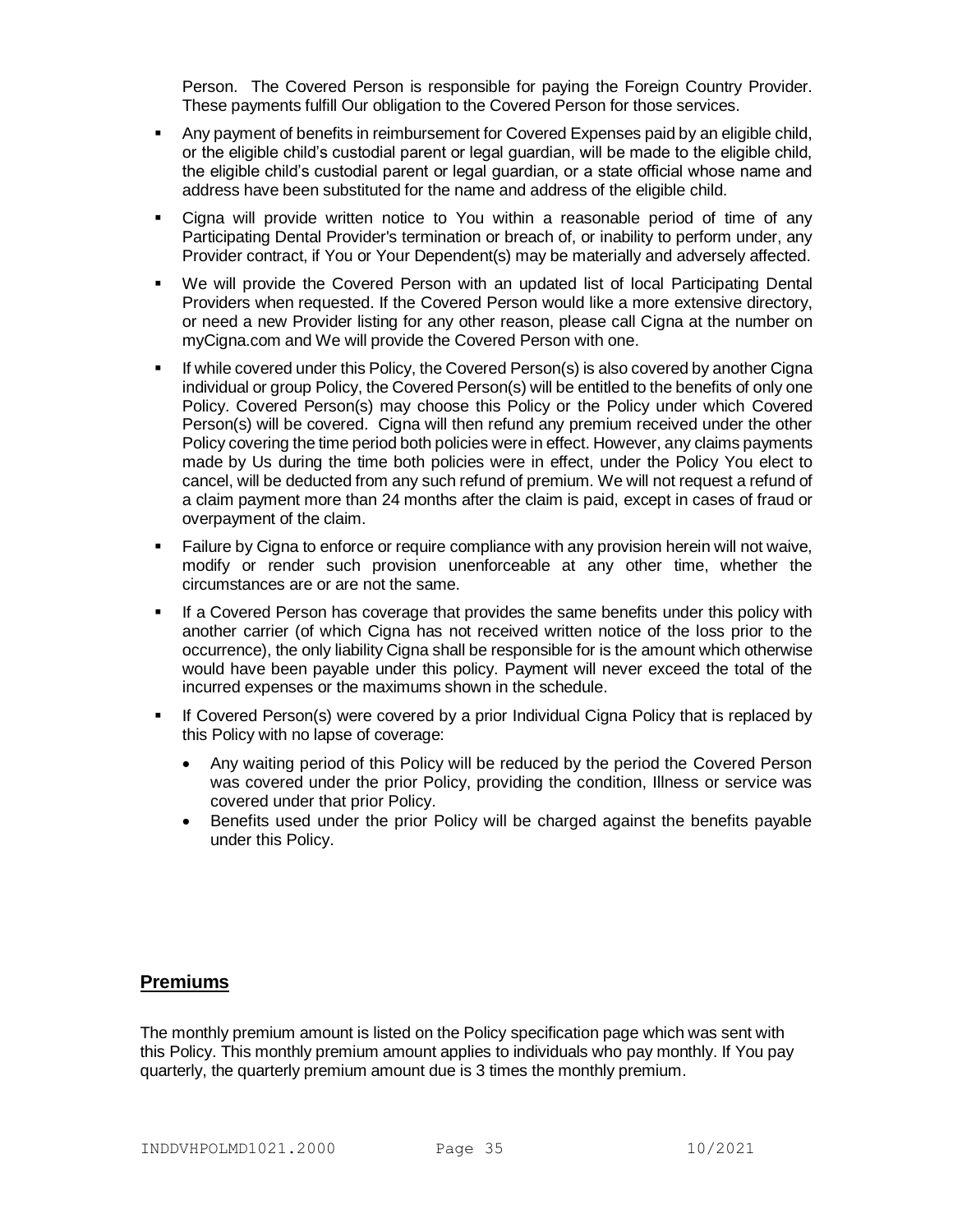Person. The Covered Person is responsible for paying the Foreign Country Provider. These payments fulfill Our obligation to the Covered Person for those services.

- Any payment of benefits in reimbursement for Covered Expenses paid by an eligible child, or the eligible child's custodial parent or legal guardian, will be made to the eligible child, the eligible child's custodial parent or legal guardian, or a state official whose name and address have been substituted for the name and address of the eligible child.
- Cigna will provide written notice to You within a reasonable period of time of any Participating Dental Provider's termination or breach of, or inability to perform under, any Provider contract, if You or Your Dependent(s) may be materially and adversely affected.
- We will provide the Covered Person with an updated list of local Participating Dental Providers when requested. If the Covered Person would like a more extensive directory, or need a new Provider listing for any other reason, please call Cigna at the number on myCigna.com and We will provide the Covered Person with one.
- If while covered under this Policy, the Covered Person(s) is also covered by another Cigna individual or group Policy, the Covered Person(s) will be entitled to the benefits of only one Policy. Covered Person(s) may choose this Policy or the Policy under which Covered Person(s) will be covered. Cigna will then refund any premium received under the other Policy covering the time period both policies were in effect. However, any claims payments made by Us during the time both policies were in effect, under the Policy You elect to cancel, will be deducted from any such refund of premium. We will not request a refund of a claim payment more than 24 months after the claim is paid, except in cases of fraud or overpayment of the claim.
- Failure by Cigna to enforce or require compliance with any provision herein will not waive, modify or render such provision unenforceable at any other time, whether the circumstances are or are not the same.
- If a Covered Person has coverage that provides the same benefits under this policy with another carrier (of which Cigna has not received written notice of the loss prior to the occurrence), the only liability Cigna shall be responsible for is the amount which otherwise would have been payable under this policy. Payment will never exceed the total of the incurred expenses or the maximums shown in the schedule.
- If Covered Person(s) were covered by a prior Individual Cigna Policy that is replaced by this Policy with no lapse of coverage:
	- Any waiting period of this Policy will be reduced by the period the Covered Person was covered under the prior Policy, providing the condition, Illness or service was covered under that prior Policy.
	- Benefits used under the prior Policy will be charged against the benefits payable under this Policy.

# **Premiums**

The monthly premium amount is listed on the Policy specification page which was sent with this Policy. This monthly premium amount applies to individuals who pay monthly. If You pay quarterly, the quarterly premium amount due is 3 times the monthly premium.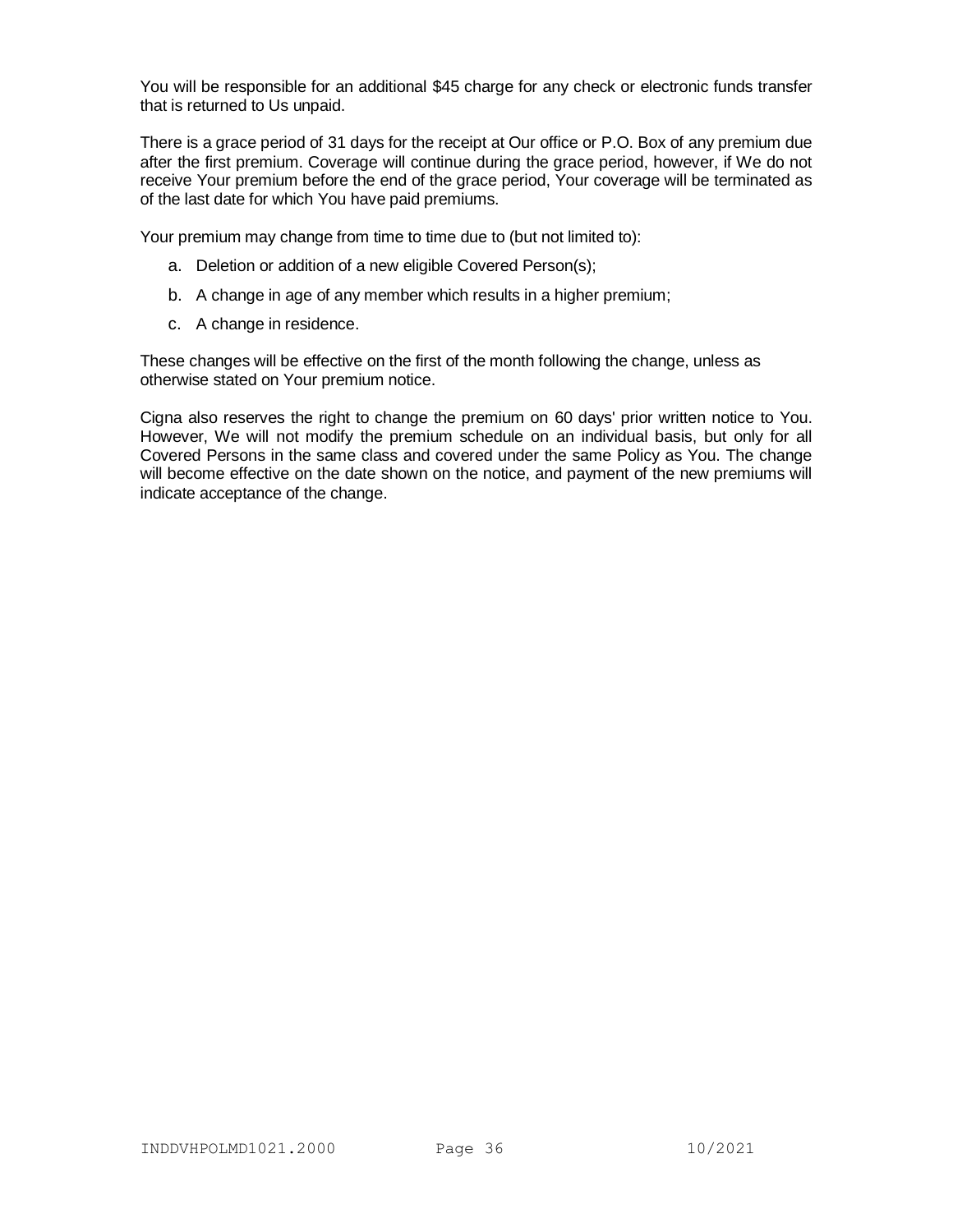You will be responsible for an additional \$45 charge for any check or electronic funds transfer that is returned to Us unpaid.

There is a grace period of 31 days for the receipt at Our office or P.O. Box of any premium due after the first premium. Coverage will continue during the grace period, however, if We do not receive Your premium before the end of the grace period, Your coverage will be terminated as of the last date for which You have paid premiums.

Your premium may change from time to time due to (but not limited to):

- a. Deletion or addition of a new eligible Covered Person(s);
- b. A change in age of any member which results in a higher premium;
- c. A change in residence.

These changes will be effective on the first of the month following the change, unless as otherwise stated on Your premium notice.

Cigna also reserves the right to change the premium on 60 days' prior written notice to You. However, We will not modify the premium schedule on an individual basis, but only for all Covered Persons in the same class and covered under the same Policy as You. The change will become effective on the date shown on the notice, and payment of the new premiums will indicate acceptance of the change.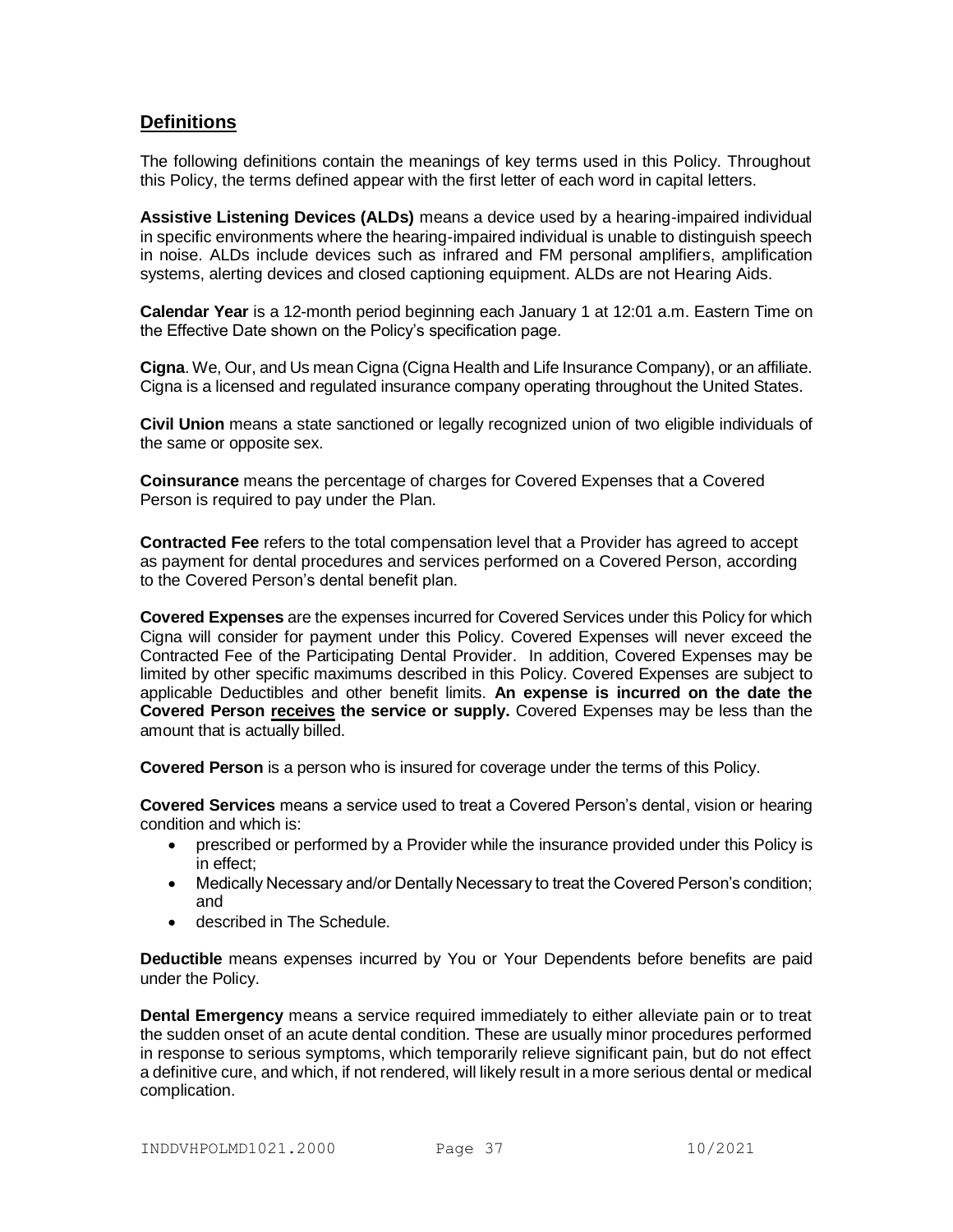# **Definitions**

The following definitions contain the meanings of key terms used in this Policy. Throughout this Policy, the terms defined appear with the first letter of each word in capital letters.

**Assistive Listening Devices (ALDs)** means a device used by a hearing-impaired individual in specific environments where the hearing-impaired individual is unable to distinguish speech in noise. ALDs include devices such as infrared and FM personal amplifiers, amplification systems, alerting devices and closed captioning equipment. ALDs are not Hearing Aids.

**Calendar Year** is a 12-month period beginning each January 1 at 12:01 a.m. Eastern Time on the Effective Date shown on the Policy's specification page.

**Cigna**. We, Our, and Us mean Cigna (Cigna Health and Life Insurance Company), or an affiliate. Cigna is a licensed and regulated insurance company operating throughout the United States.

**Civil Union** means a state sanctioned or legally recognized union of two eligible individuals of the same or opposite sex.

**Coinsurance** means the percentage of charges for Covered Expenses that a Covered Person is required to pay under the Plan.

**Contracted Fee** refers to the total compensation level that a Provider has agreed to accept as payment for dental procedures and services performed on a Covered Person, according to the Covered Person's dental benefit plan.

**Covered Expenses** are the expenses incurred for Covered Services under this Policy for which Cigna will consider for payment under this Policy. Covered Expenses will never exceed the Contracted Fee of the Participating Dental Provider. In addition, Covered Expenses may be limited by other specific maximums described in this Policy. Covered Expenses are subject to applicable Deductibles and other benefit limits. **An expense is incurred on the date the Covered Person receives the service or supply.** Covered Expenses may be less than the amount that is actually billed.

**Covered Person** is a person who is insured for coverage under the terms of this Policy.

**Covered Services** means a service used to treat a Covered Person's dental, vision or hearing condition and which is:

- prescribed or performed by a Provider while the insurance provided under this Policy is in effect;
- Medically Necessary and/or Dentally Necessary to treat the Covered Person's condition; and
- described in The Schedule.

**Deductible** means expenses incurred by You or Your Dependents before benefits are paid under the Policy.

**Dental Emergency** means a service required immediately to either alleviate pain or to treat the sudden onset of an acute dental condition. These are usually minor procedures performed in response to serious symptoms, which temporarily relieve significant pain, but do not effect a definitive cure, and which, if not rendered, will likely result in a more serious dental or medical complication.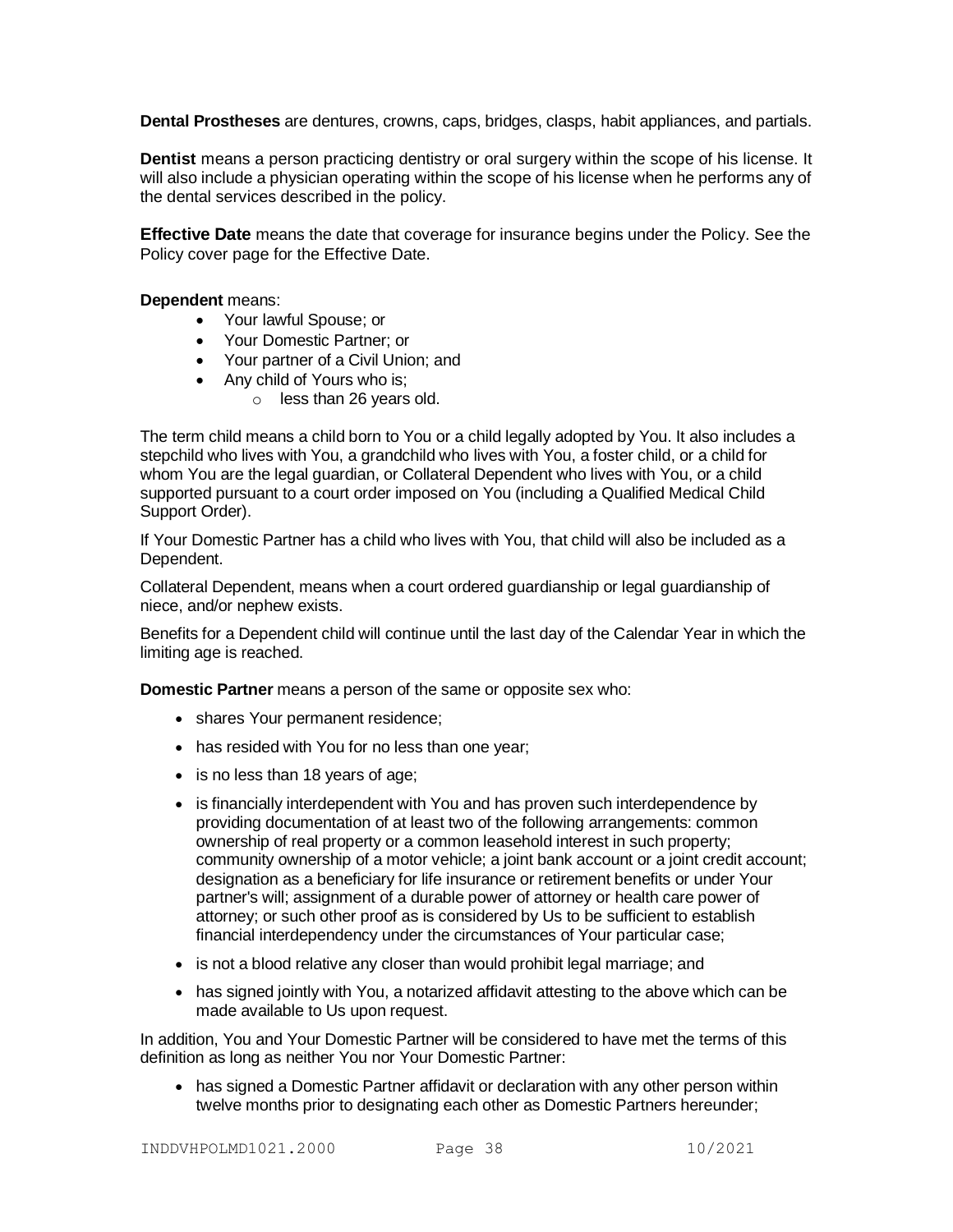**Dental Prostheses** are dentures, crowns, caps, bridges, clasps, habit appliances, and partials.

**Dentist** means a person practicing dentistry or oral surgery within the scope of his license. It will also include a physician operating within the scope of his license when he performs any of the dental services described in the policy.

**Effective Date** means the date that coverage for insurance begins under the Policy. See the Policy cover page for the Effective Date.

**Dependent** means:

- Your lawful Spouse; or
- Your Domestic Partner; or
- Your partner of a Civil Union; and
- Any child of Yours who is;
	- o less than 26 years old.

The term child means a child born to You or a child legally adopted by You. It also includes a stepchild who lives with You, a grandchild who lives with You, a foster child, or a child for whom You are the legal guardian, or Collateral Dependent who lives with You, or a child supported pursuant to a court order imposed on You (including a Qualified Medical Child Support Order).

If Your Domestic Partner has a child who lives with You, that child will also be included as a Dependent.

Collateral Dependent, means when a court ordered guardianship or legal guardianship of niece, and/or nephew exists.

Benefits for a Dependent child will continue until the last day of the Calendar Year in which the limiting age is reached.

**Domestic Partner** means a person of the same or opposite sex who:

- shares Your permanent residence;
- has resided with You for no less than one year;
- is no less than 18 years of age;
- is financially interdependent with You and has proven such interdependence by providing documentation of at least two of the following arrangements: common ownership of real property or a common leasehold interest in such property; community ownership of a motor vehicle; a joint bank account or a joint credit account; designation as a beneficiary for life insurance or retirement benefits or under Your partner's will; assignment of a durable power of attorney or health care power of attorney; or such other proof as is considered by Us to be sufficient to establish financial interdependency under the circumstances of Your particular case;
- is not a blood relative any closer than would prohibit legal marriage; and
- has signed jointly with You, a notarized affidavit attesting to the above which can be made available to Us upon request.

In addition, You and Your Domestic Partner will be considered to have met the terms of this definition as long as neither You nor Your Domestic Partner:

 has signed a Domestic Partner affidavit or declaration with any other person within twelve months prior to designating each other as Domestic Partners hereunder;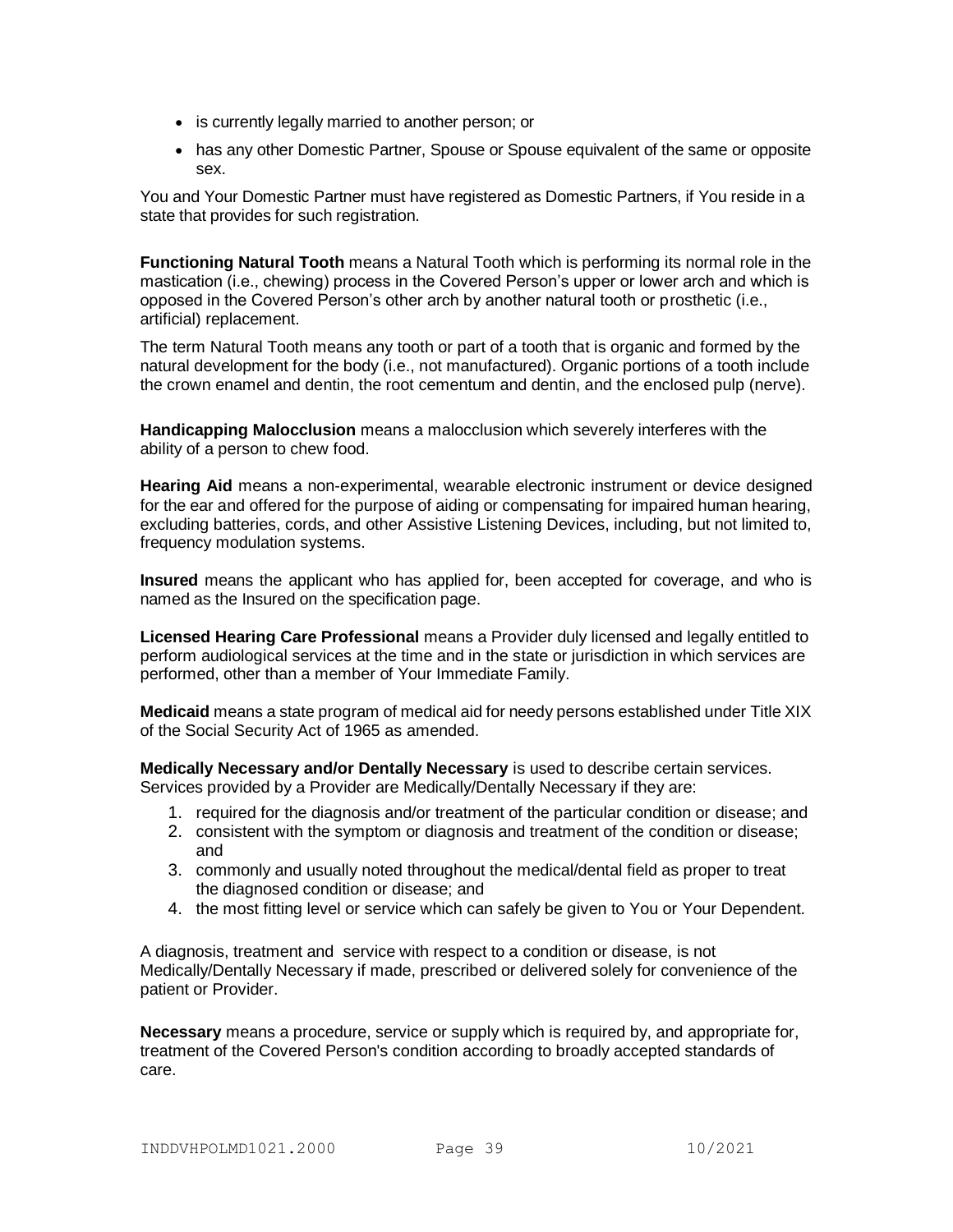- is currently legally married to another person; or
- has any other Domestic Partner, Spouse or Spouse equivalent of the same or opposite sex.

You and Your Domestic Partner must have registered as Domestic Partners, if You reside in a state that provides for such registration.

**Functioning Natural Tooth** means a Natural Tooth which is performing its normal role in the mastication (i.e., chewing) process in the Covered Person's upper or lower arch and which is opposed in the Covered Person's other arch by another natural tooth or prosthetic (i.e., artificial) replacement.

The term Natural Tooth means any tooth or part of a tooth that is organic and formed by the natural development for the body (i.e., not manufactured). Organic portions of a tooth include the crown enamel and dentin, the root cementum and dentin, and the enclosed pulp (nerve).

**Handicapping Malocclusion** means a malocclusion which severely interferes with the ability of a person to chew food.

**Hearing Aid** means a non-experimental, wearable electronic instrument or device designed for the ear and offered for the purpose of aiding or compensating for impaired human hearing, excluding batteries, cords, and other Assistive Listening Devices, including, but not limited to, frequency modulation systems.

**Insured** means the applicant who has applied for, been accepted for coverage, and who is named as the Insured on the specification page.

**Licensed Hearing Care Professional** means a Provider duly licensed and legally entitled to perform audiological services at the time and in the state or jurisdiction in which services are performed, other than a member of Your Immediate Family.

**Medicaid** means a state program of medical aid for needy persons established under Title XIX of the Social Security Act of 1965 as amended.

**Medically Necessary and/or Dentally Necessary** is used to describe certain services. Services provided by a Provider are Medically/Dentally Necessary if they are:

- 1. required for the diagnosis and/or treatment of the particular condition or disease; and
- 2. consistent with the symptom or diagnosis and treatment of the condition or disease; and
- 3. commonly and usually noted throughout the medical/dental field as proper to treat the diagnosed condition or disease; and
- 4. the most fitting level or service which can safely be given to You or Your Dependent.

A diagnosis, treatment and service with respect to a condition or disease, is not Medically/Dentally Necessary if made, prescribed or delivered solely for convenience of the patient or Provider.

**Necessary** means a procedure, service or supply which is required by, and appropriate for, treatment of the Covered Person's condition according to broadly accepted standards of care.